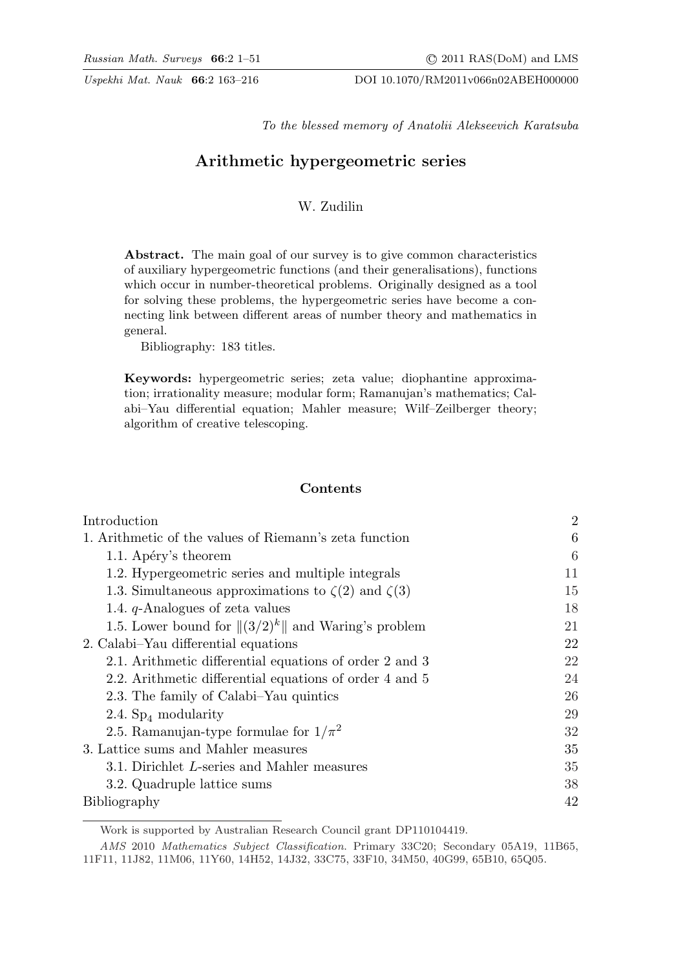To the blessed memory of Anatolii Alekseevich Karatsuba

# Arithmetic hypergeometric series

## W. Zudilin

Abstract. The main goal of our survey is to give common characteristics of auxiliary hypergeometric functions (and their generalisations), functions which occur in number-theoretical problems. Originally designed as a tool for solving these problems, the hypergeometric series have become a connecting link between different areas of number theory and mathematics in general.

Bibliography: 183 titles.

Keywords: hypergeometric series; zeta value; diophantine approximation; irrationality measure; modular form; Ramanujan's mathematics; Calabi–Yau differential equation; Mahler measure; Wilf–Zeilberger theory; algorithm of creative telescoping.

## Contents

| Introduction                                                  | $\overline{2}$ |
|---------------------------------------------------------------|----------------|
| 1. Arithmetic of the values of Riemann's zeta function        | 6              |
| 1.1. Apéry's theorem                                          | 6              |
| 1.2. Hypergeometric series and multiple integrals             | 11             |
| 1.3. Simultaneous approximations to $\zeta(2)$ and $\zeta(3)$ | 15             |
| 1.4. $q$ -Analogues of zeta values                            | 18             |
| 1.5. Lower bound for $\ (3/2)^k\ $ and Waring's problem       | 21             |
| 2. Calabi–Yau differential equations                          | 22             |
| 2.1. Arithmetic differential equations of order 2 and 3       | 22             |
| 2.2. Arithmetic differential equations of order 4 and 5       | 24             |
| 2.3. The family of Calabi–Yau quintics                        | 26             |
| 2.4. $Sp_4$ modularity                                        | 29             |
| 2.5. Ramanujan-type formulae for $1/\pi^2$                    | 32             |
| 3. Lattice sums and Mahler measures                           | 35             |
| 3.1. Dirichlet L-series and Mahler measures                   | 35             |
| 3.2. Quadruple lattice sums                                   | 38             |
| Bibliography                                                  | 42             |

Work is supported by Australian Research Council grant DP110104419.

AMS 2010 Mathematics Subject Classification. Primary 33C20; Secondary 05A19, 11B65, 11F11, 11J82, 11M06, 11Y60, 14H52, 14J32, 33C75, 33F10, 34M50, 40G99, 65B10, 65Q05.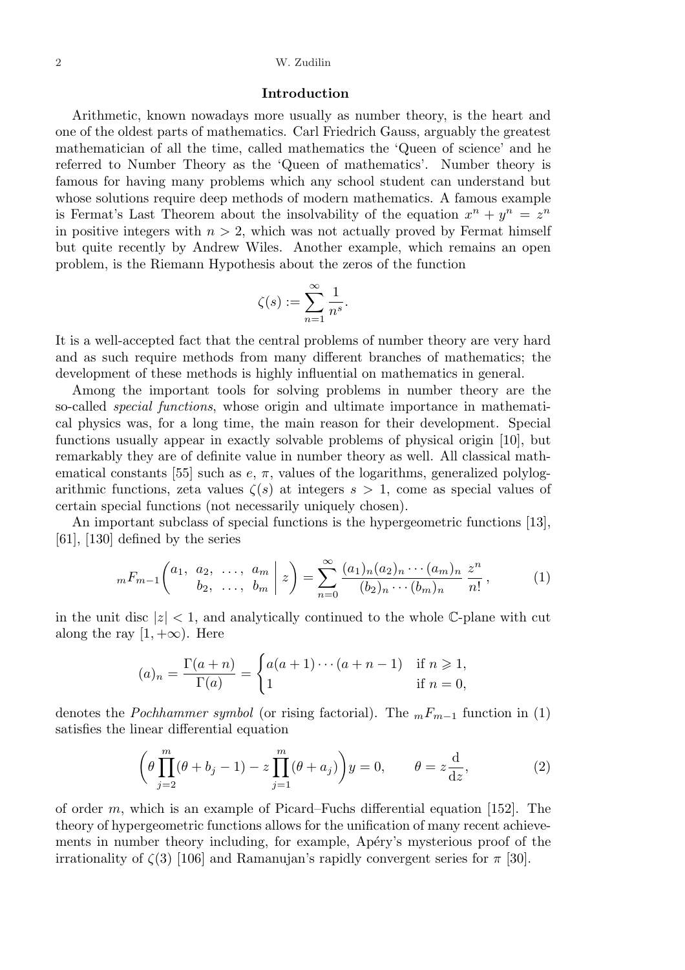#### Introduction

Arithmetic, known nowadays more usually as number theory, is the heart and one of the oldest parts of mathematics. Carl Friedrich Gauss, arguably the greatest mathematician of all the time, called mathematics the 'Queen of science' and he referred to Number Theory as the 'Queen of mathematics'. Number theory is famous for having many problems which any school student can understand but whose solutions require deep methods of modern mathematics. A famous example is Fermat's Last Theorem about the insolvability of the equation  $x^n + y^n = z^n$ in positive integers with  $n > 2$ , which was not actually proved by Fermat himself but quite recently by Andrew Wiles. Another example, which remains an open problem, is the Riemann Hypothesis about the zeros of the function

$$
\zeta(s) := \sum_{n=1}^{\infty} \frac{1}{n^s}.
$$

It is a well-accepted fact that the central problems of number theory are very hard and as such require methods from many different branches of mathematics; the development of these methods is highly influential on mathematics in general.

Among the important tools for solving problems in number theory are the so-called special functions, whose origin and ultimate importance in mathematical physics was, for a long time, the main reason for their development. Special functions usually appear in exactly solvable problems of physical origin [10], but remarkably they are of definite value in number theory as well. All classical mathematical constants [55] such as  $e, \pi$ , values of the logarithms, generalized polylogarithmic functions, zeta values  $\zeta(s)$  at integers  $s > 1$ , come as special values of certain special functions (not necessarily uniquely chosen).

An important subclass of special functions is the hypergeometric functions [13],  $[61]$ ,  $[130]$  defined by the series

$$
{}_mF_{m-1}\left(\begin{matrix}a_1, a_2, \ldots, a_m \\ b_2, \ldots, b_m\end{matrix}\bigg| z\right) = \sum_{n=0}^{\infty} \frac{(a_1)_n (a_2)_n \cdots (a_m)_n}{(b_2)_n \cdots (b_m)_n} \frac{z^n}{n!},
$$
(1)

in the unit disc  $|z| < 1$ , and analytically continued to the whole C-plane with cut along the ray  $[1, +\infty)$ . Here

$$
(a)_n = \frac{\Gamma(a+n)}{\Gamma(a)} = \begin{cases} a(a+1)\cdots(a+n-1) & \text{if } n \ge 1, \\ 1 & \text{if } n = 0, \end{cases}
$$

denotes the *Pochhammer symbol* (or rising factorial). The  $mF_{m-1}$  function in (1) satisfies the linear differential equation

$$
\left(\theta \prod_{j=2}^{m} (\theta + b_j - 1) - z \prod_{j=1}^{m} (\theta + a_j)\right) y = 0, \qquad \theta = z \frac{d}{dz},\tag{2}
$$

of order m, which is an example of Picard–Fuchs differential equation  $[152]$ . The theory of hypergeometric functions allows for the unification of many recent achievements in number theory including, for example, Apéry's mysterious proof of the irrationality of  $\zeta(3)$  [106] and Ramanujan's rapidly convergent series for  $\pi$  [30].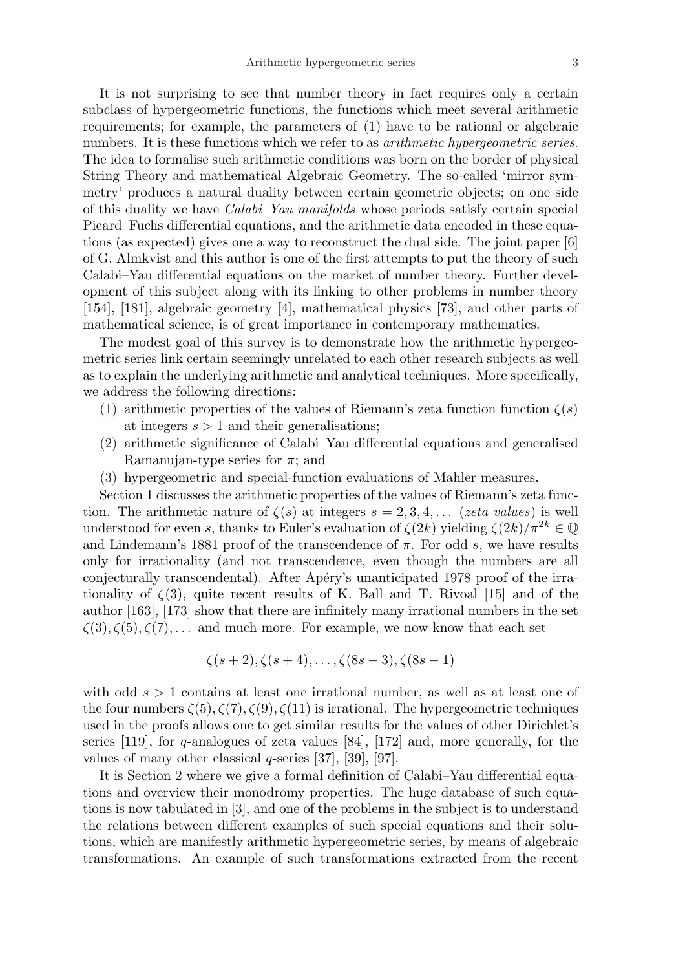It is not surprising to see that number theory in fact requires only a certain subclass of hypergeometric functions, the functions which meet several arithmetic requirements; for example, the parameters of (1) have to be rational or algebraic numbers. It is these functions which we refer to as *arithmetic hypergeometric series*. The idea to formalise such arithmetic conditions was born on the border of physical String Theory and mathematical Algebraic Geometry. The so-called 'mirror symmetry' produces a natural duality between certain geometric objects; on one side of this duality we have Calabi–Yau manifolds whose periods satisfy certain special Picard–Fuchs differential equations, and the arithmetic data encoded in these equations (as expected) gives one a way to reconstruct the dual side. The joint paper [6] of G. Almkvist and this author is one of the first attempts to put the theory of such Calabi–Yau differential equations on the market of number theory. Further development of this subject along with its linking to other problems in number theory [154], [181], algebraic geometry [4], mathematical physics [73], and other parts of mathematical science, is of great importance in contemporary mathematics.

The modest goal of this survey is to demonstrate how the arithmetic hypergeometric series link certain seemingly unrelated to each other research subjects as well as to explain the underlying arithmetic and analytical techniques. More specifically, we address the following directions:

- (1) arithmetic properties of the values of Riemann's zeta function function  $\zeta(s)$ at integers  $s > 1$  and their generalisations;
- (2) arithmetic significance of Calabi–Yau differential equations and generalised Ramanujan-type series for  $\pi$ ; and
- (3) hypergeometric and special-function evaluations of Mahler measures.

Section 1 discusses the arithmetic properties of the values of Riemann's zeta function. The arithmetic nature of  $\zeta(s)$  at integers  $s = 2, 3, 4, \ldots$  (zeta values) is well understood for even s, thanks to Euler's evaluation of  $\zeta(2k)$  yielding  $\zeta(2k)/\pi^{2k} \in \mathbb{Q}$ and Lindemann's 1881 proof of the transcendence of  $\pi$ . For odd s, we have results only for irrationality (and not transcendence, even though the numbers are all conjecturally transcendental). After Apéry's unanticipated 1978 proof of the irrationality of  $\zeta(3)$ , quite recent results of K. Ball and T. Rivoal [15] and of the author [163], [173] show that there are infinitely many irrational numbers in the set  $\zeta(3), \zeta(5), \zeta(7), \ldots$  and much more. For example, we now know that each set

$$
\zeta(s+2), \zeta(s+4), \ldots, \zeta(8s-3), \zeta(8s-1)
$$

with odd  $s > 1$  contains at least one irrational number, as well as at least one of the four numbers  $\zeta(5), \zeta(7), \zeta(9), \zeta(11)$  is irrational. The hypergeometric techniques used in the proofs allows one to get similar results for the values of other Dirichlet's series  $[119]$ , for q-analogues of zeta values  $[84]$ ,  $[172]$  and, more generally, for the values of many other classical  $q$ -series [37], [39], [97].

It is Section 2 where we give a formal definition of Calabi–Yau differential equations and overview their monodromy properties. The huge database of such equations is now tabulated in [3], and one of the problems in the subject is to understand the relations between different examples of such special equations and their solutions, which are manifestly arithmetic hypergeometric series, by means of algebraic transformations. An example of such transformations extracted from the recent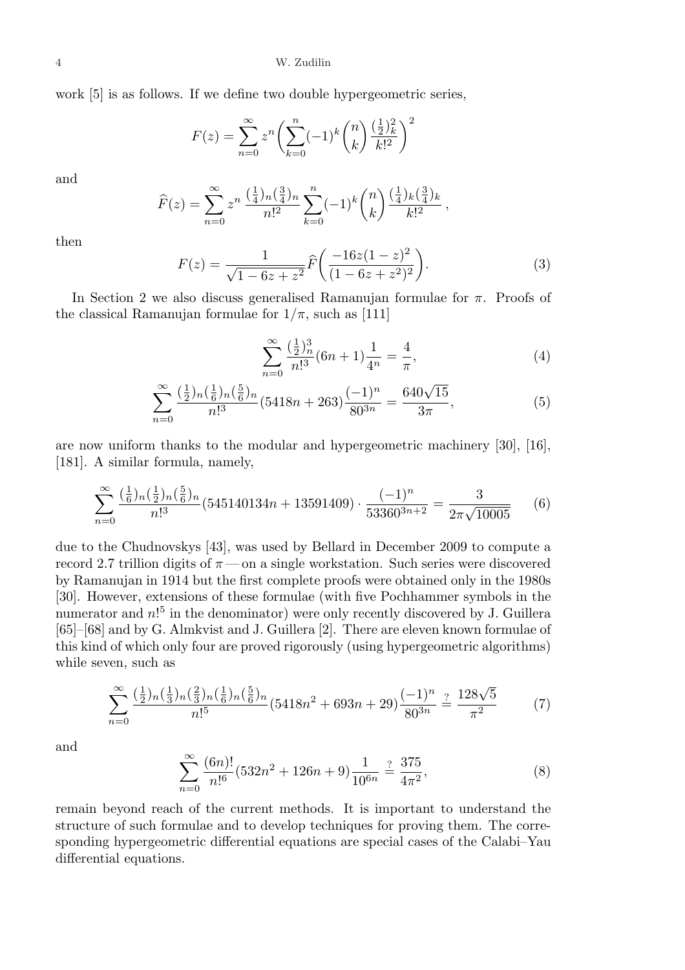work [5] is as follows. If we define two double hypergeometric series,

$$
F(z) = \sum_{n=0}^{\infty} z^n \left( \sum_{k=0}^n (-1)^k {n \choose k} \frac{(\frac{1}{2})_k^2}{k!^2} \right)^2
$$

and

$$
\widehat{F}(z) = \sum_{n=0}^{\infty} z^n \, \frac{\left(\frac{1}{4}\right)_n \left(\frac{3}{4}\right)_n}{n!^2} \sum_{k=0}^n (-1)^k \binom{n}{k} \frac{\left(\frac{1}{4}\right)_k \left(\frac{3}{4}\right)_k}{k!^2} \,,
$$

then

$$
F(z) = \frac{1}{\sqrt{1 - 6z + z^2}} \hat{F}\left(\frac{-16z(1 - z)^2}{(1 - 6z + z^2)^2}\right).
$$
 (3)

In Section 2 we also discuss generalised Ramanujan formulae for  $\pi$ . Proofs of the classical Ramanujan formulae for  $1/\pi$ , such as [111]

$$
\sum_{n=0}^{\infty} \frac{\left(\frac{1}{2}\right)_n^3}{n!^3} (6n+1) \frac{1}{4^n} = \frac{4}{\pi},\tag{4}
$$

$$
\sum_{n=0}^{\infty} \frac{\left(\frac{1}{2}\right)_n \left(\frac{1}{6}\right)_n \left(\frac{5}{6}\right)_n}{n!^3} (5418n + 263) \frac{(-1)^n}{80^{3n}} = \frac{640\sqrt{15}}{3\pi},\tag{5}
$$

are now uniform thanks to the modular and hypergeometric machinery [30], [16], [181]. A similar formula, namely,

$$
\sum_{n=0}^{\infty} \frac{\left(\frac{1}{6}\right)_{n}\left(\frac{1}{2}\right)_{n}\left(\frac{5}{6}\right)_{n}}{n!^{3}} \left(545140134n + 13591409\right) \cdot \frac{(-1)^{n}}{53360^{3n+2}} = \frac{3}{2\pi\sqrt{10005}}\tag{6}
$$

due to the Chudnovskys [43], was used by Bellard in December 2009 to compute a record 2.7 trillion digits of  $\pi$  — on a single workstation. Such series were discovered by Ramanujan in 1914 but the first complete proofs were obtained only in the 1980s [30]. However, extensions of these formulae (with five Pochhammer symbols in the numerator and  $n!<sup>5</sup>$  in the denominator) were only recently discovered by J. Guillera [65]–[68] and by G. Almkvist and J. Guillera [2]. There are eleven known formulae of this kind of which only four are proved rigorously (using hypergeometric algorithms) while seven, such as

$$
\sum_{n=0}^{\infty} \frac{\left(\frac{1}{2}\right)_{n}\left(\frac{1}{3}\right)_{n}\left(\frac{2}{3}\right)_{n}\left(\frac{1}{6}\right)_{n}}{n!^{5}} \left(5418n^{2} + 693n + 29\right) \frac{(-1)^{n}}{80^{3n}} \stackrel{?}{=} \frac{128\sqrt{5}}{\pi^{2}}
$$
 (7)

and

$$
\sum_{n=0}^{\infty} \frac{(6n)!}{n!^6} (532n^2 + 126n + 9) \frac{1}{10^{6n}} \stackrel{?}{=} \frac{375}{4\pi^2},\tag{8}
$$

remain beyond reach of the current methods. It is important to understand the structure of such formulae and to develop techniques for proving them. The corresponding hypergeometric differential equations are special cases of the Calabi–Yau differential equations.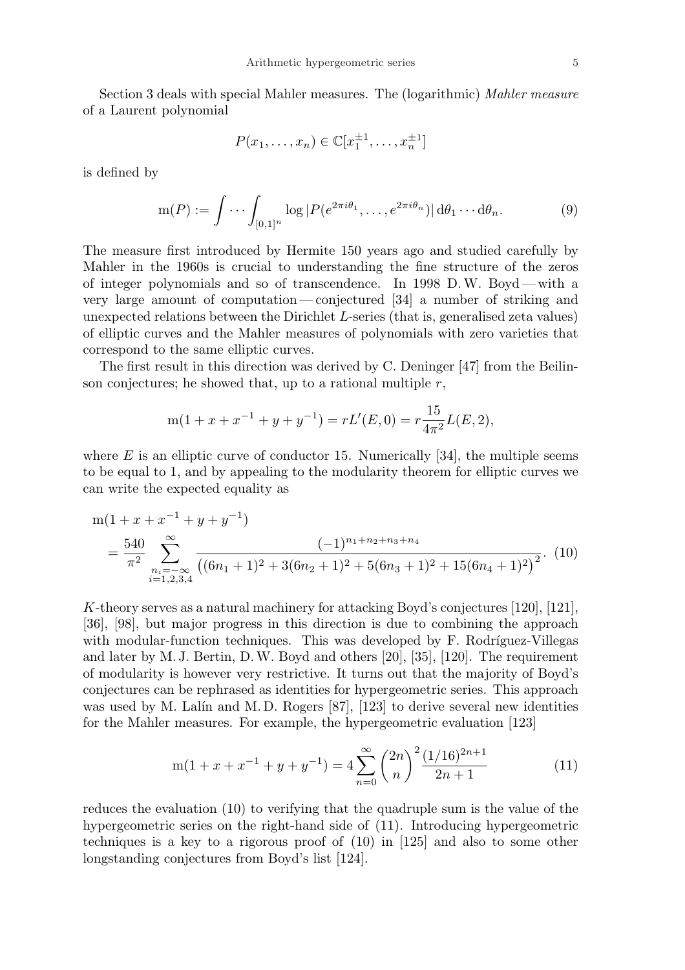Section 3 deals with special Mahler measures. The (logarithmic) Mahler measure of a Laurent polynomial

$$
P(x_1, \ldots, x_n) \in \mathbb{C}[x_1^{\pm 1}, \ldots, x_n^{\pm 1}]
$$

is defined by

$$
\mathrm{m}(P) := \int \cdots \int_{[0,1]^n} \log |P(e^{2\pi i \theta_1}, \dots, e^{2\pi i \theta_n})| \, \mathrm{d}\theta_1 \cdots \mathrm{d}\theta_n. \tag{9}
$$

The measure first introduced by Hermite 150 years ago and studied carefully by Mahler in the 1960s is crucial to understanding the fine structure of the zeros of integer polynomials and so of transcendence. In 1998 D.W. Boyd— with a very large amount of computation — conjectured [34] a number of striking and unexpected relations between the Dirichlet L-series (that is, generalised zeta values) of elliptic curves and the Mahler measures of polynomials with zero varieties that correspond to the same elliptic curves.

The first result in this direction was derived by C. Deninger [47] from the Beilinson conjectures; he showed that, up to a rational multiple  $r$ ,

$$
m(1 + x + x-1 + y + y-1) = rL'(E, 0) = r\frac{15}{4\pi^2}L(E, 2),
$$

where  $E$  is an elliptic curve of conductor 15. Numerically [34], the multiple seems to be equal to 1, and by appealing to the modularity theorem for elliptic curves we can write the expected equality as

$$
m(1 + x + x^{-1} + y + y^{-1})
$$
  
=  $\frac{540}{\pi^2} \sum_{\substack{n_i = -\infty \ i=1,2,3,4}}^{\infty} \frac{(-1)^{n_1 + n_2 + n_3 + n_4}}{((6n_1 + 1)^2 + 3(6n_2 + 1)^2 + 5(6n_3 + 1)^2 + 15(6n_4 + 1)^2)^2}$ . (10)

K-theory serves as a natural machinery for attacking Boyd's conjectures [120], [121], [36], [98], but major progress in this direction is due to combining the approach with modular-function techniques. This was developed by F. Rodríguez-Villegas and later by M. J. Bertin, D.W. Boyd and others [20], [35], [120]. The requirement of modularity is however very restrictive. It turns out that the majority of Boyd's conjectures can be rephrased as identities for hypergeometric series. This approach was used by M. Lalín and M. D. Rogers  $[87]$ ,  $[123]$  to derive several new identities for the Mahler measures. For example, the hypergeometric evaluation [123]

$$
m(1+x+x^{-1}+y+y^{-1}) = 4\sum_{n=0}^{\infty} \binom{2n}{n}^2 \frac{(1/16)^{2n+1}}{2n+1}
$$
 (11)

reduces the evaluation (10) to verifying that the quadruple sum is the value of the hypergeometric series on the right-hand side of (11). Introducing hypergeometric techniques is a key to a rigorous proof of (10) in [125] and also to some other longstanding conjectures from Boyd's list [124].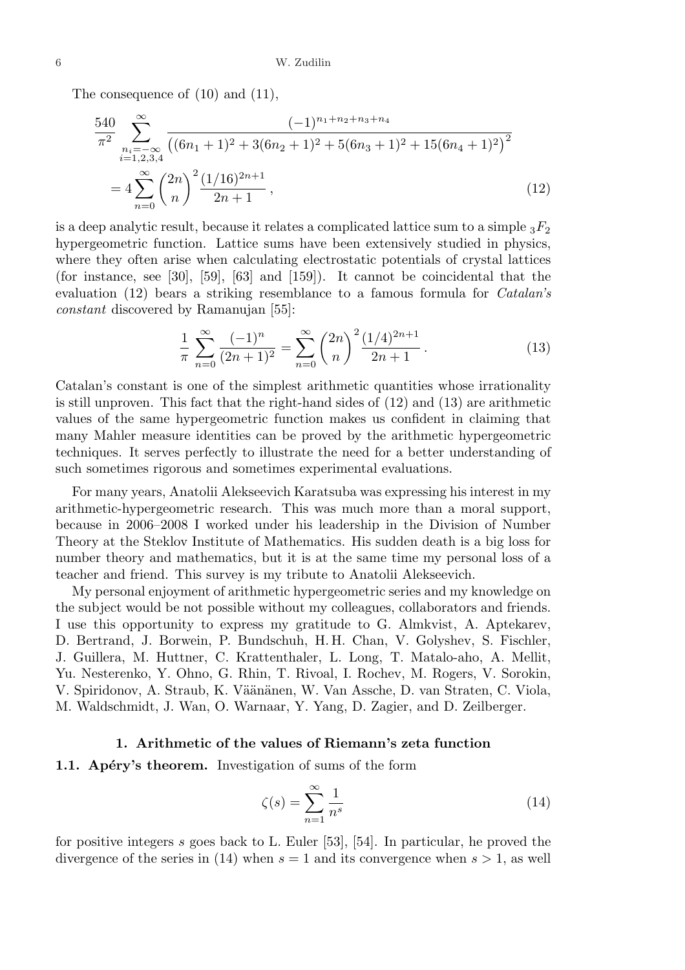The consequence of  $(10)$  and  $(11)$ ,

$$
\frac{540}{\pi^2} \sum_{\substack{n_i = -\infty \\ i = 1, 2, 3, 4}}^{\infty} \frac{(-1)^{n_1 + n_2 + n_3 + n_4}}{\left((6n_1 + 1)^2 + 3(6n_2 + 1)^2 + 5(6n_3 + 1)^2 + 15(6n_4 + 1)^2\right)^2}
$$
\n
$$
= 4 \sum_{n=0}^{\infty} {2n \choose n}^2 \frac{(1/16)^{2n+1}}{2n+1},
$$
\n(12)

is a deep analytic result, because it relates a complicated lattice sum to a simple  ${}_{3}F_{2}$ hypergeometric function. Lattice sums have been extensively studied in physics, where they often arise when calculating electrostatic potentials of crystal lattices (for instance, see [30], [59], [63] and [159]). It cannot be coincidental that the evaluation (12) bears a striking resemblance to a famous formula for Catalan's constant discovered by Ramanujan [55]:

$$
\frac{1}{\pi} \sum_{n=0}^{\infty} \frac{(-1)^n}{(2n+1)^2} = \sum_{n=0}^{\infty} {2n \choose n}^2 \frac{(1/4)^{2n+1}}{2n+1}.
$$
 (13)

Catalan's constant is one of the simplest arithmetic quantities whose irrationality is still unproven. This fact that the right-hand sides of (12) and (13) are arithmetic values of the same hypergeometric function makes us confident in claiming that many Mahler measure identities can be proved by the arithmetic hypergeometric techniques. It serves perfectly to illustrate the need for a better understanding of such sometimes rigorous and sometimes experimental evaluations.

For many years, Anatolii Alekseevich Karatsuba was expressing his interest in my arithmetic-hypergeometric research. This was much more than a moral support, because in 2006–2008 I worked under his leadership in the Division of Number Theory at the Steklov Institute of Mathematics. His sudden death is a big loss for number theory and mathematics, but it is at the same time my personal loss of a teacher and friend. This survey is my tribute to Anatolii Alekseevich.

My personal enjoyment of arithmetic hypergeometric series and my knowledge on the subject would be not possible without my colleagues, collaborators and friends. I use this opportunity to express my gratitude to G. Almkvist, A. Aptekarev, D. Bertrand, J. Borwein, P. Bundschuh, H. H. Chan, V. Golyshev, S. Fischler, J. Guillera, M. Huttner, C. Krattenthaler, L. Long, T. Matalo-aho, A. Mellit, Yu. Nesterenko, Y. Ohno, G. Rhin, T. Rivoal, I. Rochev, M. Rogers, V. Sorokin, V. Spiridonov, A. Straub, K. Väänänen, W. Van Assche, D. van Straten, C. Viola, M. Waldschmidt, J. Wan, O. Warnaar, Y. Yang, D. Zagier, and D. Zeilberger.

#### 1. Arithmetic of the values of Riemann's zeta function

## 1.1. Apéry's theorem. Investigation of sums of the form

$$
\zeta(s) = \sum_{n=1}^{\infty} \frac{1}{n^s} \tag{14}
$$

for positive integers s goes back to L. Euler [53], [54]. In particular, he proved the divergence of the series in (14) when  $s = 1$  and its convergence when  $s > 1$ , as well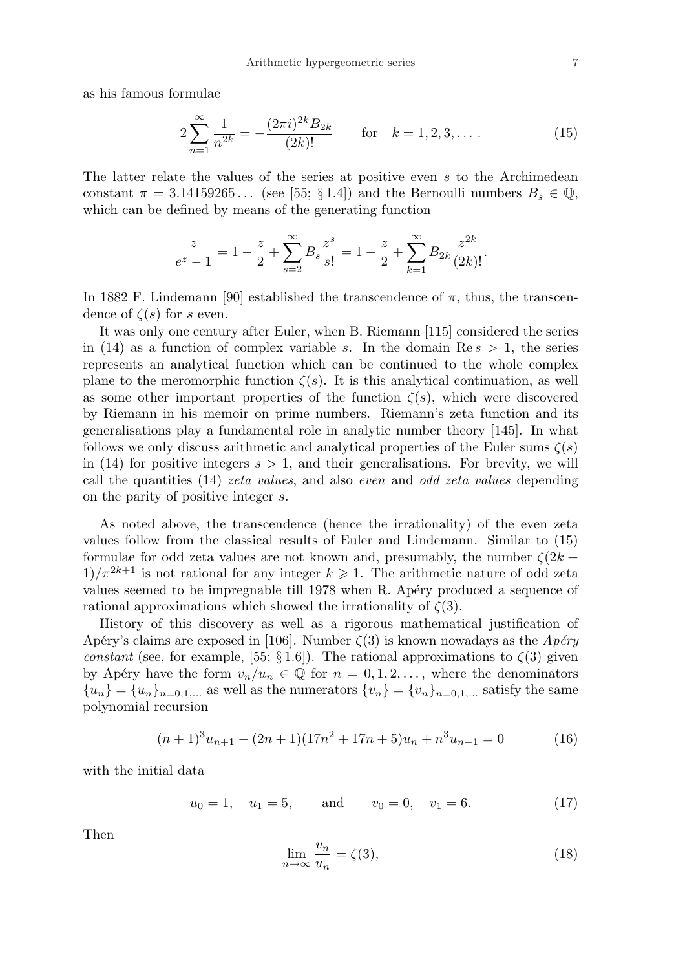as his famous formulae

$$
2\sum_{n=1}^{\infty} \frac{1}{n^{2k}} = -\frac{(2\pi i)^{2k} B_{2k}}{(2k)!} \qquad \text{for} \quad k = 1, 2, 3, \dots \tag{15}
$$

The latter relate the values of the series at positive even s to the Archimedean constant  $\pi = 3.14159265...$  (see [55; § 1.4]) and the Bernoulli numbers  $B_s \in \mathbb{Q}$ , which can be defined by means of the generating function

$$
\frac{z}{e^z - 1} = 1 - \frac{z}{2} + \sum_{s=2}^{\infty} B_s \frac{z^s}{s!} = 1 - \frac{z}{2} + \sum_{k=1}^{\infty} B_{2k} \frac{z^{2k}}{(2k)!}.
$$

In 1882 F. Lindemann [90] established the transcendence of  $\pi$ , thus, the transcendence of  $\zeta(s)$  for s even.

It was only one century after Euler, when B. Riemann [115] considered the series in (14) as a function of complex variable s. In the domain  $\text{Re } s > 1$ , the series represents an analytical function which can be continued to the whole complex plane to the meromorphic function  $\zeta(s)$ . It is this analytical continuation, as well as some other important properties of the function  $\zeta(s)$ , which were discovered by Riemann in his memoir on prime numbers. Riemann's zeta function and its generalisations play a fundamental role in analytic number theory [145]. In what follows we only discuss arithmetic and analytical properties of the Euler sums  $\zeta(s)$ in (14) for positive integers  $s > 1$ , and their generalisations. For brevity, we will call the quantities (14) zeta values, and also even and odd zeta values depending on the parity of positive integer s.

As noted above, the transcendence (hence the irrationality) of the even zeta values follow from the classical results of Euler and Lindemann. Similar to (15) formulae for odd zeta values are not known and, presumably, the number  $\zeta(2k +$  $1/\pi^{2k+1}$  is not rational for any integer  $k \geq 1$ . The arithmetic nature of odd zeta values seemed to be impregnable till 1978 when R. Apéry produced a sequence of rational approximations which showed the irrationality of  $\zeta(3)$ .

History of this discovery as well as a rigorous mathematical justification of Apéry's claims are exposed in [106]. Number  $\zeta(3)$  is known nowadays as the  $Apéry$ constant (see, for example, [55; § 1.6]). The rational approximations to  $\zeta(3)$  given by Apéry have the form  $v_n/u_n \in \mathbb{Q}$  for  $n = 0, 1, 2, \ldots$ , where the denominators  ${u_n} = {u_n}_{n=0,1,...}$  as well as the numerators  ${v_n} = {v_n}_{n=0,1,...}$  satisfy the same polynomial recursion

$$
(n+1)^{3}u_{n+1} - (2n+1)(17n^{2} + 17n + 5)u_{n} + n^{3}u_{n-1} = 0
$$
\n(16)

with the initial data

$$
u_0 = 1
$$
,  $u_1 = 5$ , and  $v_0 = 0$ ,  $v_1 = 6$ . (17)

Then

$$
\lim_{n \to \infty} \frac{v_n}{u_n} = \zeta(3),\tag{18}
$$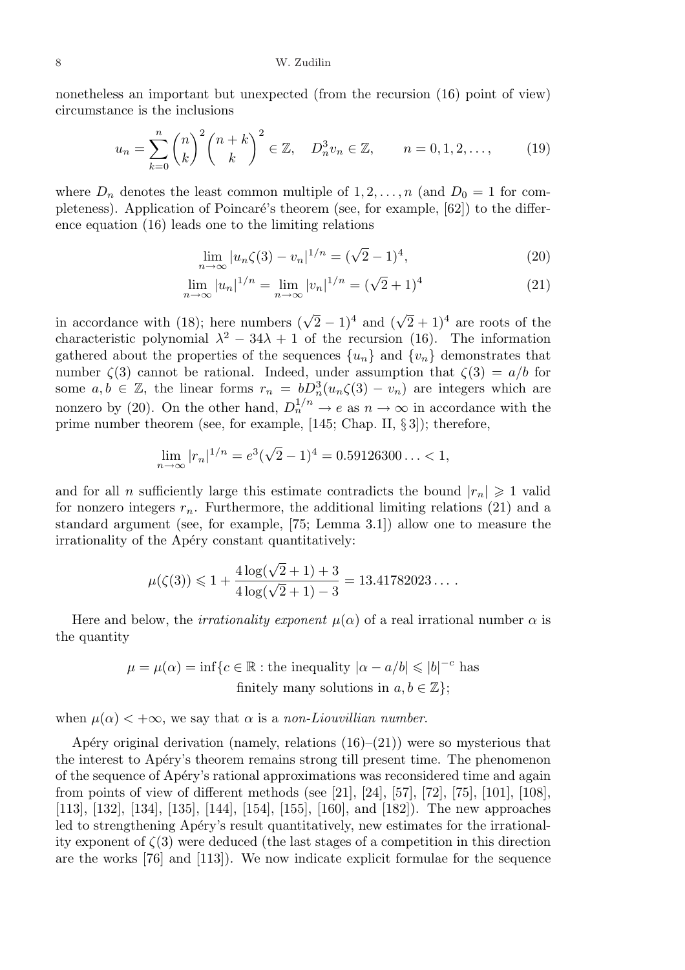nonetheless an important but unexpected (from the recursion (16) point of view) circumstance is the inclusions

$$
u_n = \sum_{k=0}^n \binom{n}{k}^2 \binom{n+k}{k}^2 \in \mathbb{Z}, \quad D_n^3 v_n \in \mathbb{Z}, \qquad n = 0, 1, 2, \dots, \tag{19}
$$

where  $D_n$  denotes the least common multiple of  $1, 2, ..., n$  (and  $D_0 = 1$  for completeness). Application of Poincaré's theorem (see, for example,  $[62]$ ) to the difference equation (16) leads one to the limiting relations

$$
\lim_{n \to \infty} |u_n \zeta(3) - v_n|^{1/n} = (\sqrt{2} - 1)^4,
$$
\n(20)

$$
\lim_{n \to \infty} |u_n|^{1/n} = \lim_{n \to \infty} |v_n|^{1/n} = (\sqrt{2} + 1)^4
$$
\n(21)

in accordance with (18); here numbers ( √  $(\sqrt{2}+1)^4$  and  $(\sqrt{2}+1)^4$  are roots of the characteristic polynomial  $\lambda^2 - 34\lambda + 1$  of the recursion (16). The information gathered about the properties of the sequences  $\{u_n\}$  and  $\{v_n\}$  demonstrates that number  $\zeta(3)$  cannot be rational. Indeed, under assumption that  $\zeta(3) = a/b$  for some  $a, b \in \mathbb{Z}$ , the linear forms  $r_n = bD_n^3(u_n\zeta(3) - v_n)$  are integers which are nonzero by (20). On the other hand,  $D_n^{1/n} \to e$  as  $n \to \infty$  in accordance with the prime number theorem (see, for example, [145; Chap. II, § 3]); therefore,

$$
\lim_{n \to \infty} |r_n|^{1/n} = e^3(\sqrt{2} - 1)^4 = 0.59126300... < 1,
$$

and for all *n* sufficiently large this estimate contradicts the bound  $|r_n| \geq 1$  valid for nonzero integers  $r_n$ . Furthermore, the additional limiting relations (21) and a standard argument (see, for example, [75; Lemma 3.1]) allow one to measure the irrationality of the Apéry constant quantitatively:

$$
\mu(\zeta(3)) \leq 1 + \frac{4\log(\sqrt{2}+1) + 3}{4\log(\sqrt{2}+1) - 3} = 13.41782023\ldots
$$

Here and below, the *irrationality exponent*  $\mu(\alpha)$  of a real irrational number  $\alpha$  is the quantity

$$
\mu = \mu(\alpha) = \inf \{ c \in \mathbb{R} : \text{the inequality } |\alpha - a/b| \leqslant |b|^{-c} \text{ has}
$$
  
finitely many solutions in  $a, b \in \mathbb{Z} \};$ 

when  $\mu(\alpha) < +\infty$ , we say that  $\alpha$  is a non-Liouvillian number.

Apéry original derivation (namely, relations  $(16)$ – $(21)$ ) were so mysterious that the interest to Ap´ery's theorem remains strong till present time. The phenomenon of the sequence of Ap´ery's rational approximations was reconsidered time and again from points of view of different methods (see [21], [24], [57], [72], [75], [101], [108], [113], [132], [134], [135], [144], [154], [155], [160], and [182]). The new approaches led to strengthening Apéry's result quantitatively, new estimates for the irrationality exponent of  $\zeta(3)$  were deduced (the last stages of a competition in this direction are the works [76] and [113]). We now indicate explicit formulae for the sequence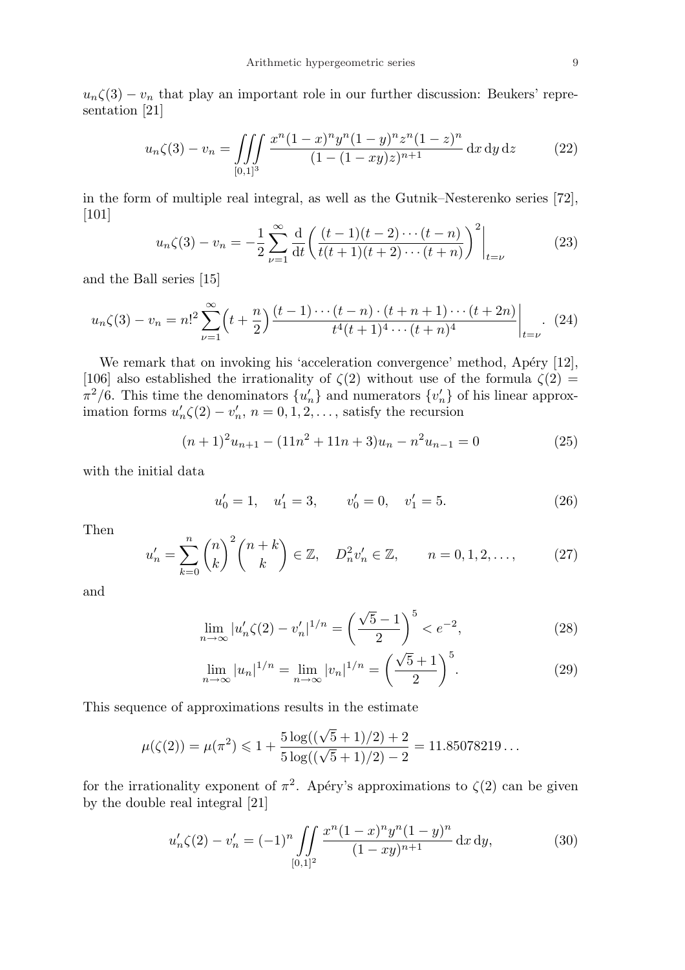$u_n\zeta(3) - v_n$  that play an important role in our further discussion: Beukers' representation [21]

$$
u_n\zeta(3) - v_n = \iiint\limits_{[0,1]^3} \frac{x^n (1-x)^n y^n (1-y)^n z^n (1-z)^n}{(1-(1-xy)z)^{n+1}} dx dy dz
$$
 (22)

in the form of multiple real integral, as well as the Gutnik–Nesterenko series [72], [101]  $\overline{a}$  $\sqrt{2}$  $\overline{a}$ 

$$
u_n\zeta(3) - v_n = -\frac{1}{2} \sum_{\nu=1}^{\infty} \frac{d}{dt} \left( \frac{(t-1)(t-2)\cdots(t-n)}{t(t+1)(t+2)\cdots(t+n)} \right)^2 \Big|_{t=\nu}
$$
 (23)

and the Ball series [15]

$$
u_n\zeta(3) - v_n = n!^2 \sum_{\nu=1}^{\infty} \left( t + \frac{n}{2} \right) \frac{(t-1)\cdots(t-n) \cdot (t+n+1)\cdots(t+2n)}{t^4(t+1)^4 \cdots (t+n)^4} \bigg|_{t=\nu}.
$$
 (24)

We remark that on invoking his 'acceleration convergence' method, Apéry  $[12]$ , [106] also established the irrationality of  $\zeta(2)$  without use of the formula  $\zeta(2)$  =  $\pi^2/6$ . This time the denominators  $\{u'_n\}$  and numerators  $\{v'_n\}$  of his linear approximation forms  $u'_n \zeta(2) - v'_n$ ,  $n = 0, 1, 2, \dots$ , satisfy the recursion

$$
(n+1)^{2}u_{n+1} - (11n^{2} + 11n + 3)u_{n} - n^{2}u_{n-1} = 0
$$
\n(25)

with the initial data

$$
u'_0 = 1, \quad u'_1 = 3, \qquad v'_0 = 0, \quad v'_1 = 5.
$$
 (26)

Then

$$
u'_{n} = \sum_{k=0}^{n} {n \choose k}^{2} {n+k \choose k} \in \mathbb{Z}, \quad D_{n}^{2}v'_{n} \in \mathbb{Z}, \qquad n = 0, 1, 2, \dots, \tag{27}
$$

and

$$
\lim_{n \to \infty} |u'_n \zeta(2) - v'_n|^{1/n} = \left(\frac{\sqrt{5} - 1}{2}\right)^5 < e^{-2},\tag{28}
$$

$$
\lim_{n \to \infty} |u_n|^{1/n} = \lim_{n \to \infty} |v_n|^{1/n} = \left(\frac{\sqrt{5} + 1}{2}\right)^5.
$$
 (29)

This sequence of approximations results in the estimate

$$
\mu(\zeta(2)) = \mu(\pi^2) \leq 1 + \frac{5 \log((\sqrt{5} + 1)/2) + 2}{5 \log((\sqrt{5} + 1)/2) - 2} = 11.85078219...
$$

for the irrationality exponent of  $\pi^2$ . Apéry's approximations to  $\zeta(2)$  can be given by the double real integral [21]

$$
u'_n\zeta(2) - v'_n = (-1)^n \iint\limits_{[0,1]^2} \frac{x^n (1-x)^n y^n (1-y)^n}{(1-xy)^{n+1}} dx dy,
$$
 (30)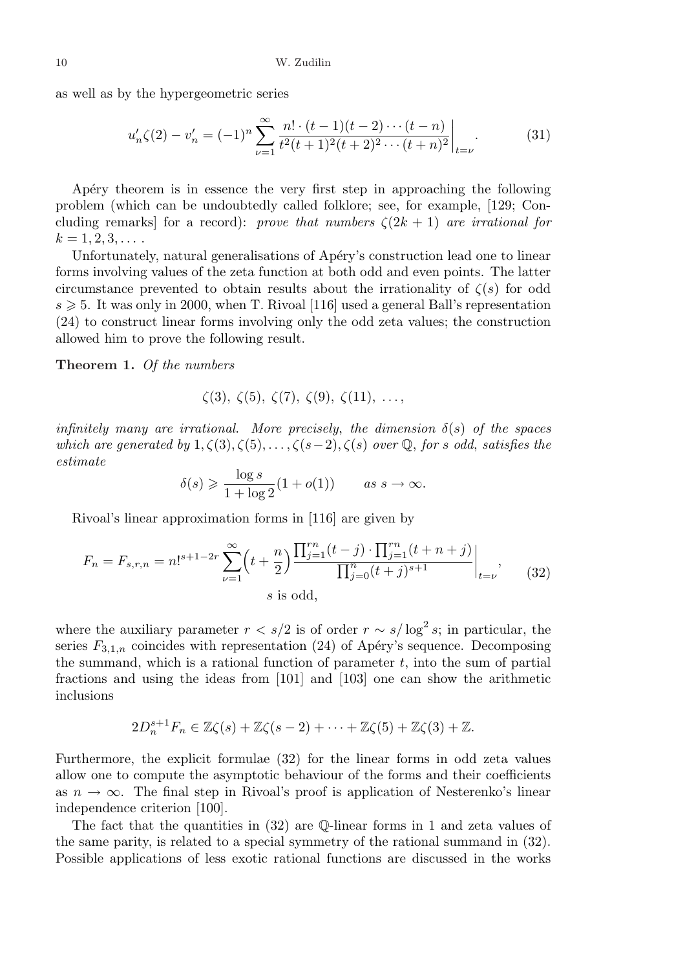as well as by the hypergeometric series

$$
u'_n\zeta(2) - v'_n = (-1)^n \sum_{\nu=1}^{\infty} \frac{n! \cdot (t-1)(t-2) \cdots (t-n)}{t^2(t+1)^2(t+2)^2 \cdots (t+n)^2} \bigg|_{t=\nu}.
$$
 (31)

Apery theorem is in essence the very first step in approaching the following problem (which can be undoubtedly called folklore; see, for example, [129; Concluding remarks] for a record): prove that numbers  $\zeta(2k+1)$  are irrational for  $k = 1, 2, 3, \ldots$ .

Unfortunately, natural generalisations of Apéry's construction lead one to linear forms involving values of the zeta function at both odd and even points. The latter circumstance prevented to obtain results about the irrationality of  $\zeta(s)$  for odd  $s \geq 5$ . It was only in 2000, when T. Rivoal [116] used a general Ball's representation (24) to construct linear forms involving only the odd zeta values; the construction allowed him to prove the following result.

Theorem 1. Of the numbers

$$
\zeta(3), \zeta(5), \zeta(7), \zeta(9), \zeta(11), \ldots,
$$

infinitely many are irrational. More precisely, the dimension  $\delta(s)$  of the spaces which are generated by  $1, \zeta(3), \zeta(5), \ldots, \zeta(s-2), \zeta(s)$  over Q, for s odd, satisfies the estimate

$$
\delta(s) \geqslant \frac{\log s}{1 + \log 2} (1 + o(1)) \qquad \text{as } s \to \infty.
$$

Rivoal's linear approximation forms in [116] are given by

$$
F_n = F_{s,r,n} = n!^{s+1-2r} \sum_{\nu=1}^{\infty} \left( t + \frac{n}{2} \right) \frac{\prod_{j=1}^{rn} (t-j) \cdot \prod_{j=1}^{rn} (t+n+j)}{\prod_{j=0}^{n} (t+j)^{s+1}} \Big|_{t=\nu},\tag{32}
$$
  
s is odd,

where the auxiliary parameter  $r < s/2$  is of order  $r \sim s/\log^2 s$ ; in particular, the series  $F_{3,1,n}$  coincides with representation (24) of Apéry's sequence. Decomposing the summand, which is a rational function of parameter  $t$ , into the sum of partial fractions and using the ideas from [101] and [103] one can show the arithmetic inclusions

$$
2D_n^{s+1}F_n \in \mathbb{Z}\zeta(s) + \mathbb{Z}\zeta(s-2) + \cdots + \mathbb{Z}\zeta(5) + \mathbb{Z}\zeta(3) + \mathbb{Z}.
$$

Furthermore, the explicit formulae (32) for the linear forms in odd zeta values allow one to compute the asymptotic behaviour of the forms and their coefficients as  $n \to \infty$ . The final step in Rivoal's proof is application of Nesterenko's linear independence criterion [100].

The fact that the quantities in  $(32)$  are  $\mathbb{Q}$ -linear forms in 1 and zeta values of the same parity, is related to a special symmetry of the rational summand in (32). Possible applications of less exotic rational functions are discussed in the works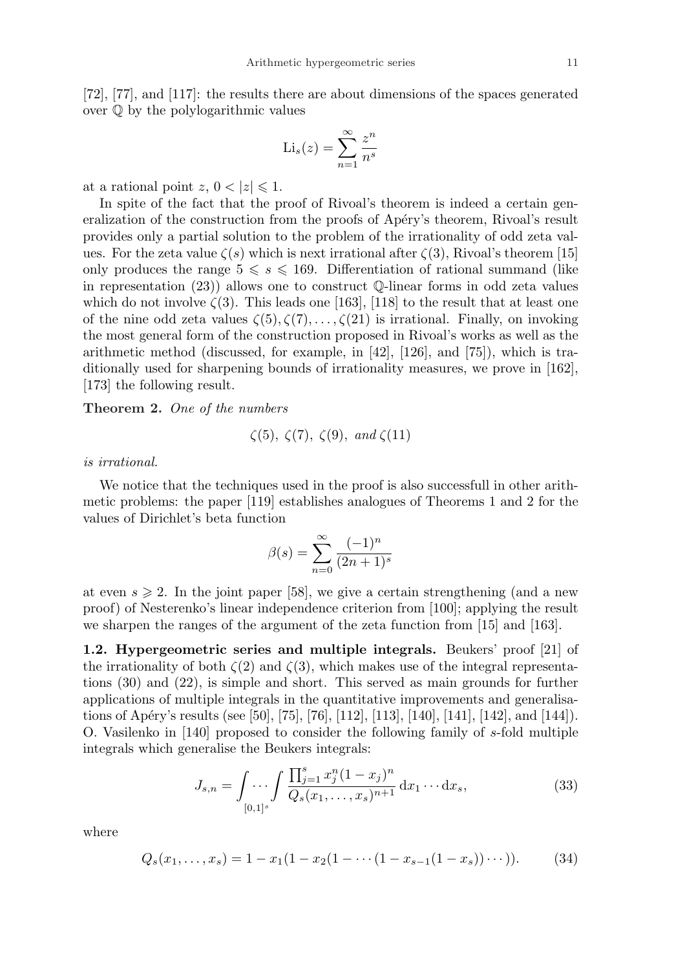$$
\mathrm{Li}_s(z) = \sum_{n=1}^{\infty} \frac{z^n}{n^s}
$$

at a rational point  $z, 0 < |z| \leq 1$ .

In spite of the fact that the proof of Rivoal's theorem is indeed a certain generalization of the construction from the proofs of Apéry's theorem, Rivoal's result provides only a partial solution to the problem of the irrationality of odd zeta values. For the zeta value  $\zeta(s)$  which is next irrational after  $\zeta(3)$ , Rivoal's theorem [15] only produces the range  $5 \le s \le 169$ . Differentiation of rational summand (like in representation (23)) allows one to construct Q-linear forms in odd zeta values which do not involve  $\zeta(3)$ . This leads one [163], [118] to the result that at least one of the nine odd zeta values  $\zeta(5), \zeta(7), \ldots, \zeta(21)$  is irrational. Finally, on invoking the most general form of the construction proposed in Rivoal's works as well as the arithmetic method (discussed, for example, in [42], [126], and [75]), which is traditionally used for sharpening bounds of irrationality measures, we prove in [162], [173] the following result.

Theorem 2. One of the numbers

$$
\zeta(5), \zeta(7), \zeta(9), \text{ and } \zeta(11)
$$

### is irrational.

We notice that the techniques used in the proof is also successfull in other arithmetic problems: the paper [119] establishes analogues of Theorems 1 and 2 for the values of Dirichlet's beta function

$$
\beta(s) = \sum_{n=0}^{\infty} \frac{(-1)^n}{(2n+1)^s}
$$

at even  $s \geq 2$ . In the joint paper [58], we give a certain strengthening (and a new proof) of Nesterenko's linear independence criterion from [100]; applying the result we sharpen the ranges of the argument of the zeta function from [15] and [163].

1.2. Hypergeometric series and multiple integrals. Beukers' proof [21] of the irrationality of both  $\zeta(2)$  and  $\zeta(3)$ , which makes use of the integral representations (30) and (22), is simple and short. This served as main grounds for further applications of multiple integrals in the quantitative improvements and generalisations of Apéry's results (see [50], [75], [76], [112], [113], [140], [141], [142], and [144]). O. Vasilenko in [140] proposed to consider the following family of s-fold multiple integrals which generalise the Beukers integrals:

$$
J_{s,n} = \int \cdots \int \frac{\prod_{j=1}^{s} x_j^n (1 - x_j)^n}{Q_s(x_1, \dots, x_s)^{n+1}} dx_1 \cdots dx_s,
$$
 (33)

where

$$
Q_s(x_1, \ldots, x_s) = 1 - x_1(1 - x_2(1 - \cdots (1 - x_{s-1}(1 - x_s)) \cdots)).
$$
 (34)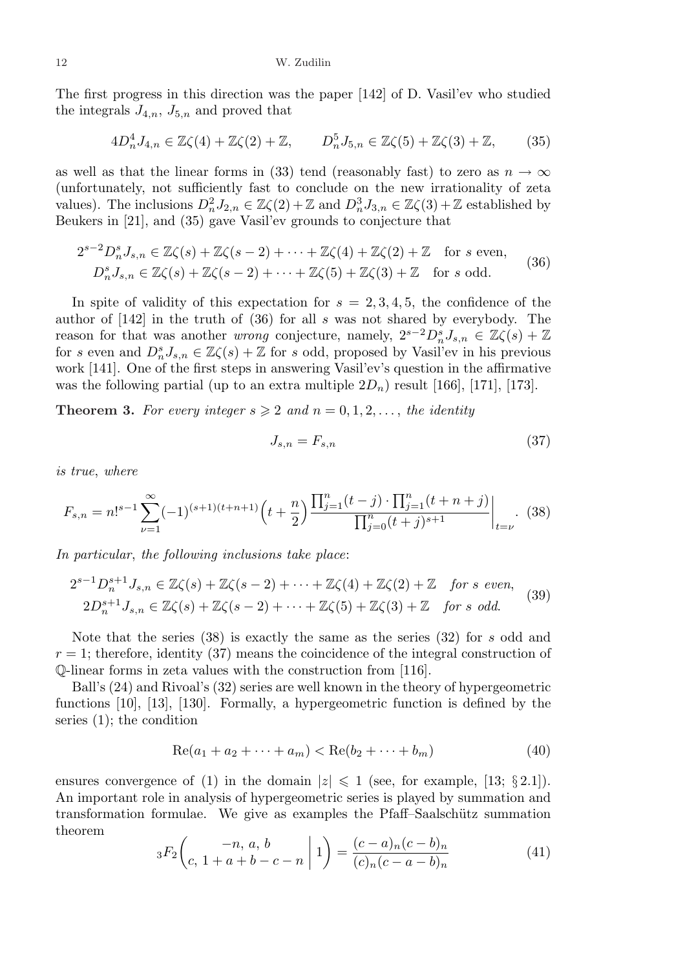The first progress in this direction was the paper [142] of D. Vasil'ev who studied the integrals  $J_{4,n}$ ,  $J_{5,n}$  and proved that

$$
4D_n^4 J_{4,n} \in \mathbb{Z}\zeta(4) + \mathbb{Z}\zeta(2) + \mathbb{Z}, \qquad D_n^5 J_{5,n} \in \mathbb{Z}\zeta(5) + \mathbb{Z}\zeta(3) + \mathbb{Z}, \tag{35}
$$

as well as that the linear forms in (33) tend (reasonably fast) to zero as  $n \to \infty$ (unfortunately, not sufficiently fast to conclude on the new irrationality of zeta values). The inclusions  $D_n^2 J_{2,n} \in \mathbb{Z}\zeta(2) + \mathbb{Z}$  and  $D_n^3 J_{3,n} \in \mathbb{Z}\zeta(3) + \mathbb{Z}$  established by Beukers in [21], and (35) gave Vasil'ev grounds to conjecture that

$$
2^{s-2}D_n^s J_{s,n} \in \mathbb{Z}\zeta(s) + \mathbb{Z}\zeta(s-2) + \dots + \mathbb{Z}\zeta(4) + \mathbb{Z}\zeta(2) + \mathbb{Z} \quad \text{for } s \text{ even},
$$
  
\n
$$
D_n^s J_{s,n} \in \mathbb{Z}\zeta(s) + \mathbb{Z}\zeta(s-2) + \dots + \mathbb{Z}\zeta(5) + \mathbb{Z}\zeta(3) + \mathbb{Z} \quad \text{for } s \text{ odd}.
$$
 (36)

In spite of validity of this expectation for  $s = 2, 3, 4, 5$ , the confidence of the author of [142] in the truth of (36) for all s was not shared by everybody. The reason for that was another *wrong* conjecture, namely,  $2^{s-2}D_n^sJ_{s,n} \in \mathbb{Z}\zeta(s) + \mathbb{Z}$ for s even and  $D_n^s J_{s,n} \in \mathbb{Z}\zeta(s) + \mathbb{Z}$  for s odd, proposed by Vasil'ev in his previous work [141]. One of the first steps in answering Vasil'ev's question in the affirmative was the following partial (up to an extra multiple  $2D_n$ ) result [166], [171], [173].

**Theorem 3.** For every integer  $s \geq 2$  and  $n = 0, 1, 2, \ldots$ , the identity

$$
J_{s,n} = F_{s,n} \tag{37}
$$

is true, where

$$
F_{s,n} = n!^{s-1} \sum_{\nu=1}^{\infty} (-1)^{(s+1)(t+n+1)} \left( t + \frac{n}{2} \right) \frac{\prod_{j=1}^{n} (t-j) \cdot \prod_{j=1}^{n} (t+n+j)}{\prod_{j=0}^{n} (t+j)^{s+1}} \Big|_{t=\nu}.
$$
 (38)

In particular, the following inclusions take place:

$$
2^{s-1}D_n^{s+1}J_{s,n} \in \mathbb{Z}\zeta(s) + \mathbb{Z}\zeta(s-2) + \cdots + \mathbb{Z}\zeta(4) + \mathbb{Z}\zeta(2) + \mathbb{Z} \quad \text{for s even,}
$$
  

$$
2D_n^{s+1}J_{s,n} \in \mathbb{Z}\zeta(s) + \mathbb{Z}\zeta(s-2) + \cdots + \mathbb{Z}\zeta(5) + \mathbb{Z}\zeta(3) + \mathbb{Z} \quad \text{for s odd.}
$$
 (39)

Note that the series  $(38)$  is exactly the same as the series  $(32)$  for s odd and  $r = 1$ ; therefore, identity (37) means the coincidence of the integral construction of Q-linear forms in zeta values with the construction from [116].

Ball's (24) and Rivoal's (32) series are well known in the theory of hypergeometric functions [10], [13], [130]. Formally, a hypergeometric function is defined by the series (1); the condition

$$
Re(a_1 + a_2 + \dots + a_m) < Re(b_2 + \dots + b_m) \tag{40}
$$

ensures convergence of (1) in the domain  $|z| \leq 1$  (see, for example, [13; § 2.1]). An important role in analysis of hypergeometric series is played by summation and transformation formulae. We give as examples the Pfaff–Saalschütz summation theorem  $\overline{a}$  $\overline{a}$  $\mathbf{r}$ 

$$
{}_{3}F_{2}\left(\begin{array}{c} -n, a, b \\ c, 1+a+b-c-n \end{array}\middle| 1\right) = \frac{(c-a)_{n}(c-b)_{n}}{(c)_{n}(c-a-b)_{n}} \tag{41}
$$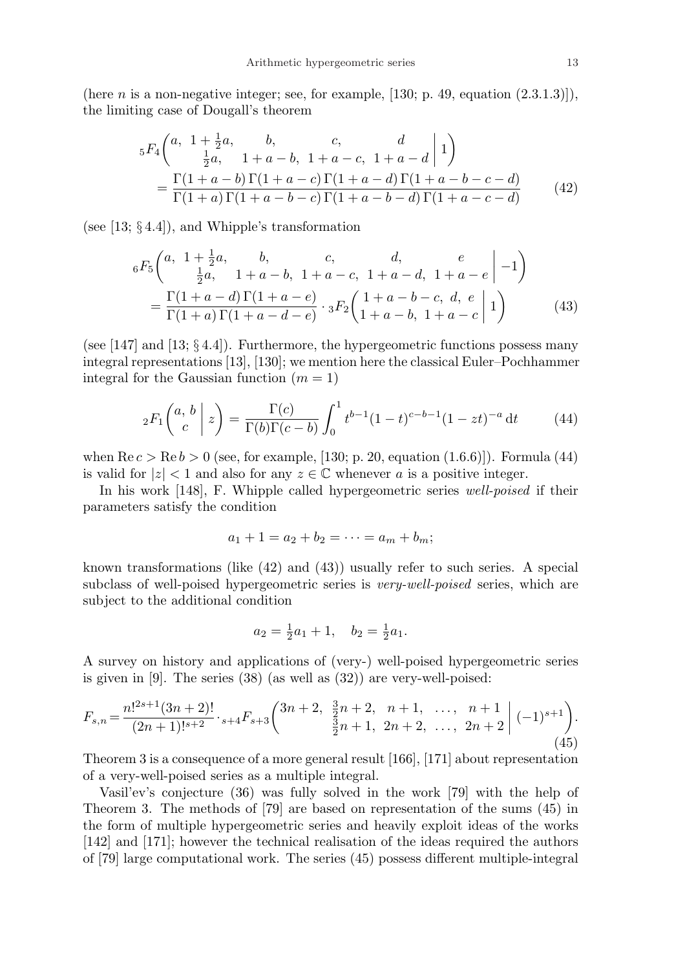(here *n* is a non-negative integer; see, for example,  $[130; p. 49, equation (2.3.1.3)]$ ), the limiting case of Dougall's theorem

$$
{}_{5}F_{4}\left(a, 1+\frac{1}{2}a, b, c, d\left|1\right\rangle\right)
$$
  
= 
$$
\frac{\Gamma(1+a-b)}{\Gamma(1+a)\Gamma(1+a-c)}\frac{\Gamma(1+a-c)}{\Gamma(1+a)(1+a-c)\Gamma(1+a-d)\Gamma(1+a-c-d)} \qquad (42)
$$

(see [13;  $\S 4.4$ ]), and Whipple's transformation

$$
{}_{6}F_{5}\left(a, 1+\frac{1}{2}a, b, c, d, e \mid -1\right)
$$
  
= 
$$
\frac{\Gamma(1+a-d)\Gamma(1+a-e)}{\Gamma(1+a)\Gamma(1+a-d-e)} \cdot {}_{3}F_{2}\left(1+a-b, 1+a-c, d, e \mid 1\right)
$$
  
= 
$$
\frac{\Gamma(1+a-d)\Gamma(1+a-e)}{\Gamma(1+a)\Gamma(1+a-d-e)} \cdot {}_{3}F_{2}\left(1+a-b, 1+a-c \mid 1\right)
$$
 (43)

(see [147] and [13;  $\S 4.4$ ]). Furthermore, the hypergeometric functions possess many integral representations [13], [130]; we mention here the classical Euler–Pochhammer integral for the Gaussian function  $(m = 1)$ 

$$
{}_2F_1\binom{a, b}{c} z = \frac{\Gamma(c)}{\Gamma(b)\Gamma(c - b)} \int_0^1 t^{b-1} (1 - t)^{c - b - 1} (1 - zt)^{-a} dt \tag{44}
$$

when  $\text{Re } c > \text{Re } b > 0$  (see, for example, [130; p. 20, equation (1.6.6)]). Formula (44) is valid for  $|z| < 1$  and also for any  $z \in \mathbb{C}$  whenever a is a positive integer.

In his work [148], F. Whipple called hypergeometric series well-poised if their parameters satisfy the condition

$$
a_1 + 1 = a_2 + b_2 = \cdots = a_m + b_m;
$$

known transformations (like (42) and (43)) usually refer to such series. A special subclass of well-poised hypergeometric series is *very-well-poised* series, which are subject to the additional condition

$$
a_2 = \frac{1}{2}a_1 + 1, \quad b_2 = \frac{1}{2}a_1.
$$

A survey on history and applications of (very-) well-poised hypergeometric series is given in [9]. The series (38) (as well as (32)) are very-well-poised:

$$
F_{s,n} = \frac{n!^{2s+1}(3n+2)!}{(2n+1)!^{s+2}} \cdot {}_{s+4}F_{s+3}\left(\begin{matrix} 3n+2, & \frac{3}{2}n+2, & n+1, & \dots, & n+1\\ & \frac{3}{2}n+1, & 2n+2, & \dots, & 2n+2 \end{matrix}\right) (-1)^{s+1}\right). \tag{45}
$$

Theorem 3 is a consequence of a more general result [166], [171] about representation of a very-well-poised series as a multiple integral.

Vasil'ev's conjecture (36) was fully solved in the work [79] with the help of Theorem 3. The methods of [79] are based on representation of the sums (45) in the form of multiple hypergeometric series and heavily exploit ideas of the works [142] and [171]; however the technical realisation of the ideas required the authors of [79] large computational work. The series (45) possess different multiple-integral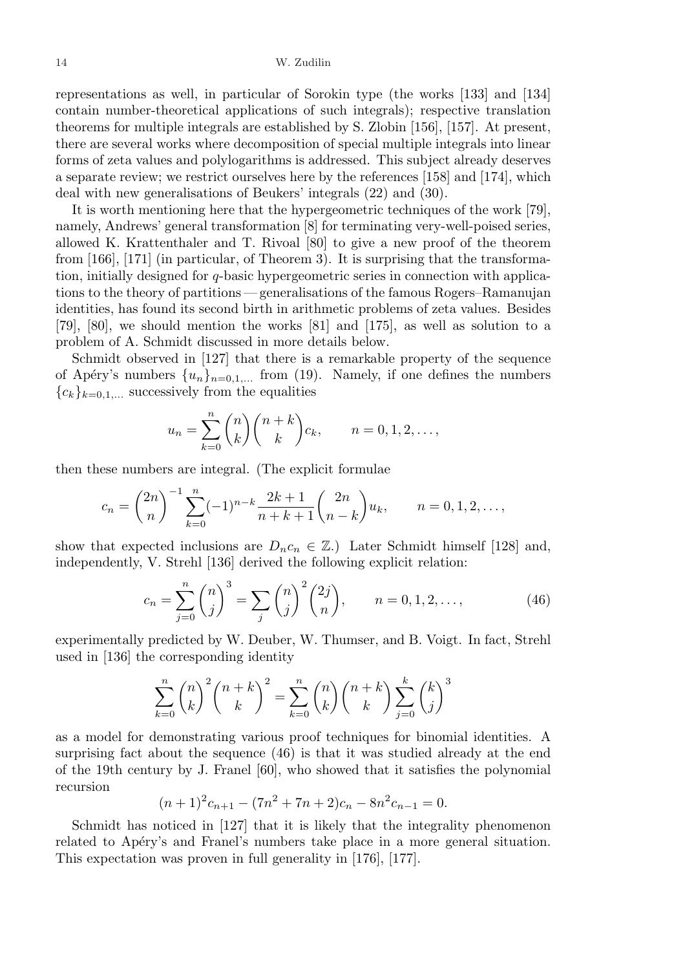representations as well, in particular of Sorokin type (the works [133] and [134] contain number-theoretical applications of such integrals); respective translation theorems for multiple integrals are established by S. Zlobin [156], [157]. At present, there are several works where decomposition of special multiple integrals into linear forms of zeta values and polylogarithms is addressed. This subject already deserves a separate review; we restrict ourselves here by the references [158] and [174], which deal with new generalisations of Beukers' integrals (22) and (30).

It is worth mentioning here that the hypergeometric techniques of the work [79], namely, Andrews' general transformation [8] for terminating very-well-poised series, allowed K. Krattenthaler and T. Rivoal [80] to give a new proof of the theorem from [166], [171] (in particular, of Theorem 3). It is surprising that the transformation, initially designed for q-basic hypergeometric series in connection with applications to the theory of partitions — generalisations of the famous Rogers–Ramanujan identities, has found its second birth in arithmetic problems of zeta values. Besides [79], [80], we should mention the works [81] and [175], as well as solution to a problem of A. Schmidt discussed in more details below.

Schmidt observed in [127] that there is a remarkable property of the sequence of Apéry's numbers  $\{u_n\}_{n=0,1,\dots}$  from (19). Namely, if one defines the numbers  ${c_k}_{k=0,1,...}$  successively from the equalities

$$
u_n = \sum_{k=0}^n \binom{n}{k} \binom{n+k}{k} c_k, \qquad n = 0, 1, 2, \dots,
$$

then these numbers are integral. (The explicit formulae

$$
c_n = {2n \choose n}^{-1} \sum_{k=0}^n (-1)^{n-k} \frac{2k+1}{n+k+1} {2n \choose n-k} u_k, \qquad n = 0, 1, 2, \dots,
$$

show that expected inclusions are  $D_n c_n \in \mathbb{Z}$ .) Later Schmidt himself [128] and, independently, V. Strehl [136] derived the following explicit relation:

$$
c_n = \sum_{j=0}^n \binom{n}{j}^3 = \sum_j \binom{n}{j}^2 \binom{2j}{n}, \qquad n = 0, 1, 2, \dots,
$$
 (46)

experimentally predicted by W. Deuber, W. Thumser, and B. Voigt. In fact, Strehl used in [136] the corresponding identity

$$
\sum_{k=0}^{n} \binom{n}{k}^{2} \binom{n+k}{k}^{2} = \sum_{k=0}^{n} \binom{n}{k} \binom{n+k}{k} \sum_{j=0}^{k} \binom{k}{j}^{3}
$$

as a model for demonstrating various proof techniques for binomial identities. A surprising fact about the sequence (46) is that it was studied already at the end of the 19th century by J. Franel [60], who showed that it satisfies the polynomial recursion

$$
(n+1)^2 c_{n+1} - (7n^2 + 7n + 2)c_n - 8n^2 c_{n-1} = 0.
$$

Schmidt has noticed in [127] that it is likely that the integrality phenomenon related to Apéry's and Franel's numbers take place in a more general situation. This expectation was proven in full generality in [176], [177].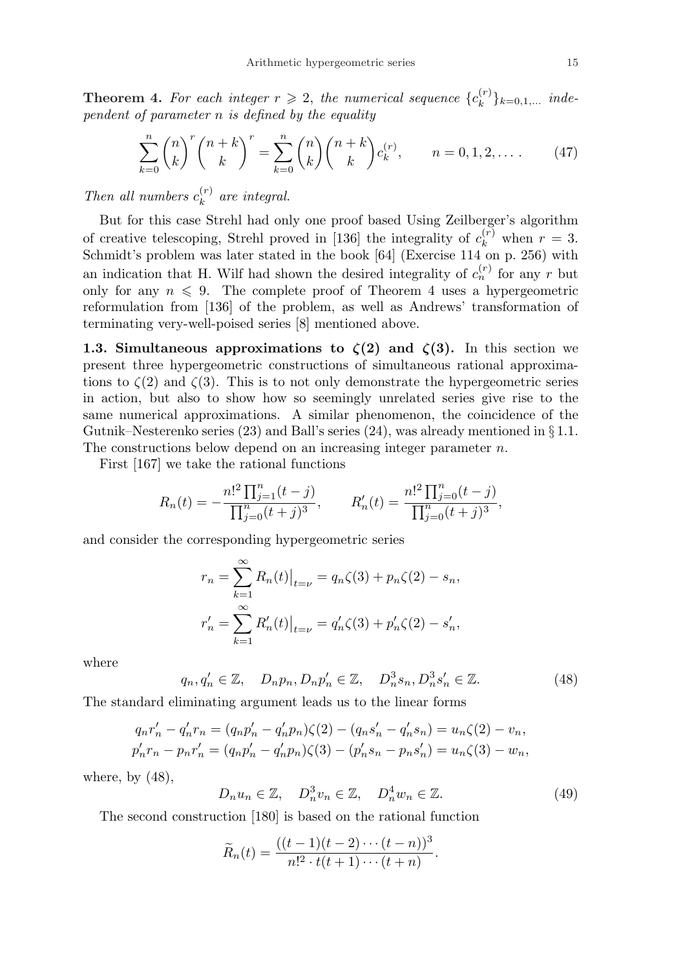**Theorem 4.** For each integer  $r \geq 2$ , the numerical sequence  $\{c_k^{(r)}\}$  ${k \choose k}$ <sub>k=0,1,...</sub> independent of parameter  $n$  is defined by the equality

$$
\sum_{k=0}^{n} \binom{n}{k}^{r} \binom{n+k}{k}^{r} = \sum_{k=0}^{n} \binom{n}{k} \binom{n+k}{k} c_k^{(r)}, \qquad n = 0, 1, 2, \dots \tag{47}
$$

Then all numbers  $c_k^{(r)}$  $\binom{r}{k}$  are integral.

But for this case Strehl had only one proof based Using Zeilberger's algorithm of creative telescoping, Strehl proved in [136] the integrality of  $c_k^{(r)}$  $\binom{r}{k}$  when  $r = 3$ . Schmidt's problem was later stated in the book [64] (Exercise 114 on p. 256) with an indication that H. Wilf had shown the desired integrality of  $c_n^{(r)}$  for any r but only for any  $n \leq 9$ . The complete proof of Theorem 4 uses a hypergeometric reformulation from [136] of the problem, as well as Andrews' transformation of terminating very-well-poised series [8] mentioned above.

1.3. Simultaneous approximations to  $\zeta(2)$  and  $\zeta(3)$ . In this section we present three hypergeometric constructions of simultaneous rational approximations to  $\zeta(2)$  and  $\zeta(3)$ . This is to not only demonstrate the hypergeometric series in action, but also to show how so seemingly unrelated series give rise to the same numerical approximations. A similar phenomenon, the coincidence of the Gutnik–Nesterenko series (23) and Ball's series (24), was already mentioned in § 1.1. The constructions below depend on an increasing integer parameter  $n$ .

First [167] we take the rational functions

$$
R_n(t) = -\frac{n!^2 \prod_{j=1}^n (t-j)}{\prod_{j=0}^n (t+j)^3}, \qquad R'_n(t) = \frac{n!^2 \prod_{j=0}^n (t-j)}{\prod_{j=0}^n (t+j)^3},
$$

and consider the corresponding hypergeometric series

$$
r_n = \sum_{k=1}^{\infty} R_n(t) \Big|_{t=\nu} = q_n \zeta(3) + p_n \zeta(2) - s_n,
$$
  

$$
r'_n = \sum_{k=1}^{\infty} R'_n(t) \Big|_{t=\nu} = q'_n \zeta(3) + p'_n \zeta(2) - s'_n,
$$

where

$$
q_n, q'_n \in \mathbb{Z}, \quad D_n p_n, D_n p'_n \in \mathbb{Z}, \quad D_n^3 s_n, D_n^3 s'_n \in \mathbb{Z}.
$$
 (48)

The standard eliminating argument leads us to the linear forms

$$
q_n r'_n - q'_n r_n = (q_n p'_n - q'_n p_n) \zeta(2) - (q_n s'_n - q'_n s_n) = u_n \zeta(2) - v_n,
$$
  

$$
p'_n r_n - p_n r'_n = (q_n p'_n - q'_n p_n) \zeta(3) - (p'_n s_n - p_n s'_n) = u_n \zeta(3) - w_n,
$$

where, by  $(48)$ ,

$$
D_n u_n \in \mathbb{Z}, \quad D_n^3 v_n \in \mathbb{Z}, \quad D_n^4 w_n \in \mathbb{Z}.
$$
 (49)

The second construction [180] is based on the rational function

$$
\widetilde{R}_n(t) = \frac{((t-1)(t-2)\cdots(t-n))^3}{n!^2 \cdot t(t+1)\cdots(t+n)}.
$$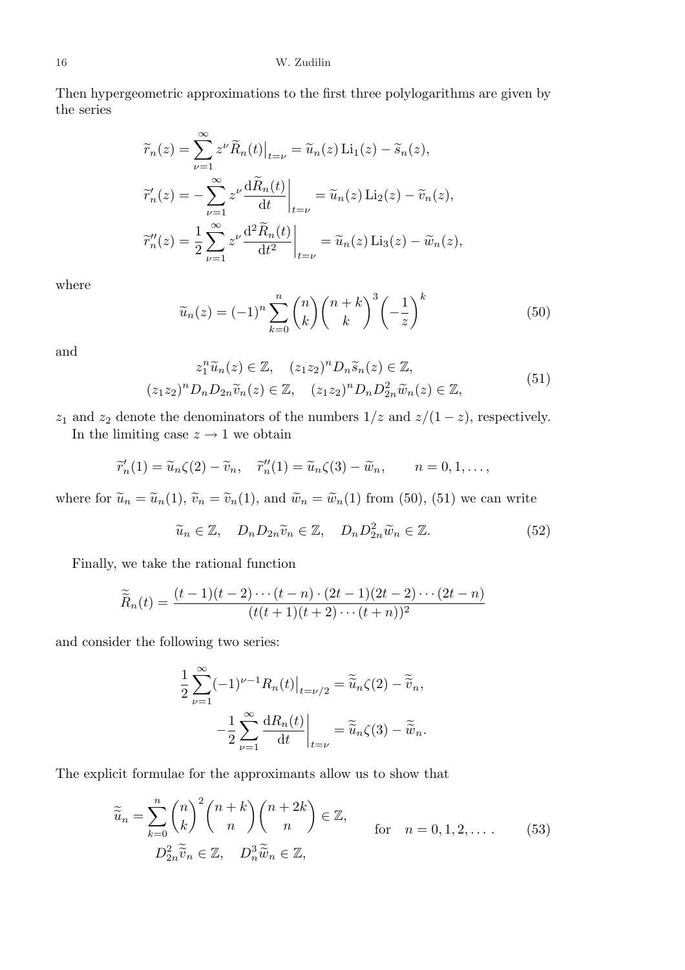Then hypergeometric approximations to the first three polylogarithms are given by the series

$$
\widetilde{r}_n(z) = \sum_{\nu=1}^{\infty} z^{\nu} \widetilde{R}_n(t) \Big|_{t=\nu} = \widetilde{u}_n(z) \operatorname{Li}_1(z) - \widetilde{s}_n(z),
$$
  

$$
\widetilde{r}'_n(z) = -\sum_{\nu=1}^{\infty} z^{\nu} \frac{\mathrm{d}\widetilde{R}_n(t)}{\mathrm{d}t} \Big|_{t=\nu} = \widetilde{u}_n(z) \operatorname{Li}_2(z) - \widetilde{v}_n(z),
$$
  

$$
\widetilde{r}''_n(z) = \frac{1}{2} \sum_{\nu=1}^{\infty} z^{\nu} \frac{\mathrm{d}^2 \widetilde{R}_n(t)}{\mathrm{d}t^2} \Big|_{t=\nu} = \widetilde{u}_n(z) \operatorname{Li}_3(z) - \widetilde{w}_n(z),
$$

where

$$
\widetilde{u}_n(z) = (-1)^n \sum_{k=0}^n {n \choose k} {n+k \choose k}^3 \left(-\frac{1}{z}\right)^k
$$
\n(50)

and

$$
z_1^n \widetilde{u}_n(z) \in \mathbb{Z}, \quad (z_1 z_2)^n D_n \widetilde{s}_n(z) \in \mathbb{Z},
$$
  

$$
(z_1 z_2)^n D_n D_{2n} \widetilde{v}_n(z) \in \mathbb{Z}, \quad (z_1 z_2)^n D_n D_{2n}^2 \widetilde{w}_n(z) \in \mathbb{Z},
$$
  
(51)

 $z_1$  and  $z_2$  denote the denominators of the numbers  $1/z$  and  $z/(1-z)$ , respectively.

In the limiting case  $z \to 1$  we obtain

$$
\widetilde{r}_n'(1) = \widetilde{u}_n(\zeta(2) - \widetilde{v}_n, \quad \widetilde{r}_n''(1) = \widetilde{u}_n(\zeta(3) - \widetilde{w}_n, \qquad n = 0, 1, \dots,
$$

where for  $\tilde{u}_n = \tilde{u}_n(1)$ ,  $\tilde{v}_n = \tilde{v}_n(1)$ , and  $\tilde{w}_n = \tilde{w}_n(1)$  from (50), (51) we can write

$$
\widetilde{u}_n \in \mathbb{Z}, \quad D_n D_{2n} \widetilde{v}_n \in \mathbb{Z}, \quad D_n D_{2n}^2 \widetilde{w}_n \in \mathbb{Z}.
$$
\n
$$
(52)
$$

Finally, we take the rational function

$$
\widetilde{R}_n(t) = \frac{(t-1)(t-2)\cdots(t-n)\cdot(2t-1)(2t-2)\cdots(2t-n)}{(t(t+1)(t+2)\cdots(t+n))^2}
$$

and consider the following two series:

$$
\frac{1}{2} \sum_{\nu=1}^{\infty} (-1)^{\nu-1} R_n(t) \Big|_{t=\nu/2} = \widetilde{\widetilde{u}}_n \zeta(2) - \widetilde{\widetilde{v}}_n,
$$

$$
-\frac{1}{2} \sum_{\nu=1}^{\infty} \frac{dR_n(t)}{dt} \Big|_{t=\nu} = \widetilde{\widetilde{u}}_n \zeta(3) - \widetilde{\widetilde{w}}_n.
$$

The explicit formulae for the approximants allow us to show that

$$
\widetilde{\widetilde{u}}_n = \sum_{k=0}^n \binom{n}{k}^2 \binom{n+k}{n} \binom{n+2k}{n} \in \mathbb{Z}, \quad \text{for} \quad n = 0, 1, 2, \dots. \tag{53}
$$
\n
$$
D_{2n}^2 \widetilde{\widetilde{v}}_n \in \mathbb{Z}, \quad D_n^3 \widetilde{\widetilde{w}}_n \in \mathbb{Z},
$$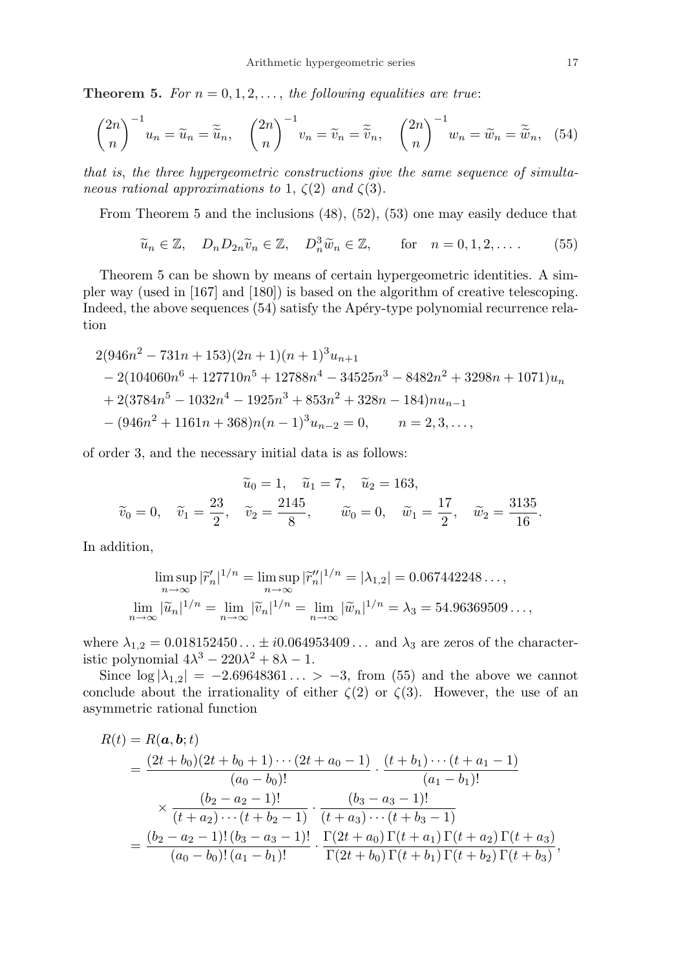**Theorem 5.** For  $n = 0, 1, 2, \ldots$ , the following equalities are true:

$$
\binom{2n}{n}^{-1}u_n = \widetilde{u}_n = \widetilde{\widetilde{u}}_n, \quad \binom{2n}{n}^{-1}v_n = \widetilde{v}_n = \widetilde{\widetilde{v}}_n, \quad \binom{2n}{n}^{-1}w_n = \widetilde{w}_n = \widetilde{\widetilde{w}}_n, \quad (54)
$$

that is, the three hypergeometric constructions give the same sequence of simultaneous rational approximations to 1,  $\zeta(2)$  and  $\zeta(3)$ .

From Theorem 5 and the inclusions (48), (52), (53) one may easily deduce that

$$
\widetilde{u}_n \in \mathbb{Z}, \quad D_n D_{2n} \widetilde{v}_n \in \mathbb{Z}, \quad D_n^3 \widetilde{w}_n \in \mathbb{Z}, \qquad \text{for} \quad n = 0, 1, 2, \dots \tag{55}
$$

Theorem 5 can be shown by means of certain hypergeometric identities. A simpler way (used in [167] and [180]) is based on the algorithm of creative telescoping. Indeed, the above sequences (54) satisfy the Apéry-type polynomial recurrence relation

$$
2(946n2 - 731n + 153)(2n + 1)(n + 1)3un+1
$$
  
- 2(104060n<sup>6</sup> + 127710n<sup>5</sup> + 12788n<sup>4</sup> - 34525n<sup>3</sup> - 8482n<sup>2</sup> + 3298n + 1071)u<sub>n</sub>  
+ 2(3784n<sup>5</sup> - 1032n<sup>4</sup> - 1925n<sup>3</sup> + 853n<sup>2</sup> + 328n - 184)nu<sub>n-1</sub>  
-(946n<sup>2</sup> + 1161n + 368)n(n - 1)<sup>3</sup>u<sub>n-2</sub> = 0, n = 2, 3, ...,

of order 3, and the necessary initial data is as follows:

$$
\widetilde{u}_0 = 1, \quad \widetilde{u}_1 = 7, \quad \widetilde{u}_2 = 163,
$$
\n $\widetilde{v}_0 = 0, \quad \widetilde{v}_1 = \frac{23}{2}, \quad \widetilde{v}_2 = \frac{2145}{8}, \quad \widetilde{w}_0 = 0, \quad \widetilde{w}_1 = \frac{17}{2}, \quad \widetilde{w}_2 = \frac{3135}{16}.$ 

In addition,

$$
\limsup_{n \to \infty} |\widetilde{r}'_n|^{1/n} = \limsup_{n \to \infty} |\widetilde{r}''_n|^{1/n} = |\lambda_{1,2}| = 0.067442248\dots,
$$
  

$$
\lim_{n \to \infty} |\widetilde{u}_n|^{1/n} = \lim_{n \to \infty} |\widetilde{v}_n|^{1/n} = \lim_{n \to \infty} |\widetilde{w}_n|^{1/n} = \lambda_3 = 54.96369509\dots,
$$

where  $\lambda_{1,2} = 0.018152450... \pm i0.064953409...$  and  $\lambda_3$  are zeros of the characteristic polynomial  $4\lambda^3 - 220\lambda^2 + 8\lambda - 1$ .

Since  $\log |\lambda_{1,2}| = -2.69648361... > -3$ , from (55) and the above we cannot conclude about the irrationality of either  $\zeta(2)$  or  $\zeta(3)$ . However, the use of an asymmetric rational function

$$
R(t) = R(a, b; t)
$$
  
= 
$$
\frac{(2t + b_0)(2t + b_0 + 1) \cdots (2t + a_0 - 1)}{(a_0 - b_0)!} \cdot \frac{(t + b_1) \cdots (t + a_1 - 1)}{(a_1 - b_1)!}
$$
  

$$
\times \frac{(b_2 - a_2 - 1)!}{(t + a_2) \cdots (t + b_2 - 1)} \cdot \frac{(b_3 - a_3 - 1)!}{(t + a_3) \cdots (t + b_3 - 1)}
$$
  
= 
$$
\frac{(b_2 - a_2 - 1)!(b_3 - a_3 - 1)!}{(a_0 - b_0)!(a_1 - b_1)!} \cdot \frac{\Gamma(2t + a_0)\Gamma(t + a_1)\Gamma(t + a_2)\Gamma(t + a_3)}{\Gamma(2t + b_0)\Gamma(t + b_1)\Gamma(t + b_2)\Gamma(t + b_3)},
$$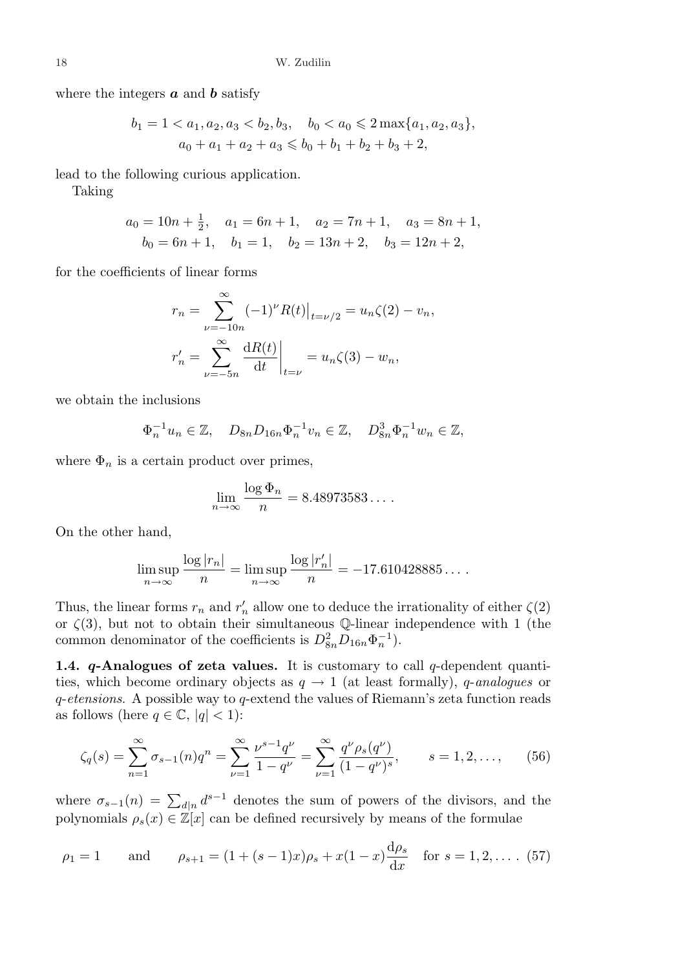where the integers  $\boldsymbol{a}$  and  $\boldsymbol{b}$  satisfy

$$
b_1 = 1 < a_1, a_2, a_3 < b_2, b_3, \quad b_0 < a_0 \le 2 \max\{a_1, a_2, a_3\},
$$
  

$$
a_0 + a_1 + a_2 + a_3 \le b_0 + b_1 + b_2 + b_3 + 2,
$$

lead to the following curious application.

Taking

$$
a_0 = 10n + \frac{1}{2}
$$
,  $a_1 = 6n + 1$ ,  $a_2 = 7n + 1$ ,  $a_3 = 8n + 1$ ,  
\n $b_0 = 6n + 1$ ,  $b_1 = 1$ ,  $b_2 = 13n + 2$ ,  $b_3 = 12n + 2$ ,

for the coefficients of linear forms

$$
r_n = \sum_{\nu=-10n}^{\infty} (-1)^{\nu} R(t) \Big|_{t=\nu/2} = u_n \zeta(2) - v_n,
$$
  

$$
r'_n = \sum_{\nu=-5n}^{\infty} \frac{dR(t)}{dt} \Big|_{t=\nu} = u_n \zeta(3) - w_n,
$$

we obtain the inclusions

$$
\Phi_n^{-1}u_n \in \mathbb{Z}, \quad D_{8n}D_{16n}\Phi_n^{-1}v_n \in \mathbb{Z}, \quad D_{8n}^3\Phi_n^{-1}w_n \in \mathbb{Z},
$$

where  $\Phi_n$  is a certain product over primes,

$$
\lim_{n \to \infty} \frac{\log \Phi_n}{n} = 8.48973583\dots.
$$

On the other hand,

$$
\limsup_{n \to \infty} \frac{\log |r_n|}{n} = \limsup_{n \to \infty} \frac{\log |r'_n|}{n} = -17.610428885\dots
$$

Thus, the linear forms  $r_n$  and  $r'_n$  allow one to deduce the irrationality of either  $\zeta(2)$ or  $\zeta(3)$ , but not to obtain their simultaneous Q-linear independence with 1 (the common denominator of the coefficients is  $D_{8n}^2 D_{16n} \Phi_n^{-1}$ .

**1.4. q-Analogues of zeta values.** It is customary to call q-dependent quantities, which become ordinary objects as  $q \to 1$  (at least formally), q-analogues or q-etensions. A possible way to q-extend the values of Riemann's zeta function reads as follows (here  $q \in \mathbb{C}$ ,  $|q| < 1$ ):

$$
\zeta_q(s) = \sum_{n=1}^{\infty} \sigma_{s-1}(n) q^n = \sum_{\nu=1}^{\infty} \frac{\nu^{s-1} q^{\nu}}{1 - q^{\nu}} = \sum_{\nu=1}^{\infty} \frac{q^{\nu} \rho_s(q^{\nu})}{(1 - q^{\nu})^s}, \qquad s = 1, 2, \dots, \tag{56}
$$

where  $\sigma_{s-1}(n) = \sum_{d|n} d^{s-1}$  denotes the sum of powers of the divisors, and the polynomials  $\rho_s(x) \in \mathbb{Z}[x]$  can be defined recursively by means of the formulae

$$
\rho_1 = 1
$$
 and  $\rho_{s+1} = (1 + (s-1)x)\rho_s + x(1-x)\frac{d\rho_s}{dx}$  for  $s = 1, 2, ...$  (57)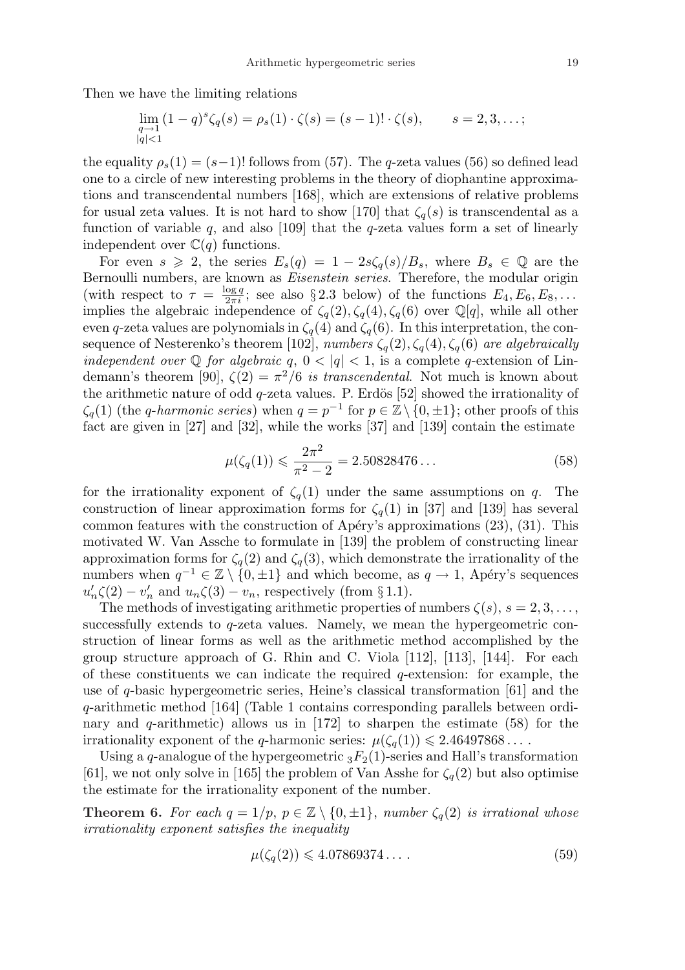Then we have the limiting relations

$$
\lim_{\substack{q \to 1 \\ |q| < 1}} (1 - q)^s \zeta_q(s) = \rho_s(1) \cdot \zeta(s) = (s - 1)! \cdot \zeta(s), \qquad s = 2, 3, \dots;
$$

the equality  $\rho_s(1) = (s-1)!$  follows from (57). The q-zeta values (56) so defined lead one to a circle of new interesting problems in the theory of diophantine approximations and transcendental numbers [168], which are extensions of relative problems for usual zeta values. It is not hard to show [170] that  $\zeta_q(s)$  is transcendental as a function of variable  $q$ , and also [109] that the  $q$ -zeta values form a set of linearly independent over  $\mathbb{C}(q)$  functions.

For even  $s \geq 2$ , the series  $E_s(q) = 1 - 2s\zeta_q(s)/B_s$ , where  $B_s \in \mathbb{Q}$  are the Bernoulli numbers, are known as *Eisenstein series*. Therefore, the modular origin (with respect to  $\tau = \frac{\log q}{2\pi i}$ ; see also § 2.3 below) of the functions  $E_4, E_6, E_8, \ldots$ implies the algebraic independence of  $\zeta_q(2), \zeta_q(4), \zeta_q(6)$  over  $\mathbb{Q}[q]$ , while all other even q-zeta values are polynomials in  $\zeta_q(4)$  and  $\zeta_q(6)$ . In this interpretation, the consequence of Nesterenko's theorem [102], numbers  $\zeta_q(2), \zeta_q(4), \zeta_q(6)$  are algebraically independent over  $\mathbb Q$  for algebraic  $q, 0 < |q| < 1$ , is a complete q-extension of Lindemann's theorem [90],  $\zeta(2) = \pi^2/6$  is transcendental. Not much is known about the arithmetic nature of odd  $q$ -zeta values. P. Erdös [52] showed the irrationality of  $\zeta_q(1)$  (the *q-harmonic series*) when  $q = p^{-1}$  for  $p \in \mathbb{Z} \setminus \{0, \pm 1\}$ ; other proofs of this fact are given in [27] and [32], while the works [37] and [139] contain the estimate

$$
\mu(\zeta_q(1)) \leqslant \frac{2\pi^2}{\pi^2 - 2} = 2.50828476\ldots \tag{58}
$$

for the irrationality exponent of  $\zeta_q(1)$  under the same assumptions on q. The construction of linear approximation forms for  $\zeta_q(1)$  in [37] and [139] has several common features with the construction of Apéry's approximations  $(23)$ ,  $(31)$ . This motivated W. Van Assche to formulate in [139] the problem of constructing linear approximation forms for  $\zeta_q(2)$  and  $\zeta_q(3)$ , which demonstrate the irrationality of the numbers when  $q^{-1} \in \mathbb{Z} \setminus \{0, \pm 1\}$  and which become, as  $q \to 1$ , Apéry's sequences  $u'_n\zeta(2) - v'_n$  and  $u_n\zeta(3) - v_n$ , respectively (from §1.1).

The methods of investigating arithmetic properties of numbers  $\zeta(s)$ ,  $s = 2, 3, \ldots$ , successfully extends to q-zeta values. Namely, we mean the hypergeometric construction of linear forms as well as the arithmetic method accomplished by the group structure approach of G. Rhin and C. Viola [112], [113], [144]. For each of these constituents we can indicate the required  $q$ -extension: for example, the use of q-basic hypergeometric series, Heine's classical transformation [61] and the q-arithmetic method [164] (Table 1 contains corresponding parallels between ordinary and q-arithmetic) allows us in  $[172]$  to sharpen the estimate (58) for the irrationality exponent of the q-harmonic series:  $\mu(\zeta_q(1)) \leq 2.46497868...$ 

Using a q-analogue of the hypergeometric  ${}_3F_2(1)$ -series and Hall's transformation [61], we not only solve in [165] the problem of Van Asshe for  $\zeta_q(2)$  but also optimise the estimate for the irrationality exponent of the number.

**Theorem 6.** For each  $q = 1/p$ ,  $p \in \mathbb{Z} \setminus \{0, \pm 1\}$ , number  $\zeta_q(2)$  is irrational whose irrationality exponent satisfies the inequality

$$
\mu(\zeta_q(2)) \leqslant 4.07869374\ldots \tag{59}
$$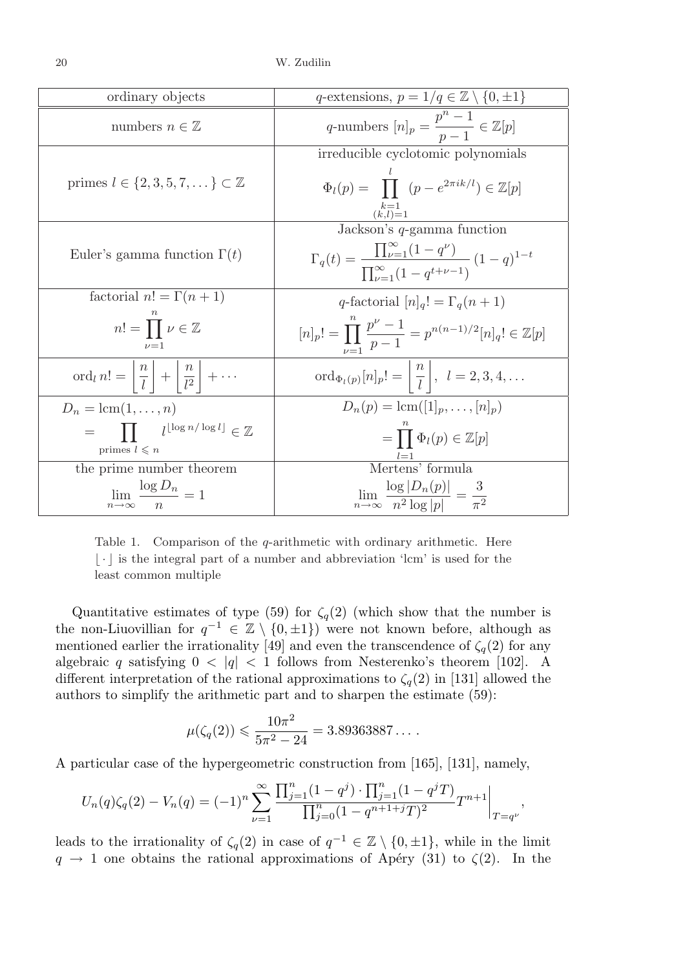| ordinary objects                                                                                                   | q-extensions, $p = 1/q \in \mathbb{Z} \setminus \{0, \pm 1\}$                                                                                                               |
|--------------------------------------------------------------------------------------------------------------------|-----------------------------------------------------------------------------------------------------------------------------------------------------------------------------|
| numbers $n \in \mathbb{Z}$                                                                                         | q-numbers $[n]_p = \frac{p^n - 1}{p - 1} \in \mathbb{Z}[p]$                                                                                                                 |
| primes $l \in \{2, 3, 5, 7, \dots\} \subset \mathbb{Z}$                                                            | irreducible cyclotomic polynomials<br>$\Phi_l(p) = \prod (p - e^{2\pi i k/l}) \in \mathbb{Z}[p]$<br>$\frac{\binom{k-1}{(k,l)=1}}{\text{Jackson's }q\text{-gamma function}}$ |
| Euler's gamma function $\Gamma(t)$                                                                                 | $\Gamma_q(t) = \frac{\prod_{\nu=1}^{\infty} (1 - q^{\nu})}{\prod_{\nu=1}^{\infty} (1 - q^{t + \nu - 1})} (1 - q)^{1 - t}$                                                   |
| factorial $n! = \Gamma(n+1)$                                                                                       | q-factorial $[n]_q! = \Gamma_q(n+1)$                                                                                                                                        |
| $n! = \prod \nu \in \mathbb{Z}$<br>$\nu = 1$                                                                       | $[n]_p! = \prod_{n=1}^{\infty} \frac{p^{\nu}-1}{p-1} = p^{n(n-1)/2}[n]_q! \in \mathbb{Z}[p]$                                                                                |
| ord <sub>l</sub> $n! = \left\lfloor \frac{n}{l} \right\rfloor + \left\lfloor \frac{n}{l^2} \right\rfloor + \cdots$ | $\mathrm{ord}_{\Phi_l(p)}[n]_p! = \left\lfloor \frac{n}{l} \right\rfloor, \ \ l = 2, 3, 4, \ldots$                                                                          |
| $D_n = \text{lcm}(1,\ldots,n)$                                                                                     | $D_n(p) = \text{lcm}([1]_p, \ldots, [n]_p)$                                                                                                                                 |
| $=$ $\prod$ $l^{\lfloor \log n / \log l \rfloor} \in \mathbb{Z}$<br>primes $l \leq n$                              | $=\prod \Phi_l(p) \in \mathbb{Z}[p]$                                                                                                                                        |
| the prime number theorem                                                                                           | Mertens' formula                                                                                                                                                            |
| $\lim \frac{\log D_n}{\log n} = 1$<br>$n\rightarrow\infty$                                                         | $\lim_{n\to\infty}\frac{\log D_n(p) }{n^2\log p }=\frac{3}{\pi^2}$                                                                                                          |

Table 1. Comparison of the  $q$ -arithmetic with ordinary arithmetic. Here  $\lfloor \cdot \rfloor$  is the integral part of a number and abbreviation 'lcm' is used for the least common multiple

Quantitative estimates of type (59) for  $\zeta_q(2)$  (which show that the number is the non-Liuovillian for  $q^{-1} \in \mathbb{Z} \setminus \{0, \pm 1\}$  were not known before, although as mentioned earlier the irrationality [49] and even the transcendence of  $\zeta_q(2)$  for any algebraic q satisfying  $0 < |q| < 1$  follows from Nesterenko's theorem [102]. A different interpretation of the rational approximations to  $\zeta_q(2)$  in [131] allowed the authors to simplify the arithmetic part and to sharpen the estimate (59):

$$
\mu(\zeta_q(2)) \leqslant \frac{10\pi^2}{5\pi^2 - 24} = 3.89363887\dots.
$$

A particular case of the hypergeometric construction from [165], [131], namely,

$$
U_n(q)\zeta_q(2) - V_n(q) = (-1)^n \sum_{\nu=1}^{\infty} \frac{\prod_{j=1}^n (1-q^j) \cdot \prod_{j=1}^n (1-q^j) \cdot T^{n+1}}{\prod_{j=0}^n (1-q^{n+1+j}T)^2} T^{n+1} \Big|_{T=q^{\nu}},
$$

leads to the irrationality of  $\zeta_q(2)$  in case of  $q^{-1} \in \mathbb{Z} \setminus \{0, \pm 1\}$ , while in the limit  $q \rightarrow 1$  one obtains the rational approximations of Apéry (31) to  $\zeta(2)$ . In the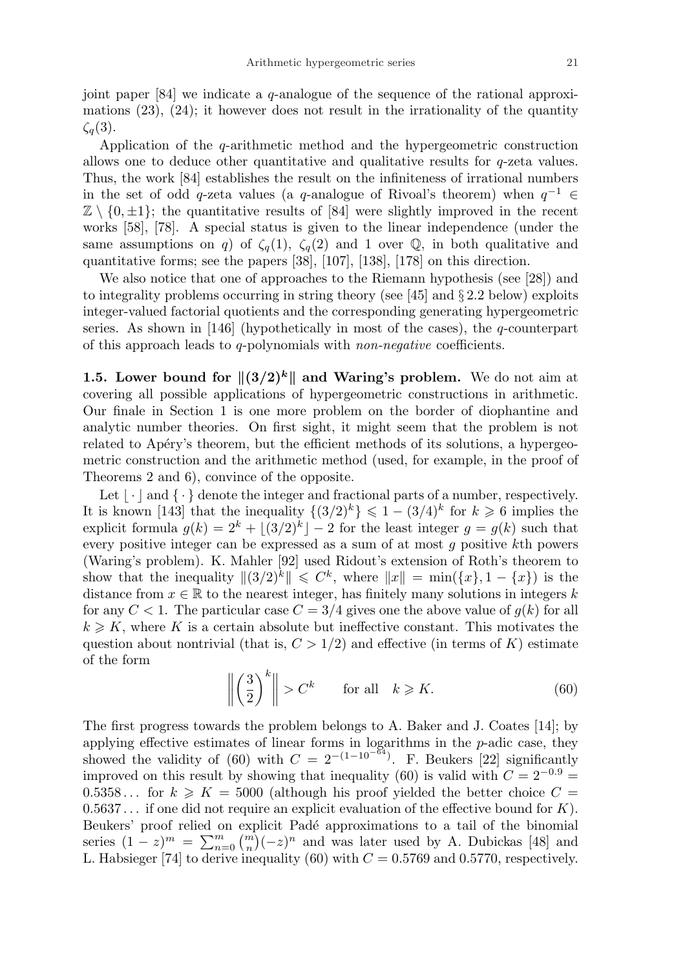joint paper  $[84]$  we indicate a q-analogue of the sequence of the rational approximations  $(23)$ ,  $(24)$ ; it however does not result in the irrationality of the quantity  $\zeta_q(3)$ .

Application of the  $q$ -arithmetic method and the hypergeometric construction allows one to deduce other quantitative and qualitative results for q-zeta values. Thus, the work [84] establishes the result on the infiniteness of irrational numbers in the set of odd q-zeta values (a q-analogue of Rivoal's theorem) when  $q^{-1} \in$  $\mathbb{Z} \setminus \{0, \pm 1\};$  the quantitative results of [84] were slightly improved in the recent works [58], [78]. A special status is given to the linear independence (under the same assumptions on q) of  $\zeta_q(1)$ ,  $\zeta_q(2)$  and 1 over Q, in both qualitative and quantitative forms; see the papers [38], [107], [138], [178] on this direction.

We also notice that one of approaches to the Riemann hypothesis (see [28]) and to integrality problems occurring in string theory (see [45] and § 2.2 below) exploits integer-valued factorial quotients and the corresponding generating hypergeometric series. As shown in [146] (hypothetically in most of the cases), the  $q$ -counterpart of this approach leads to q-polynomials with non-negative coefficients.

1.5. Lower bound for  $\|(3/2)^k\|$  and Waring's problem. We do not aim at covering all possible applications of hypergeometric constructions in arithmetic. Our finale in Section 1 is one more problem on the border of diophantine and analytic number theories. On first sight, it might seem that the problem is not related to Apéry's theorem, but the efficient methods of its solutions, a hypergeometric construction and the arithmetic method (used, for example, in the proof of Theorems 2 and 6), convince of the opposite.

Let  $\vert \cdot \vert$  and  $\vert \cdot \vert$  denote the integer and fractional parts of a number, respectively. It is known [143] that the inequality  $\{(3/2)^k\} \leq 1 - (3/4)^k$  for  $k \geq 6$  implies the explicit formula  $g(k) = 2^k + \lfloor (3/2)^k \rfloor - 2$  for the least integer  $g = g(k)$  such that every positive integer can be expressed as a sum of at most g positive kth powers (Waring's problem). K. Mahler [92] used Ridout's extension of Roth's theorem to show that the inequality  $\|(3/2)^k\| \leqslant C^k$ , where  $||x|| = \min({x}, 1 - {x})$  is the distance from  $x \in \mathbb{R}$  to the nearest integer, has finitely many solutions in integers k for any  $C < 1$ . The particular case  $C = 3/4$  gives one the above value of  $q(k)$  for all  $k \geq K$ , where K is a certain absolute but ineffective constant. This motivates the question about nontrivial (that is,  $C > 1/2$ ) and effective (in terms of K) estimate of the form ° °

$$
\left\| \left( \frac{3}{2} \right)^k \right\| > C^k \quad \text{for all} \quad k \geqslant K. \tag{60}
$$

The first progress towards the problem belongs to A. Baker and J. Coates [14]; by applying effective estimates of linear forms in logarithms in the p-adic case, they showed the validity of (60) with  $C = 2^{-(1-10^{-84})}$ . F. Beukers [22] significantly improved on this result by showing that inequality (60) is valid with  $C = 2^{-0.9}$  $0.5358...$  for  $k \geqslant K = 5000$  (although his proof yielded the better choice  $C =$  $0.5637...$  if one did not require an explicit evaluation of the effective bound for K). Beukers' proof relied on explicit Padé approximations to a tail of the binomial Beukers proof reflect on explicit Pace approximations to a tail of the binomial series  $(1-z)^m = \sum_{n=0}^m {m \choose n} (-z)^n$  and was later used by A. Dubickas [48] and L. Habsieger [74] to derive inequality (60) with  $C = 0.5769$  and 0.5770, respectively.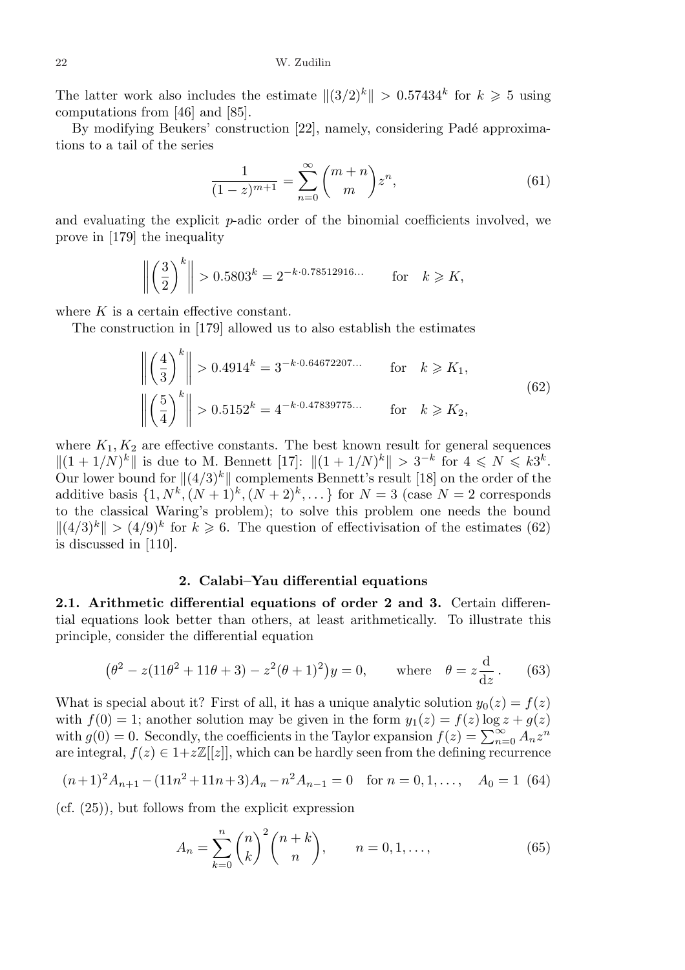The latter work also includes the estimate  $||(3/2)^k|| > 0.57434^k$  for  $k \geq 5$  using computations from [46] and [85].

By modifying Beukers' construction [22], namely, considering Padé approximations to a tail of the series

$$
\frac{1}{(1-z)^{m+1}} = \sum_{n=0}^{\infty} {m+n \choose m} z^n,
$$
\n(61)

and evaluating the explicit p-adic order of the binomial coefficients involved, we prove in [179] the inequality

$$
\left\| \left( \frac{3}{2} \right)^k \right\| > 0.5803^k = 2^{-k \cdot 0.78512916...} \quad \text{for} \quad k \geqslant K,
$$

where  $K$  is a certain effective constant.

The construction in [179] allowed us to also establish the estimates

$$
\left\| \left( \frac{4}{3} \right)^k \right\| > 0.4914^k = 3^{-k \cdot 0.64672207...}
$$
 for  $k \ge K_1$ ,  

$$
\left\| \left( \frac{5}{4} \right)^k \right\| > 0.5152^k = 4^{-k \cdot 0.47839775...}
$$
 for  $k \ge K_2$ , (62)

where  $K_1, K_2$  are effective constants. The best known result for general sequences  $||(1 + 1/N)^k||$  is due to M. Bennett  $[17]$ :  $||(1 + 1/N)^k|| > 3^{-k}$  for  $4 \le N \le k3^k$ . Our lower bound for  $\|(4/3)^k\|$  complements Bennett's result [18] on the order of the additive basis  $\{1, N^k, (N+1)^k, (N+2)^k, \dots\}$  for  $N=3$  (case  $N=2$  corresponds to the classical Waring's problem); to solve this problem one needs the bound  $||(4/3)^k|| > (4/9)^k$  for  $k \ge 6$ . The question of effectivisation of the estimates (62) is discussed in [110].

## 2. Calabi–Yau differential equations

2.1. Arithmetic differential equations of order 2 and 3. Certain differential equations look better than others, at least arithmetically. To illustrate this principle, consider the differential equation

$$
(\theta^2 - z(11\theta^2 + 11\theta + 3) - z^2(\theta + 1)^2)y = 0, \quad \text{where} \quad \theta = z\frac{d}{dz}.
$$
 (63)

What is special about it? First of all, it has a unique analytic solution  $y_0(z) = f(z)$ with  $f(0) = 1$ ; another solution may be given in the form  $y_1(z) = f(z) \log z + g(z)$ with  $g(0) = 0$ . Secondly, the coefficients in the Taylor expansion  $f(z) = \sum_{n=0}^{\infty} A_n z^n$ are integral,  $f(z) \in 1+z\mathbb{Z}[[z]]$ , which can be hardly seen from the defining recurrence

$$
(n+1)^2 A_{n+1} - (11n^2 + 11n + 3)A_n - n^2 A_{n-1} = 0 \quad \text{for } n = 0, 1, ..., \quad A_0 = 1 \tag{64}
$$

 $(cf. (25))$ , but follows from the explicit expression

$$
A_n = \sum_{k=0}^{n} \binom{n}{k}^2 \binom{n+k}{n}, \qquad n = 0, 1, ..., \tag{65}
$$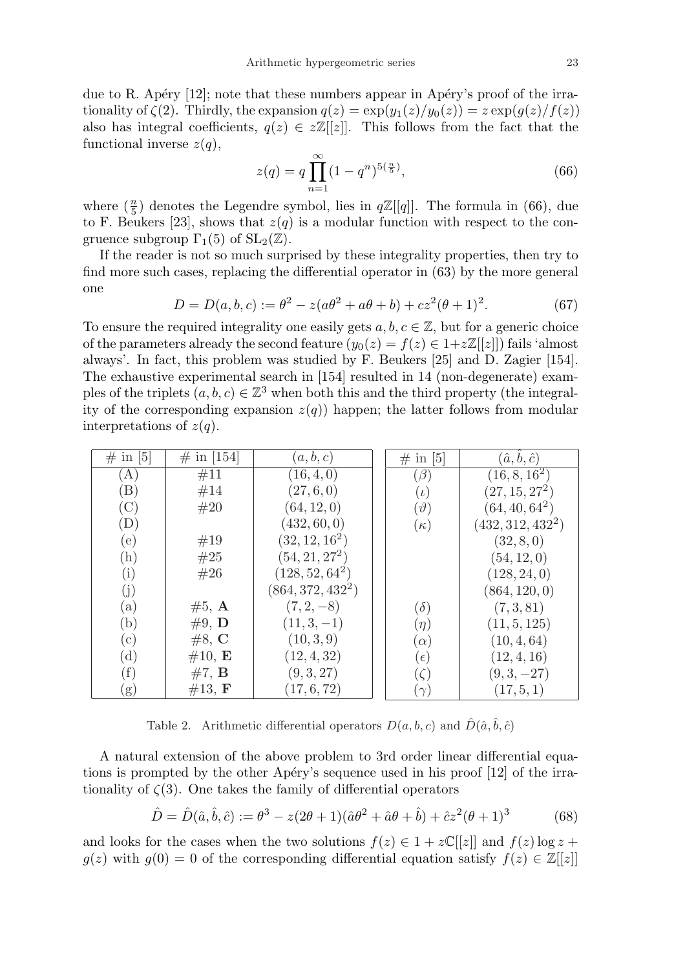due to R. Apéry  $[12]$ ; note that these numbers appear in Apéry's proof of the irrationality of  $\zeta(2)$ . Thirdly, the expansion  $q(z) = \exp(y_1(z)/y_0(z)) = z \exp(g(z)/f(z))$ also has integral coefficients,  $q(z) \in z\mathbb{Z}[[z]]$ . This follows from the fact that the functional inverse  $z(q)$ ,

$$
z(q) = q \prod_{n=1}^{\infty} (1 - q^n)^{5(\frac{n}{5})},\tag{66}
$$

where  $(\frac{n}{5})$  $\frac{n}{5}$ ) denotes the Legendre symbol, lies in  $q\mathbb{Z}[[q]]$ . The formula in (66), due to F. Beukers [23], shows that  $z(q)$  is a modular function with respect to the congruence subgroup  $\Gamma_1(5)$  of  $SL_2(\mathbb{Z})$ .

If the reader is not so much surprised by these integrality properties, then try to find more such cases, replacing the differential operator in (63) by the more general one

$$
D = D(a, b, c) := \theta^2 - z(a\theta^2 + a\theta + b) + cz^2(\theta + 1)^2.
$$
 (67)

To ensure the required integrality one easily gets  $a, b, c \in \mathbb{Z}$ , but for a generic choice of the parameters already the second feature  $(y_0(z) = f(z) \in 1+z\mathbb{Z}[[z]])$  fails 'almost always'. In fact, this problem was studied by F. Beukers [25] and D. Zagier [154]. The exhaustive experimental search in [154] resulted in 14 (non-degenerate) examples of the triplets  $(a, b, c) \in \mathbb{Z}^3$  when both this and the third property (the integrality of the corresponding expansion  $z(q)$  happen; the latter follows from modular interpretations of  $z(q)$ .

| $\#$ in [5]                | $\#$ in [154]    | (a,b,c)             | $\#$ in [5]   | $(\hat{a}, \hat{b}, \hat{c})$ |
|----------------------------|------------------|---------------------|---------------|-------------------------------|
| (A)                        | #11              | (16, 4, 0)          | $(\beta)$     | $(16, 8, 16^2)$               |
| $\rm (B)$                  | #14              | (27, 6, 0)          | $(\iota)$     | $(27,15,27^2)$                |
| $(\mathrm{C})$             | #20              | (64, 12, 0)         | $(\vartheta)$ | $(64, 40, 64^2)$              |
| $\left( \mathrm{D}\right)$ |                  | (432, 60, 0)        | $(\kappa)$    | $(432, 312, 432^2)$           |
| (e)                        | #19              | $(32,12,16^2)$      |               | (32, 8, 0)                    |
| (h)                        | #25              | $(54,21,27^2)$      |               | (54, 12, 0)                   |
| (i)                        | #26              | $(128, 52, 64^2)$   |               | (128, 24, 0)                  |
| (j)                        |                  | $(864, 372, 432^2)$ |               | (864, 120, 0)                 |
| (a)                        | $#5, \mathbf{A}$ | $(7, 2, -8)$        | $(\delta)$    | (7,3,81)                      |
| (b)                        | #9, $\mathbf{D}$ | $(11,3,-1)$         | $(\eta)$      | (11, 5, 125)                  |
| (c)                        | #8, C            | (10, 3, 9)          | $(\alpha)$    | (10, 4, 64)                   |
| $(\mathrm{d})$             | $\#10, E$        | (12, 4, 32)         | $(\epsilon)$  | (12, 4, 16)                   |
| (f)                        | #7, B            | (9, 3, 27)          | $(\zeta)$     | $(9,3,-27)$                   |
| (g)                        | #13, F           | (17, 6, 72)         | $(\gamma)$    | (17, 5, 1)                    |

Table 2. Arithmetic differential operators  $D(a, b, c)$  and  $\hat{D}(\hat{a}, \hat{b}, \hat{c})$ 

A natural extension of the above problem to 3rd order linear differential equations is prompted by the other Apéry's sequence used in his proof  $[12]$  of the irrationality of  $\zeta(3)$ . One takes the family of differential operators

$$
\hat{D} = \hat{D}(\hat{a}, \hat{b}, \hat{c}) := \theta^3 - z(2\theta + 1)(\hat{a}\theta^2 + \hat{a}\theta + \hat{b}) + \hat{c}z^2(\theta + 1)^3
$$
(68)

and looks for the cases when the two solutions  $f(z) \in 1 + z\mathbb{C}[[z]]$  and  $f(z) \log z + z\mathbb{C}[[z]]$  $g(z)$  with  $g(0) = 0$  of the corresponding differential equation satisfy  $f(z) \in \mathbb{Z}[[z]]$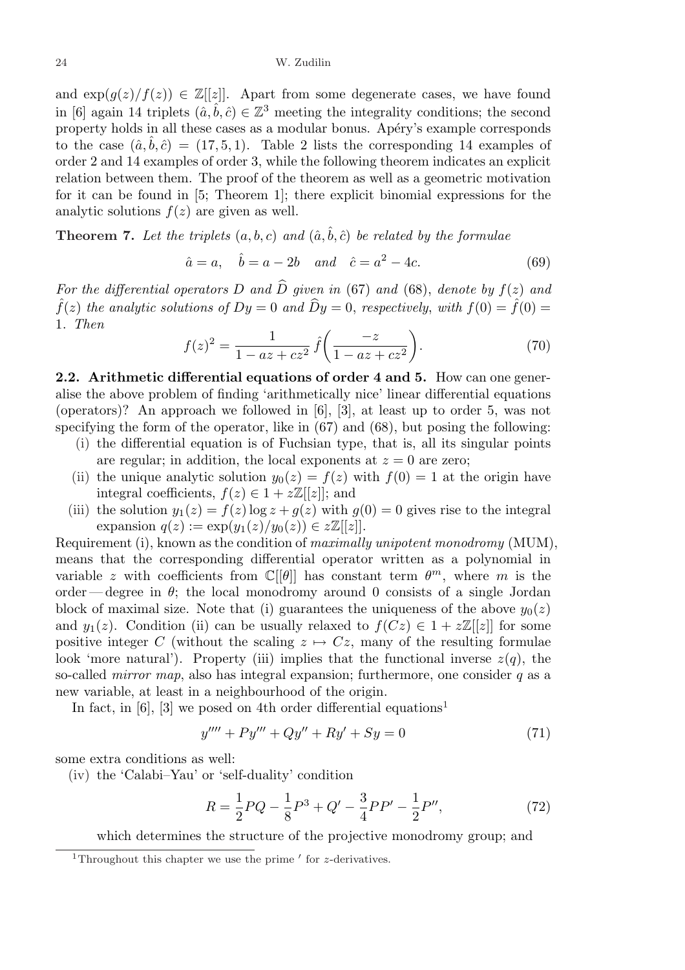and  $\exp(q(z)/f(z)) \in \mathbb{Z}[[z]]$ . Apart from some degenerate cases, we have found in [6] again 14 triplets  $(\hat{a}, \hat{b}, \hat{c}) \in \mathbb{Z}^3$  meeting the integrality conditions; the second property holds in all these cases as a modular bonus. Apéry's example corresponds to the case  $(\hat{a}, b, \hat{c}) = (17, 5, 1)$ . Table 2 lists the corresponding 14 examples of order 2 and 14 examples of order 3, while the following theorem indicates an explicit relation between them. The proof of the theorem as well as a geometric motivation for it can be found in [5; Theorem 1]; there explicit binomial expressions for the analytic solutions  $f(z)$  are given as well.

**Theorem 7.** Let the triplets  $(a, b, c)$  and  $(\hat{a}, \hat{b}, \hat{c})$  be related by the formulae

$$
\hat{a} = a, \quad \hat{b} = a - 2b \quad and \quad \hat{c} = a^2 - 4c.
$$
\n(69)

For the differential operators D and  $\widehat{D}$  given in (67) and (68), denote by  $f(z)$  and  $\hat{f}(z)$  the analytic solutions of  $Dy = 0$  and  $\hat{D}y = 0$ , respectively, with  $f(0) = \hat{f}(0)$ 1. Then  $\overline{a}$  $\mathbf{r}$ 

$$
f(z)^{2} = \frac{1}{1 - az + cz^{2}} \hat{f}\left(\frac{-z}{1 - az + cz^{2}}\right).
$$
 (70)

2.2. Arithmetic differential equations of order 4 and 5. How can one generalise the above problem of finding 'arithmetically nice' linear differential equations (operators)? An approach we followed in [6], [3], at least up to order 5, was not specifying the form of the operator, like in (67) and (68), but posing the following:

- (i) the differential equation is of Fuchsian type, that is, all its singular points are regular; in addition, the local exponents at  $z = 0$  are zero;
- (ii) the unique analytic solution  $y_0(z) = f(z)$  with  $f(0) = 1$  at the origin have integral coefficients,  $f(z) \in 1 + z\mathbb{Z}[[z]]$ ; and
- (iii) the solution  $y_1(z) = f(z) \log z + g(z)$  with  $g(0) = 0$  gives rise to the integral expansion  $q(z) := \exp(y_1(z)/y_0(z)) \in z\mathbb{Z}[[z]].$

Requirement (i), known as the condition of maximally unipotent monodromy (MUM), means that the corresponding differential operator written as a polynomial in variable z with coefficients from  $\mathbb{C}[\theta]$  has constant term  $\theta^m$ , where m is the order — degree in  $\theta$ ; the local monodromy around 0 consists of a single Jordan block of maximal size. Note that (i) guarantees the uniqueness of the above  $y_0(z)$ and  $y_1(z)$ . Condition (ii) can be usually relaxed to  $f(Cz) \in 1 + z\mathbb{Z}[[z]]$  for some positive integer C (without the scaling  $z \mapsto Cz$ , many of the resulting formulae look 'more natural'). Property (iii) implies that the functional inverse  $z(q)$ , the so-called *mirror map*, also has integral expansion; furthermore, one consider  $q$  as a new variable, at least in a neighbourhood of the origin.

In fact, in [6], [3] we posed on 4th order differential equations<sup>1</sup>

$$
y'''' + Py'' + Qy'' + Ry' + Sy = 0 \tag{71}
$$

some extra conditions as well:

(iv) the 'Calabi–Yau' or 'self-duality' condition

$$
R = \frac{1}{2}PQ - \frac{1}{8}P^3 + Q' - \frac{3}{4}PP' - \frac{1}{2}P'',\tag{72}
$$

which determines the structure of the projective monodromy group; and

<sup>&</sup>lt;sup>1</sup>Throughout this chapter we use the prime  $'$  for z-derivatives.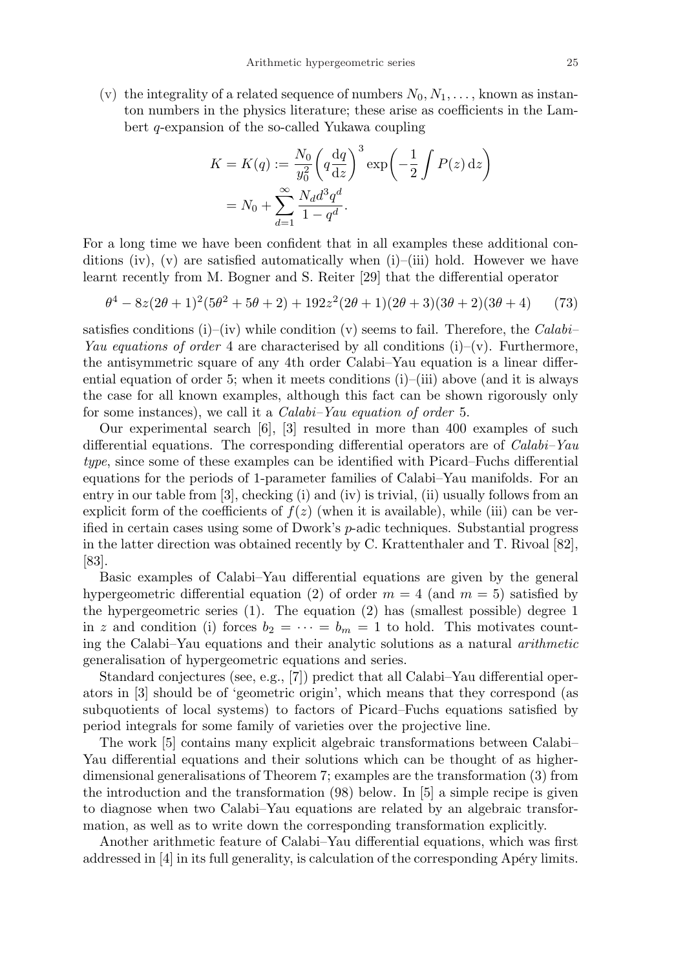(v) the integrality of a related sequence of numbers  $N_0, N_1, \ldots$ , known as instanton numbers in the physics literature; these arise as coefficients in the Lambert q-expansion of the so-called Yukawa coupling

$$
K = K(q) := \frac{N_0}{y_0^2} \left( q \frac{\mathrm{d}q}{\mathrm{d}z} \right)^3 \exp\left( -\frac{1}{2} \int P(z) \, \mathrm{d}z \right)
$$

$$
= N_0 + \sum_{d=1}^{\infty} \frac{N_d d^3 q^d}{1 - q^d}.
$$

For a long time we have been confident that in all examples these additional conditions (iv), (v) are satisfied automatically when  $(i)$ –(iii) hold. However we have learnt recently from M. Bogner and S. Reiter [29] that the differential operator

$$
\theta^4 - 8z(2\theta + 1)^2(5\theta^2 + 5\theta + 2) + 192z^2(2\theta + 1)(2\theta + 3)(3\theta + 2)(3\theta + 4)
$$
 (73)

satisfies conditions (i)–(iv) while condition (v) seems to fail. Therefore, the Calabi– Yau equations of order 4 are characterised by all conditions (i)–(v). Furthermore, the antisymmetric square of any 4th order Calabi–Yau equation is a linear differential equation of order 5; when it meets conditions  $(i)$ –(iii) above (and it is always the case for all known examples, although this fact can be shown rigorously only for some instances), we call it a Calabi–Yau equation of order 5.

Our experimental search [6], [3] resulted in more than 400 examples of such differential equations. The corresponding differential operators are of Calabi–Yau type, since some of these examples can be identified with Picard–Fuchs differential equations for the periods of 1-parameter families of Calabi–Yau manifolds. For an entry in our table from [3], checking (i) and (iv) is trivial, (ii) usually follows from an explicit form of the coefficients of  $f(z)$  (when it is available), while (iii) can be verified in certain cases using some of Dwork's p-adic techniques. Substantial progress in the latter direction was obtained recently by C. Krattenthaler and T. Rivoal [82], [83].

Basic examples of Calabi–Yau differential equations are given by the general hypergeometric differential equation (2) of order  $m = 4$  (and  $m = 5$ ) satisfied by the hypergeometric series (1). The equation (2) has (smallest possible) degree 1 in z and condition (i) forces  $b_2 = \cdots = b_m = 1$  to hold. This motivates counting the Calabi–Yau equations and their analytic solutions as a natural arithmetic generalisation of hypergeometric equations and series.

Standard conjectures (see, e.g., [7]) predict that all Calabi–Yau differential operators in [3] should be of 'geometric origin', which means that they correspond (as subquotients of local systems) to factors of Picard–Fuchs equations satisfied by period integrals for some family of varieties over the projective line.

The work [5] contains many explicit algebraic transformations between Calabi– Yau differential equations and their solutions which can be thought of as higherdimensional generalisations of Theorem 7; examples are the transformation (3) from the introduction and the transformation (98) below. In [5] a simple recipe is given to diagnose when two Calabi–Yau equations are related by an algebraic transformation, as well as to write down the corresponding transformation explicitly.

Another arithmetic feature of Calabi–Yau differential equations, which was first addressed in  $[4]$  in its full generality, is calculation of the corresponding Apéry limits.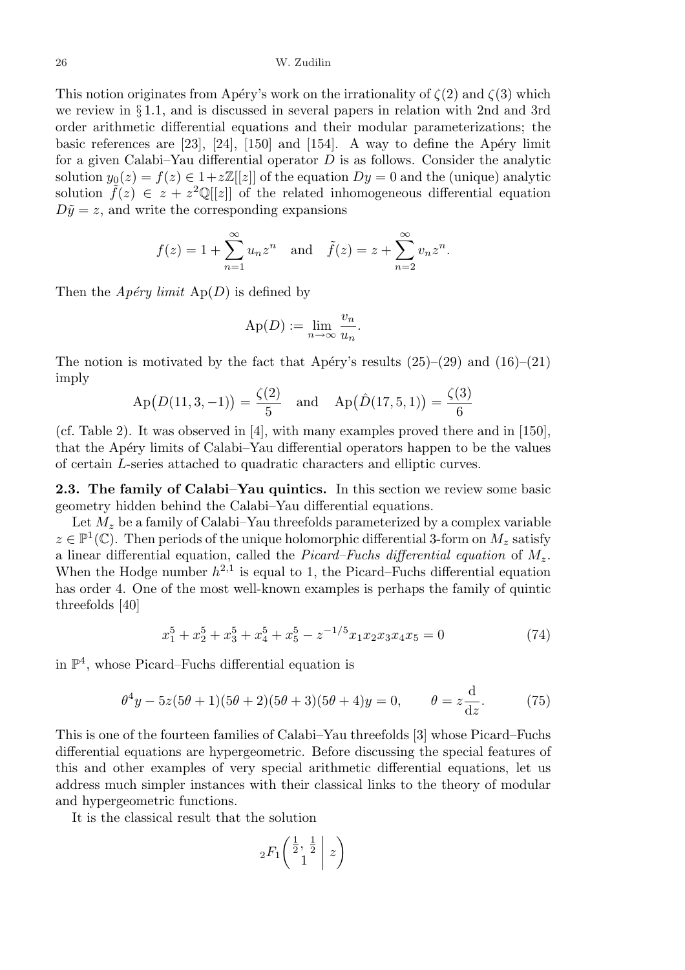This notion originates from Apéry's work on the irrationality of  $\zeta(2)$  and  $\zeta(3)$  which we review in § 1.1, and is discussed in several papers in relation with 2nd and 3rd order arithmetic differential equations and their modular parameterizations; the basic references are  $[23]$ ,  $[24]$ ,  $[150]$  and  $[154]$ . A way to define the Apéry limit for a given Calabi–Yau differential operator  $D$  is as follows. Consider the analytic solution  $y_0(z) = f(z) \in 1 + z\mathbb{Z}[[z]]$  of the equation  $Dy = 0$  and the (unique) analytic solution  $\tilde{f}(z) \in z + z^2 \mathbb{Q}[[z]]$  of the related inhomogeneous differential equation  $D\tilde{y} = z$ , and write the corresponding expansions

$$
f(z) = 1 + \sum_{n=1}^{\infty} u_n z^n
$$
 and  $\tilde{f}(z) = z + \sum_{n=2}^{\infty} v_n z^n$ .

Then the  $Apéry limit$  Ap(D) is defined by

$$
\mathrm{Ap}(D) := \lim_{n \to \infty} \frac{v_n}{u_n}.
$$

The notion is motivated by the fact that Apéry's results  $(25)-(29)$  and  $(16)-(21)$ imply

$$
Ap(D(11,3,-1)) = \frac{\zeta(2)}{5}
$$
 and  $Ap(\hat{D}(17,5,1)) = \frac{\zeta(3)}{6}$ 

(cf. Table 2). It was observed in [4], with many examples proved there and in [150], that the Apéry limits of Calabi–Yau differential operators happen to be the values of certain L-series attached to quadratic characters and elliptic curves.

2.3. The family of Calabi–Yau quintics. In this section we review some basic geometry hidden behind the Calabi–Yau differential equations.

Let  $M_z$  be a family of Calabi–Yau threefolds parameterized by a complex variable  $z \in \mathbb{P}^1(\mathbb{C})$ . Then periods of the unique holomorphic differential 3-form on  $M_z$  satisfy a linear differential equation, called the Picard–Fuchs differential equation of  $M_z$ . When the Hodge number  $h^{2,1}$  is equal to 1, the Picard–Fuchs differential equation has order 4. One of the most well-known examples is perhaps the family of quintic threefolds [40]

$$
x_1^5 + x_2^5 + x_3^5 + x_4^5 + x_5^5 - z^{-1/5}x_1x_2x_3x_4x_5 = 0 \tag{74}
$$

in  $\mathbb{P}^4$ , whose Picard–Fuchs differential equation is

$$
\theta^4 y - 5z(5\theta + 1)(5\theta + 2)(5\theta + 3)(5\theta + 4)y = 0, \qquad \theta = z\frac{d}{dz}.
$$
 (75)

This is one of the fourteen families of Calabi–Yau threefolds [3] whose Picard–Fuchs differential equations are hypergeometric. Before discussing the special features of this and other examples of very special arithmetic differential equations, let us address much simpler instances with their classical links to the theory of modular and hypergeometric functions.

It is the classical result that the solution

$$
{}_2F_1\left(\begin{array}{c|c} \frac{1}{2} & \frac{1}{2} \\ 1 & \end{array} \middle| \ z\right)
$$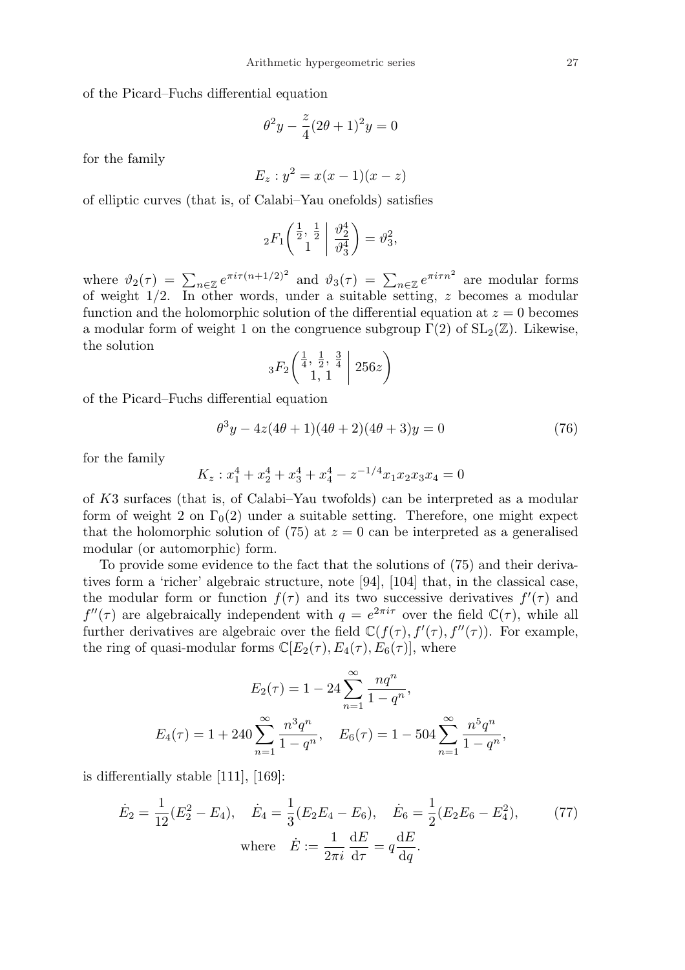of the Picard–Fuchs differential equation

$$
\theta^2 y - \frac{z}{4} (2\theta + 1)^2 y = 0
$$

for the family

$$
E_z: y^2 = x(x-1)(x-z)
$$

of elliptic curves (that is, of Calabi–Yau onefolds) satisfies

$$
{}_2F_1\left(\begin{matrix}\frac{1}{2},\frac{1}{2}\\1\end{matrix}\;\middle|\;\frac{\vartheta_2^4}{\vartheta_3^4}\right)=\vartheta_3^2,
$$

where  $\vartheta_2(\tau) = \sum_{n \in \mathbb{Z}} e^{\pi i \tau (n+1/2)^2}$  and  $\vartheta_3(\tau) = \sum_{n \in \mathbb{Z}} e^{\pi i \tau n^2}$  are modular forms of weight 1/2. In other words, under a suitable setting, z becomes a modular function and the holomorphic solution of the differential equation at  $z = 0$  becomes a modular form of weight 1 on the congruence subgroup  $\Gamma(2)$  of  $SL_2(\mathbb{Z})$ . Likewise, the solution  $\sqrt{1}$  $\overline{a}$  $\mathbf{r}$ 

$$
{}_{3}F_{2}\left(\frac{\frac{1}{4},\frac{1}{2},\frac{3}{4}}{1,1}\;\middle|\;256z\right)
$$

of the Picard–Fuchs differential equation

$$
\theta^3 y - 4z(4\theta + 1)(4\theta + 2)(4\theta + 3)y = 0
$$
\n(76)

for the family

$$
K_z: x_1^4 + x_2^4 + x_3^4 + x_4^4 - z^{-1/4}x_1x_2x_3x_4 = 0
$$

of K3 surfaces (that is, of Calabi–Yau twofolds) can be interpreted as a modular form of weight 2 on  $\Gamma_0(2)$  under a suitable setting. Therefore, one might expect that the holomorphic solution of (75) at  $z = 0$  can be interpreted as a generalised modular (or automorphic) form.

To provide some evidence to the fact that the solutions of (75) and their derivatives form a 'richer' algebraic structure, note [94], [104] that, in the classical case, the modular form or function  $f(\tau)$  and its two successive derivatives  $f'(\tau)$  and  $f''(\tau)$  are algebraically independent with  $q = e^{2\pi i \tau}$  over the field  $\mathbb{C}(\tau)$ , while all further derivatives are algebraic over the field  $\mathbb{C}(f(\tau), f'(\tau), f''(\tau))$ . For example, the ring of quasi-modular forms  $\mathbb{C}[E_2(\tau), E_4(\tau), E_6(\tau)]$ , where

$$
E_2(\tau) = 1 - 24 \sum_{n=1}^{\infty} \frac{nq^n}{1 - q^n},
$$
  

$$
E_4(\tau) = 1 + 240 \sum_{n=1}^{\infty} \frac{n^3 q^n}{1 - q^n}, \quad E_6(\tau) = 1 - 504 \sum_{n=1}^{\infty} \frac{n^5 q^n}{1 - q^n},
$$

is differentially stable [111], [169]:

$$
\dot{E}_2 = \frac{1}{12}(E_2^2 - E_4), \quad \dot{E}_4 = \frac{1}{3}(E_2E_4 - E_6), \quad \dot{E}_6 = \frac{1}{2}(E_2E_6 - E_4^2), \tag{77}
$$
\n
$$
\text{where} \quad \dot{E} := \frac{1}{2\pi i} \frac{dE}{d\tau} = q \frac{dE}{dq}.
$$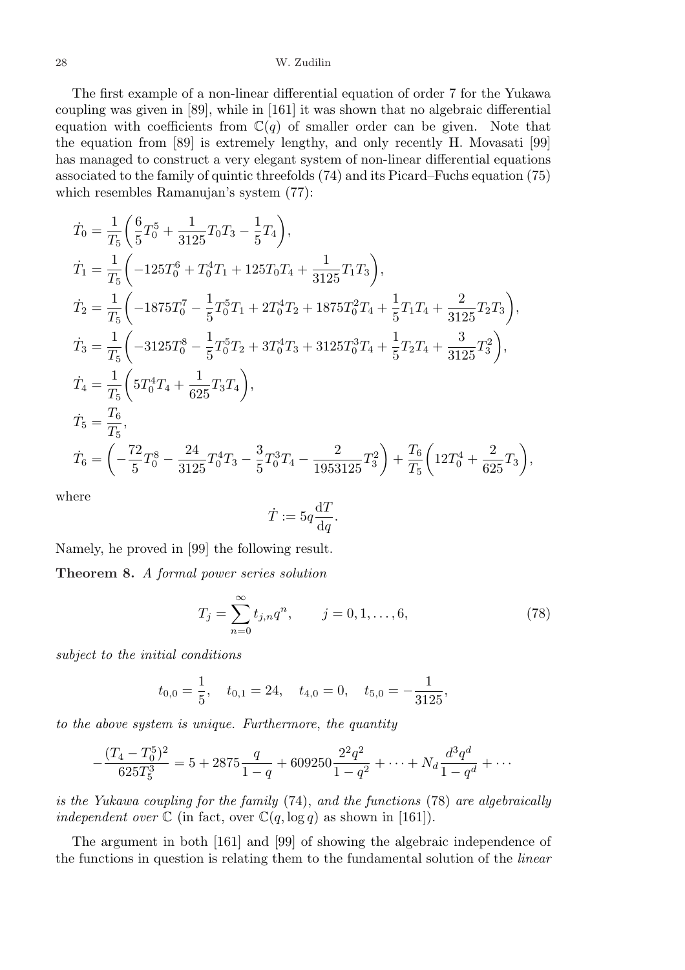The first example of a non-linear differential equation of order 7 for the Yukawa coupling was given in [89], while in [161] it was shown that no algebraic differential equation with coefficients from  $\mathbb{C}(q)$  of smaller order can be given. Note that the equation from [89] is extremely lengthy, and only recently H. Movasati [99] has managed to construct a very elegant system of non-linear differential equations associated to the family of quintic threefolds (74) and its Picard–Fuchs equation (75) which resembles Ramanujan's system (77):

$$
\begin{split} \dot{T}_0&=\frac{1}{T_5}\bigg(\frac{6}{5}T_0^5+\frac{1}{3125}T_0T_3-\frac{1}{5}T_4\bigg),\\ \dot{T}_1&=\frac{1}{T_5}\bigg(-125T_0^6+T_0^4T_1+125T_0T_4+\frac{1}{3125}T_1T_3\bigg),\\ \dot{T}_2&=\frac{1}{T_5}\bigg(-1875T_0^7-\frac{1}{5}T_0^5T_1+2T_0^4T_2+1875T_0^2T_4+\frac{1}{5}T_1T_4+\frac{2}{3125}T_2T_3\bigg),\\ \dot{T}_3&=\frac{1}{T_5}\bigg(-3125T_0^8-\frac{1}{5}T_0^5T_2+3T_0^4T_3+3125T_0^3T_4+\frac{1}{5}T_2T_4+\frac{3}{3125}T_3^2\bigg),\\ \dot{T}_4&=\frac{1}{T_5}\bigg(5T_0^4T_4+\frac{1}{625}T_3T_4\bigg),\\ \dot{T}_5&=\frac{T_6}{T_5},\\ \dot{T}_6&=\bigg(-\frac{72}{5}T_0^8-\frac{24}{3125}T_0^4T_3-\frac{3}{5}T_0^3T_4-\frac{2}{1953125}T_3^2\bigg)+\frac{T_6}{T_5}\bigg(12T_0^4+\frac{2}{625}T_3\bigg), \end{split}
$$

where

$$
\dot{T} := 5q \frac{\mathrm{d}T}{\mathrm{d}q}.
$$

Namely, he proved in [99] the following result.

Theorem 8. A formal power series solution

$$
T_j = \sum_{n=0}^{\infty} t_{j,n} q^n, \qquad j = 0, 1, \dots, 6,
$$
 (78)

subject to the initial conditions

$$
t_{0,0} = \frac{1}{5}
$$
,  $t_{0,1} = 24$ ,  $t_{4,0} = 0$ ,  $t_{5,0} = -\frac{1}{3125}$ ,

to the above system is unique. Furthermore, the quantity

$$
-\frac{(T_4 - T_0^5)^2}{625T_5^3} = 5 + 2875\frac{q}{1-q} + 609250\frac{2^2q^2}{1-q^2} + \dots + N_d\frac{d^3q^d}{1-q^d} + \dots
$$

is the Yukawa coupling for the family (74), and the functions (78) are algebraically independent over  $\mathbb C$  (in fact, over  $\mathbb C(q, \log q)$  as shown in [161]).

The argument in both [161] and [99] of showing the algebraic independence of the functions in question is relating them to the fundamental solution of the linear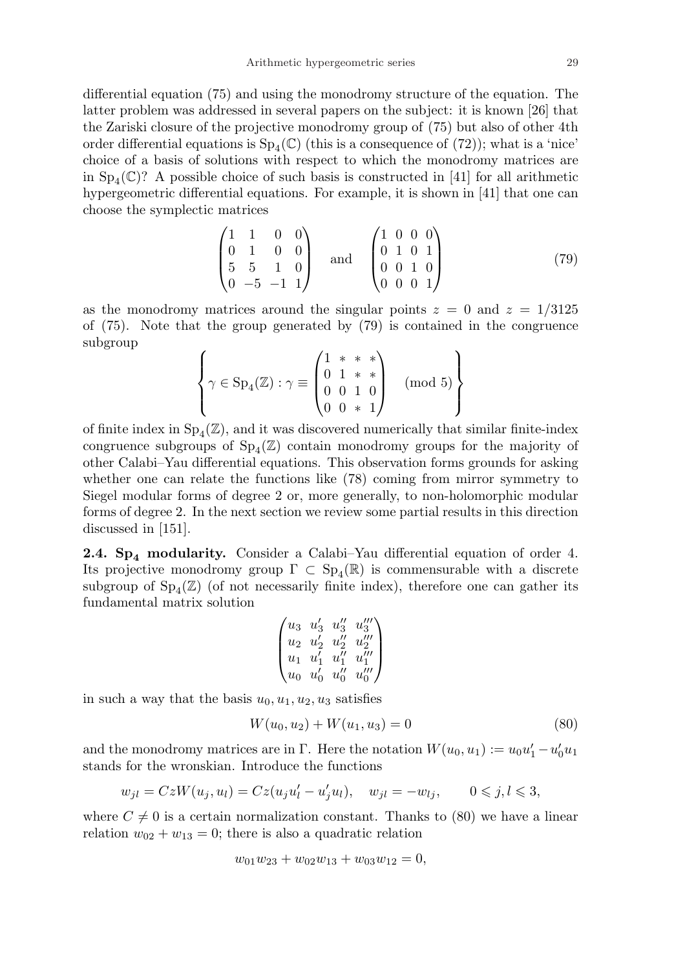differential equation (75) and using the monodromy structure of the equation. The latter problem was addressed in several papers on the subject: it is known [26] that the Zariski closure of the projective monodromy group of (75) but also of other 4th order differential equations is  $Sp_4(\mathbb{C})$  (this is a consequence of  $(72)$ ); what is a 'nice' choice of a basis of solutions with respect to which the monodromy matrices are in  $Sp_4(\mathbb{C})$ ? A possible choice of such basis is constructed in [41] for all arithmetic hypergeometric differential equations. For example, it is shown in [41] that one can choose the symplectic matrices

$$
\begin{pmatrix}\n1 & 1 & 0 & 0 \\
0 & 1 & 0 & 0 \\
5 & 5 & 1 & 0 \\
0 & -5 & -1 & 1\n\end{pmatrix}\n\text{ and }\n\begin{pmatrix}\n1 & 0 & 0 & 0 \\
0 & 1 & 0 & 1 \\
0 & 0 & 1 & 0 \\
0 & 0 & 0 & 1\n\end{pmatrix}
$$
\n(79)

as the monodromy matrices around the singular points  $z = 0$  and  $z = 1/3125$ of (75). Note that the group generated by (79) is contained in the congruence subgroup  $\overline{a}$  $\overline{a}$  $\mathbf{r}$  $\mathbf{r}$ 

$$
\left\{\gamma \in \text{Sp}_4(\mathbb{Z}) : \gamma \equiv \begin{pmatrix} 1 & * & * & * \\ 0 & 1 & * & * \\ 0 & 0 & 1 & 0 \\ 0 & 0 & * & 1 \end{pmatrix} \pmod{5} \right\}
$$

of finite index in  $Sp_4(\mathbb{Z})$ , and it was discovered numerically that similar finite-index congruence subgroups of  $Sp_4(\mathbb{Z})$  contain monodromy groups for the majority of other Calabi–Yau differential equations. This observation forms grounds for asking whether one can relate the functions like (78) coming from mirror symmetry to Siegel modular forms of degree 2 or, more generally, to non-holomorphic modular forms of degree 2. In the next section we review some partial results in this direction discussed in [151].

**2.4. Sp<sub>4</sub> modularity.** Consider a Calabi–Yau differential equation of order 4. Its projective monodromy group  $\Gamma \subset \text{Sp}_4(\mathbb{R})$  is commensurable with a discrete subgroup of  $Sp_4(\mathbb{Z})$  (of not necessarily finite index), therefore one can gather its fundamental matrix solution  $\overline{a}$  $\mathbf{r}$ 

$$
\begin{pmatrix}u_3&u'_3&u''_3&u'''_3\\u_2&u'_2&u''_2&u''_2\\u_1&u'_1&u''_1&u'''_1\\u_0&u'_0&u''_0&u''_0\end{pmatrix}
$$

in such a way that the basis  $u_0, u_1, u_2, u_3$  satisfies

$$
W(u_0, u_2) + W(u_1, u_3) = 0 \tag{80}
$$

and the monodromy matrices are in  $\Gamma$ . Here the notation  $W(u_0, u_1) := u_0 u_1' - u_0' u_1$ stands for the wronskian. Introduce the functions

$$
w_{jl} = CzW(u_j, u_l) = Cz(u_ju'_l - u'_ju_l), \quad w_{jl} = -w_{lj}, \qquad 0 \leq j, l \leq 3,
$$

where  $C \neq 0$  is a certain normalization constant. Thanks to (80) we have a linear relation  $w_{02} + w_{13} = 0$ ; there is also a quadratic relation

$$
w_{01}w_{23} + w_{02}w_{13} + w_{03}w_{12} = 0,
$$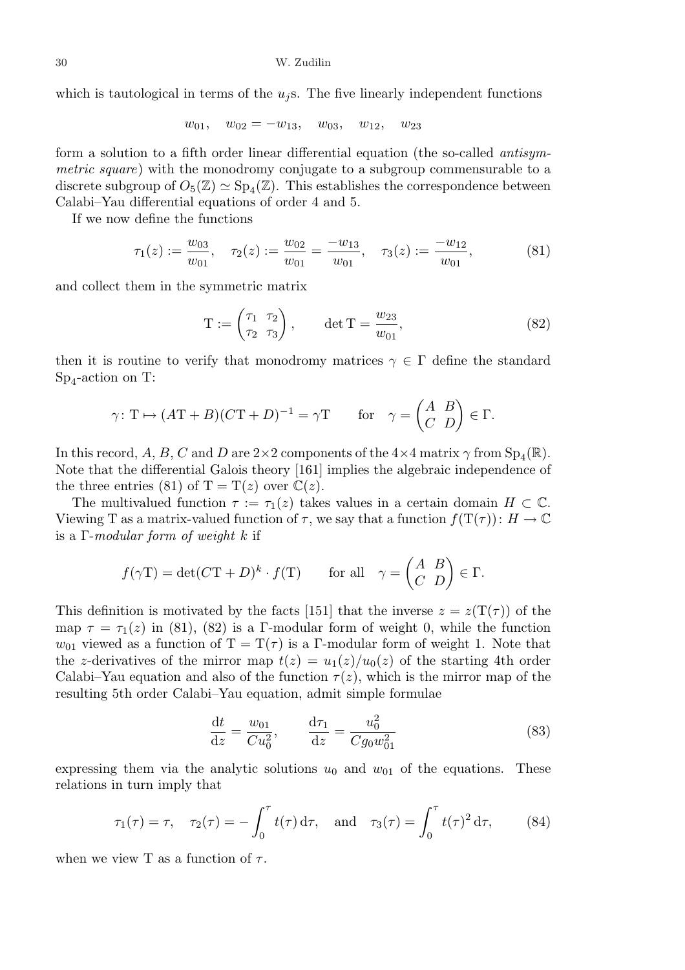which is tautological in terms of the  $u_i$ s. The five linearly independent functions

 $w_{01}$ ,  $w_{02} = -w_{13}$ ,  $w_{03}$ ,  $w_{12}$ ,  $w_{23}$ 

form a solution to a fifth order linear differential equation (the so-called antisymmetric square) with the monodromy conjugate to a subgroup commensurable to a discrete subgroup of  $O_5(\mathbb{Z}) \simeq Sp_4(\mathbb{Z})$ . This establishes the correspondence between Calabi–Yau differential equations of order 4 and 5.

If we now define the functions

$$
\tau_1(z) := \frac{w_{03}}{w_{01}}, \quad \tau_2(z) := \frac{w_{02}}{w_{01}} = \frac{-w_{13}}{w_{01}}, \quad \tau_3(z) := \frac{-w_{12}}{w_{01}}, \tag{81}
$$

and collect them in the symmetric matrix

$$
T := \begin{pmatrix} \tau_1 & \tau_2 \\ \tau_2 & \tau_3 \end{pmatrix}, \quad \det T = \frac{w_{23}}{w_{01}}, \tag{82}
$$

then it is routine to verify that monodromy matrices  $\gamma \in \Gamma$  define the standard Sp<sub>4</sub>-action on T:

$$
\gamma: \mathcal{T} \mapsto (A\mathcal{T} + B)(C\mathcal{T} + D)^{-1} = \gamma \mathcal{T}
$$
 for  $\gamma = \begin{pmatrix} A & B \\ C & D \end{pmatrix} \in \Gamma$ .

In this record, A, B, C and D are  $2\times 2$  components of the  $4\times 4$  matrix  $\gamma$  from  ${\rm Sp}_4({\mathbb R}).$ Note that the differential Galois theory [161] implies the algebraic independence of the three entries (81) of T = T(z) over  $\mathbb{C}(z)$ .

The multivalued function  $\tau := \tau_1(z)$  takes values in a certain domain  $H \subset \mathbb{C}$ . Viewing T as a matrix-valued function of  $\tau$ , we say that a function  $f(T(\tau)) : H \to \mathbb{C}$ is a  $\Gamma$ -modular form of weight k if

$$
f(\gamma T) = \det(CT + D)^k \cdot f(T)
$$
 for all  $\gamma = \begin{pmatrix} A & B \\ C & D \end{pmatrix} \in \Gamma$ .

This definition is motivated by the facts [151] that the inverse  $z = z(T(\tau))$  of the map  $\tau = \tau_1(z)$  in (81), (82) is a Γ-modular form of weight 0, while the function  $w_{01}$  viewed as a function of  $T = T(\tau)$  is a Γ-modular form of weight 1. Note that the z-derivatives of the mirror map  $t(z) = u_1(z)/u_0(z)$  of the starting 4th order Calabi–Yau equation and also of the function  $\tau(z)$ , which is the mirror map of the resulting 5th order Calabi–Yau equation, admit simple formulae

$$
\frac{\mathrm{d}t}{\mathrm{d}z} = \frac{w_{01}}{Cu_0^2}, \qquad \frac{\mathrm{d}\tau_1}{\mathrm{d}z} = \frac{u_0^2}{Cg_0w_{01}^2} \tag{83}
$$

expressing them via the analytic solutions  $u_0$  and  $w_{01}$  of the equations. These relations in turn imply that

$$
\tau_1(\tau) = \tau
$$
,  $\tau_2(\tau) = -\int_0^{\tau} t(\tau) d\tau$ , and  $\tau_3(\tau) = \int_0^{\tau} t(\tau)^2 d\tau$ , (84)

when we view T as a function of  $\tau$ .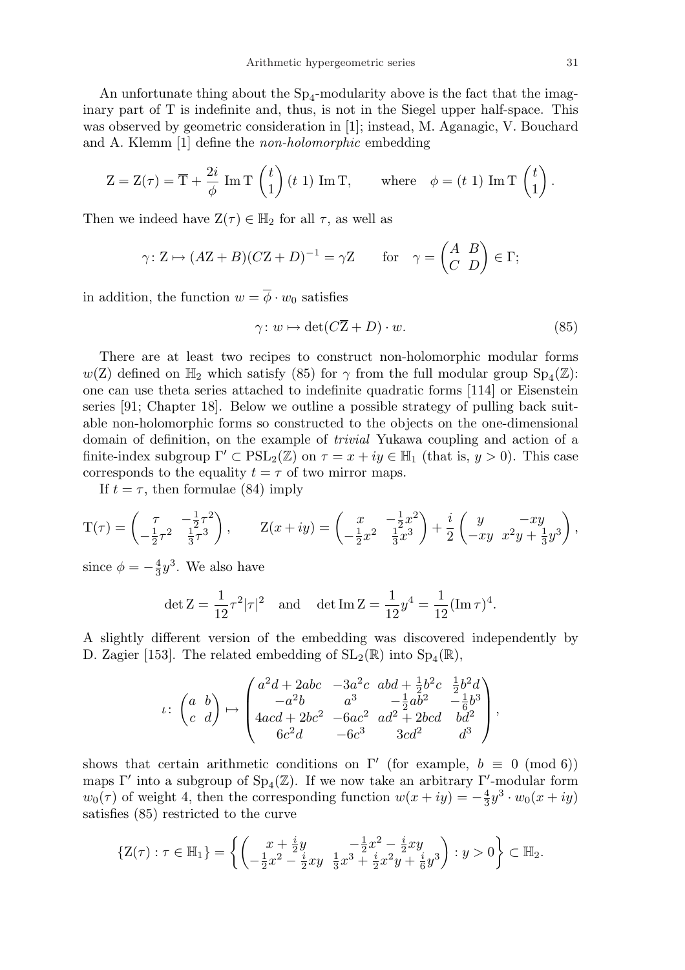An unfortunate thing about the  $Sp_4$ -modularity above is the fact that the imaginary part of T is indefinite and, thus, is not in the Siegel upper half-space. This was observed by geometric consideration in [1]; instead, M. Aganagic, V. Bouchard and A. Klemm [1] define the non-holomorphic embedding

$$
Z = Z(\tau) = \overline{T} + \frac{2i}{\phi} \operatorname{Im} T\begin{pmatrix} t \\ 1 \end{pmatrix} (t \ 1) \operatorname{Im} T, \quad \text{where} \quad \phi = (t \ 1) \operatorname{Im} T\begin{pmatrix} t \\ 1 \end{pmatrix}.
$$

Then we indeed have  $Z(\tau) \in \mathbb{H}_2$  for all  $\tau$ , as well as

$$
\gamma: Z \mapsto (AZ + B)(CZ + D)^{-1} = \gamma Z
$$
 for  $\gamma = \begin{pmatrix} A & B \\ C & D \end{pmatrix} \in \Gamma;$ 

in addition, the function  $w = \overline{\phi} \cdot w_0$  satisfies

$$
\gamma \colon w \mapsto \det(C\overline{Z} + D) \cdot w. \tag{85}
$$

There are at least two recipes to construct non-holomorphic modular forms  $w(Z)$  defined on  $\mathbb{H}_2$  which satisfy (85) for  $\gamma$  from the full modular group  $Sp_4(\mathbb{Z})$ : one can use theta series attached to indefinite quadratic forms [114] or Eisenstein series [91; Chapter 18]. Below we outline a possible strategy of pulling back suitable non-holomorphic forms so constructed to the objects on the one-dimensional domain of definition, on the example of trivial Yukawa coupling and action of a finite-index subgroup  $\Gamma' \subset \text{PSL}_2(\mathbb{Z})$  on  $\tau = x + iy \in \mathbb{H}_1$  (that is,  $y > 0$ ). This case corresponds to the equality  $t = \tau$  of two mirror maps.

If  $t = \tau$ , then formulae (84) imply

$$
T(\tau) = \begin{pmatrix} \tau & -\frac{1}{2}\tau^2 \\ -\frac{1}{2}\tau^2 & \frac{1}{3}\tau^3 \end{pmatrix}, \qquad Z(x+iy) = \begin{pmatrix} x & -\frac{1}{2}x^2 \\ -\frac{1}{2}x^2 & \frac{1}{3}x^3 \end{pmatrix} + \frac{i}{2} \begin{pmatrix} y & -xy \\ -xy & x^2y + \frac{1}{3}y^3 \end{pmatrix},
$$

since  $\phi = -\frac{4}{3}$  $\frac{4}{3}y^3$ . We also have

$$
\det Z = \frac{1}{12}\tau^2|\tau|^2 \quad \text{and} \quad \det \text{Im } Z = \frac{1}{12}y^4 = \frac{1}{12}(\text{Im }\tau)^4.
$$

A slightly different version of the embedding was discovered independently by D. Zagier [153]. The related embedding of  $SL_2(\mathbb{R})$  into  $Sp_4(\mathbb{R})$ ,

$$
\iota\colon\begin{pmatrix}a&b\\c&d\end{pmatrix}\mapsto\begin{pmatrix}a^2d+2abc&-3a^2c&abd+\frac{1}{2}b^2c&\frac{1}{2}b^2d\\-a^2b&a^3&-\frac{1}{2}ab^2&-\frac{1}{6}b^3\\4acd+2bc^2&-6ac^2&ad^2+2bcd&bd^2\\6c^2d&-6c^3&3cd^2&d^3\end{pmatrix},
$$

shows that certain arithmetic conditions on  $\Gamma'$  (for example,  $b \equiv 0 \pmod{6}$ ) maps  $\Gamma'$  into a subgroup of  $Sp_4(\mathbb{Z})$ . If we now take an arbitrary  $\Gamma'$ -modular form  $w_0(\tau)$  of weight 4, then the corresponding function  $w(x+iy) = -\frac{4}{3}$  $\frac{4}{3}y^3 \cdot w_0(x+iy)$ satisfies (85) restricted to the curve

$$
\left\{ \mathbf{Z}(\tau): \tau \in \mathbb{H}_1 \right\} = \left\{ \left( \begin{matrix} x + \frac{i}{2} y & - \frac{1}{2} x^2 - \frac{i}{2} xy \\ - \frac{1}{2} x^2 - \frac{i}{2} xy & \frac{1}{3} x^3 + \frac{i}{2} x^2 y + \frac{i}{6} y^3 \end{matrix} \right) : y > 0 \right\} \subset \mathbb{H}_2.
$$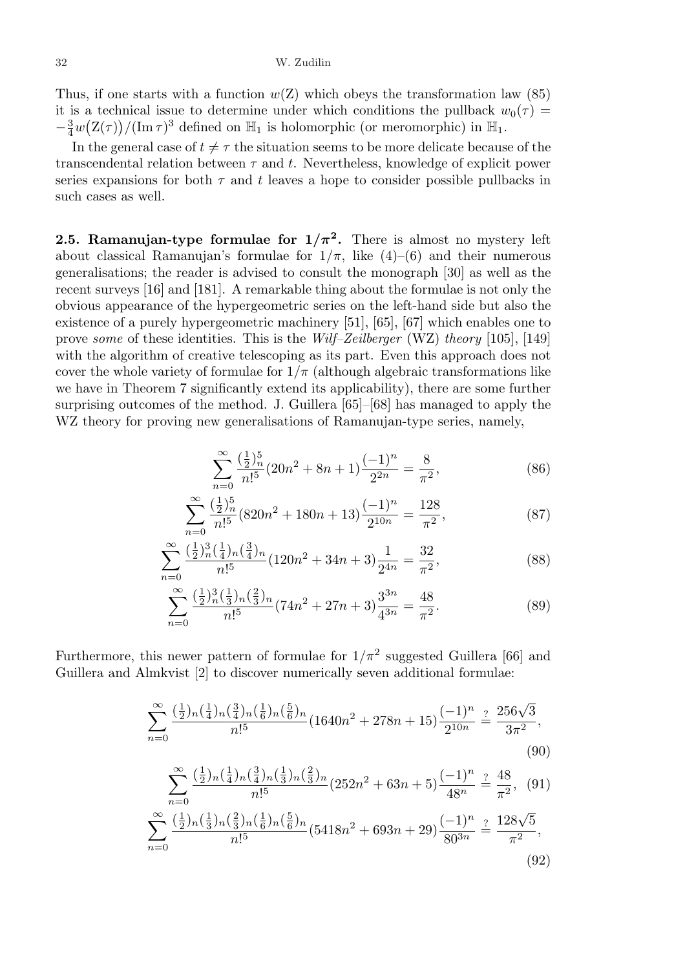Thus, if one starts with a function  $w(Z)$  which obeys the transformation law (85) it is a technical issue to determine under which conditions the pullback  $w_0(\tau) =$  $-\frac{3}{4}$  $\frac{3}{4}w(\mathrm{Z}(\tau))/(\mathrm{Im}\,\tau)^3$  defined on  $\mathbb{H}_1$  is holomorphic (or meromorphic) in  $\mathbb{H}_1$ .

In the general case of  $t \neq \tau$  the situation seems to be more delicate because of the transcendental relation between  $\tau$  and t. Nevertheless, knowledge of explicit power series expansions for both  $\tau$  and t leaves a hope to consider possible pullbacks in such cases as well.

**2.5. Ramanujan-type formulae for**  $1/\pi^2$ **.** There is almost no mystery left about classical Ramanujan's formulae for  $1/\pi$ , like  $(4)-(6)$  and their numerous generalisations; the reader is advised to consult the monograph [30] as well as the recent surveys [16] and [181]. A remarkable thing about the formulae is not only the obvious appearance of the hypergeometric series on the left-hand side but also the existence of a purely hypergeometric machinery [51], [65], [67] which enables one to prove some of these identities. This is the Wilf–Zeilberger (WZ) theory [105], [149] with the algorithm of creative telescoping as its part. Even this approach does not cover the whole variety of formulae for  $1/\pi$  (although algebraic transformations like we have in Theorem 7 significantly extend its applicability), there are some further surprising outcomes of the method. J. Guillera [65]–[68] has managed to apply the WZ theory for proving new generalisations of Ramanujan-type series, namely,

$$
\sum_{n=0}^{\infty} \frac{\left(\frac{1}{2}\right)_n^5}{n!^5} (20n^2 + 8n + 1) \frac{(-1)^n}{2^{2n}} = \frac{8}{\pi^2},\tag{86}
$$

$$
\sum_{n=0}^{\infty} \frac{\left(\frac{1}{2}\right)_n^5}{n!^5} (820n^2 + 180n + 13) \frac{(-1)^n}{2^{10n}} = \frac{128}{\pi^2},\tag{87}
$$

$$
\sum_{n=0}^{\infty} \frac{\left(\frac{1}{2}\right)_n^3 \left(\frac{1}{4}\right)_n \left(\frac{3}{4}\right)_n}{n!^5} (120n^2 + 34n + 3) \frac{1}{2^{4n}} = \frac{32}{\pi^2},\tag{88}
$$

$$
\sum_{n=0}^{\infty} \frac{\left(\frac{1}{2}\right)_n^3 \left(\frac{1}{3}\right)_n \left(\frac{2}{3}\right)_n}{n!^5} (74n^2 + 27n + 3) \frac{3^{3n}}{4^{3n}} = \frac{48}{\pi^2}.
$$
 (89)

Furthermore, this newer pattern of formulae for  $1/\pi^2$  suggested Guillera [66] and Guillera and Almkvist [2] to discover numerically seven additional formulae:

$$
\sum_{n=0}^{\infty} \frac{\left(\frac{1}{2}\right) n \left(\frac{1}{4}\right) n \left(\frac{3}{4}\right) n \left(\frac{5}{6}\right) n}{n!^{5}} (1640n^{2} + 278n + 15) \frac{(-1)^{n}}{2^{10n}} \stackrel{?}{=} \frac{256\sqrt{3}}{3\pi^{2}},
$$
\n(90)

$$
\sum_{n=0}^{\infty} \frac{\left(\frac{1}{2}\right)_n \left(\frac{1}{4}\right)_n \left(\frac{3}{4}\right)_n \left(\frac{2}{3}\right)_n}{n!^5} (252n^2 + 63n + 5) \frac{(-1)^n}{48^n} \stackrel{?}{=} \frac{48}{\pi^2}, \quad (91)
$$
  

$$
\sum_{n=0}^{\infty} \frac{\left(\frac{1}{2}\right)_n \left(\frac{1}{3}\right)_n \left(\frac{2}{3}\right)_n \left(\frac{1}{6}\right)_n \left(\frac{5}{6}\right)_n}{n!^5} (5418n^2 + 693n + 29) \frac{(-1)^n}{80^{3n}} \stackrel{?}{=} \frac{128\sqrt{5}}{\pi^2}, \quad (92)
$$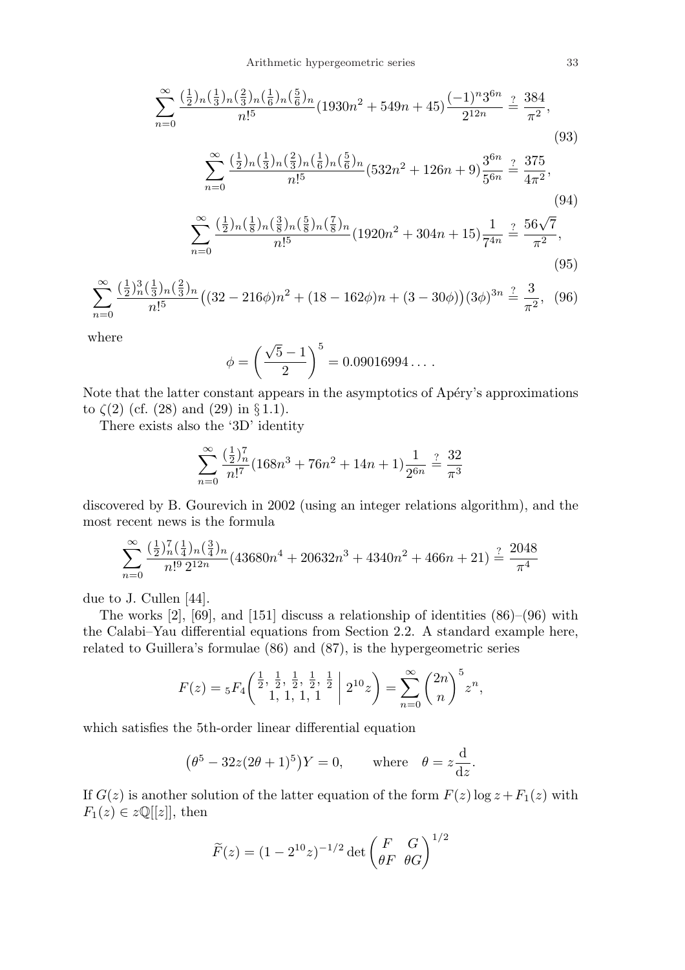$$
\sum_{n=0}^{\infty} \frac{\left(\frac{1}{2}\right)_n \left(\frac{1}{3}\right)_n \left(\frac{2}{6}\right)_n \left(\frac{5}{6}\right)_n}{n!^5} (1930n^2 + 549n + 45) \frac{(-1)^n 3^{6n}}{2^{12n}} \stackrel{?}{=} \frac{384}{\pi^2},
$$
\n
$$
\sum_{n=0}^{\infty} \frac{\left(\frac{1}{2}\right)_n \left(\frac{1}{3}\right)_n \left(\frac{2}{3}\right)_n \left(\frac{1}{6}\right)_n \left(\frac{5}{6}\right)_n}{n!^5} (532n^2 + 126n + 9) \frac{3^{6n}}{5^{6n}} \stackrel{?}{=} \frac{375}{4\pi^2},
$$
\n
$$
\sum_{n=0}^{\infty} \frac{\left(\frac{1}{2}\right)_n \left(\frac{1}{8}\right)_n \left(\frac{3}{8}\right)_n \left(\frac{5}{8}\right)_n \left(\frac{7}{8}\right)_n}{n!^5} (1920n^2 + 304n + 15) \frac{1}{7^{4n}} \stackrel{?}{=} \frac{56\sqrt{7}}{\pi^2},
$$
\n
$$
\sum_{n=0}^{\infty} \frac{\left(\frac{1}{2}\right)_n \left(\frac{1}{8}\right)_n \left(\frac{3}{8}\right)_n \left(\frac{5}{8}\right)_n}{n!^5} (1920n^2 + 304n + 15) \frac{1}{7^{4n}} \stackrel{?}{=} \frac{56\sqrt{7}}{\pi^2},
$$
\n
$$
(95)
$$

$$
\sum_{n=0}^{\infty} \frac{\left(\frac{1}{2}\right)^3_n \left(\frac{1}{3}\right)^3_n \left(\frac{2}{3}\right)^n}{n!^5} \left( (32 - 216\phi)n^2 + (18 - 162\phi)n + (3 - 30\phi) \right) (3\phi)^{3n} \stackrel{?}{=} \frac{3}{\pi^2}, \tag{96}
$$

where

$$
\phi = \left(\frac{\sqrt{5} - 1}{2}\right)^5 = 0.09016994\dots.
$$

Note that the latter constant appears in the asymptotics of Apéry's approximations to  $\zeta(2)$  (cf. (28) and (29) in § 1.1).

There exists also the '3D' identity

$$
\sum_{n=0}^{\infty} \frac{(\frac{1}{2})_n^7}{n!^7} (168n^3 + 76n^2 + 14n + 1) \frac{1}{2^{6n}} \stackrel{?}{=} \frac{32}{\pi^3}
$$

discovered by B. Gourevich in 2002 (using an integer relations algorithm), and the most recent news is the formula

$$
\sum_{n=0}^{\infty} \frac{(\frac{1}{2})_n^7 (\frac{1}{4})_n (\frac{3}{4})_n}{n!^9 2^{12n}} (43680n^4 + 20632n^3 + 4340n^2 + 466n + 21) \stackrel{?}{=} \frac{2048}{\pi^4}
$$

due to J. Cullen [44].

The works [2], [69], and [151] discuss a relationship of identities (86)–(96) with the Calabi–Yau differential equations from Section 2.2. A standard example here, related to Guillera's formulae (86) and (87), is the hypergeometric series

$$
F(z) = {}_5F_4\left(\begin{matrix} \frac{1}{2}, \frac{1}{2}, \frac{1}{2}, \frac{1}{2}, \frac{1}{2} \\ 1, 1, 1, 1 \end{matrix} \bigg| 2^{10} z\right) = \sum_{n=0}^{\infty} \binom{2n}{n} {}^5 z^n,
$$

which satisfies the 5th-order linear differential equation

$$
(\theta^5 - 32z(2\theta + 1)^5)Y = 0, \quad \text{where} \quad \theta = z\frac{d}{dz}.
$$

If  $G(z)$  is another solution of the latter equation of the form  $F(z)$  log  $z + F_1(z)$  with  $F_1(z) \in z\mathbb{Q}[[z]],$  then

$$
\widetilde{F}(z) = (1 - 2^{10}z)^{-1/2} \det \begin{pmatrix} F & G \\ \theta F & \theta G \end{pmatrix}^{1/2}
$$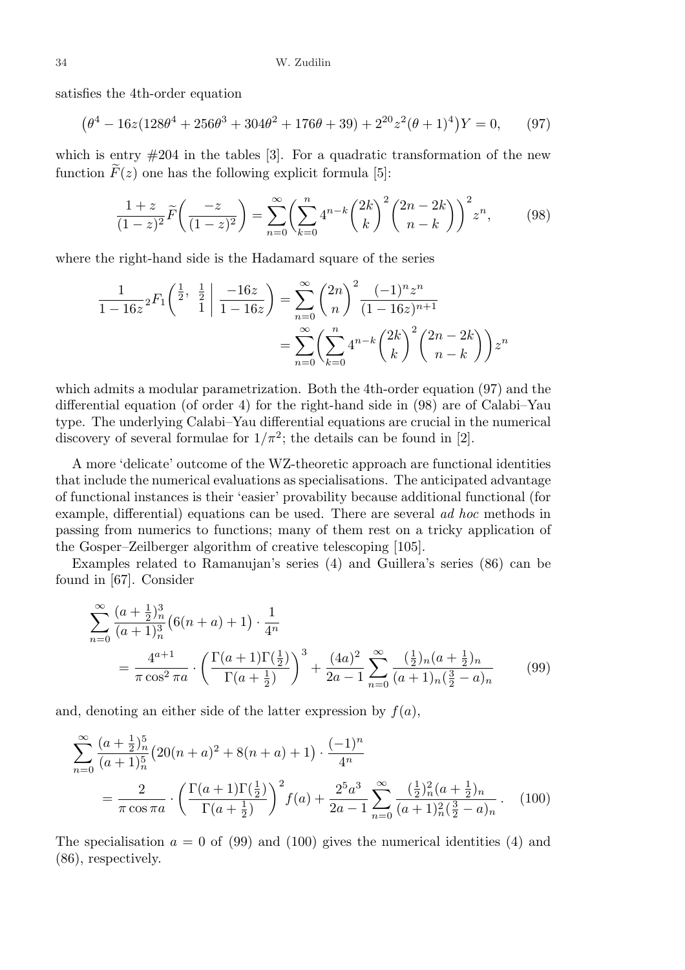satisfies the 4th-order equation

$$
(\theta^4 - 16z(128\theta^4 + 256\theta^3 + 304\theta^2 + 176\theta + 39) + 2^{20}z^2(\theta + 1)^4)Y = 0,
$$
 (97)

which is entry  $#204$  in the tables [3]. For a quadratic transformation of the new function  $\widetilde{F}(z)$  one has the following explicit formula [5]:

$$
\frac{1+z}{(1-z)^2}\widetilde{F}\left(\frac{-z}{(1-z)^2}\right) = \sum_{n=0}^{\infty} \left(\sum_{k=0}^{n} 4^{n-k} \binom{2k}{k}^2 \binom{2n-2k}{n-k}\right)^2 z^n, \tag{98}
$$

where the right-hand side is the Hadamard square of the series

$$
\frac{1}{1 - 16z} {}_{2}F_{1}\left(\frac{\frac{1}{2}, \frac{1}{2}}{1} \middle| \frac{-16z}{1 - 16z}\right) = \sum_{n=0}^{\infty} {2n \choose n}^{2} \frac{(-1)^{n} z^{n}}{(1 - 16z)^{n+1}}
$$

$$
= \sum_{n=0}^{\infty} \left(\sum_{k=0}^{n} 4^{n-k} {2k \choose k}^{2} {2n - 2k \choose n - k} \right) z^{n}
$$

which admits a modular parametrization. Both the 4th-order equation (97) and the differential equation (of order 4) for the right-hand side in (98) are of Calabi–Yau type. The underlying Calabi–Yau differential equations are crucial in the numerical discovery of several formulae for  $1/\pi^2$ ; the details can be found in [2].

A more 'delicate' outcome of the WZ-theoretic approach are functional identities that include the numerical evaluations as specialisations. The anticipated advantage of functional instances is their 'easier' provability because additional functional (for example, differential) equations can be used. There are several ad hoc methods in passing from numerics to functions; many of them rest on a tricky application of the Gosper–Zeilberger algorithm of creative telescoping [105].

Examples related to Ramanujan's series (4) and Guillera's series (86) can be found in [67]. Consider

$$
\sum_{n=0}^{\infty} \frac{(a+\frac{1}{2})_n^3}{(a+1)_n^3} \left(6(n+a)+1\right) \cdot \frac{1}{4^n}
$$
  
= 
$$
\frac{4^{a+1}}{\pi \cos^2 \pi a} \cdot \left(\frac{\Gamma(a+1)\Gamma(\frac{1}{2})}{\Gamma(a+\frac{1}{2})}\right)^3 + \frac{(4a)^2}{2a-1} \sum_{n=0}^{\infty} \frac{(\frac{1}{2})_n(a+\frac{1}{2})_n}{(a+1)_n(\frac{3}{2}-a)_n}
$$
(99)

and, denoting an either side of the latter expression by  $f(a)$ ,

$$
\sum_{n=0}^{\infty} \frac{(a+\frac{1}{2})_n^5}{(a+1)_n^5} \left(20(n+a)^2 + 8(n+a) + 1\right) \cdot \frac{(-1)^n}{4^n}
$$
  
= 
$$
\frac{2}{\pi \cos \pi a} \cdot \left(\frac{\Gamma(a+1)\Gamma(\frac{1}{2})}{\Gamma(a+\frac{1}{2})}\right)^2 f(a) + \frac{2^5 a^3}{2a-1} \sum_{n=0}^{\infty} \frac{(\frac{1}{2})_n^2 (a+\frac{1}{2})_n}{(a+1)_n^2 (\frac{3}{2}-a)_n}.
$$
 (100)

The specialisation  $a = 0$  of (99) and (100) gives the numerical identities (4) and (86), respectively.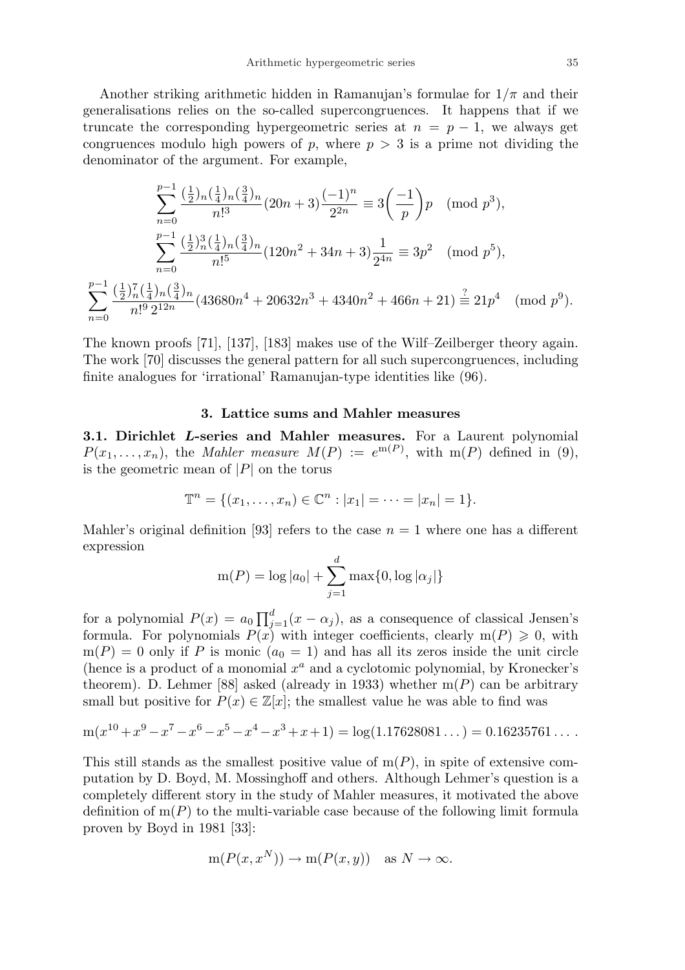Another striking arithmetic hidden in Ramanujan's formulae for  $1/\pi$  and their generalisations relies on the so-called supercongruences. It happens that if we truncate the corresponding hypergeometric series at  $n = p - 1$ , we always get congruences modulo high powers of p, where  $p > 3$  is a prime not dividing the denominator of the argument. For example,

$$
\sum_{n=0}^{p-1} \frac{\left(\frac{1}{2}\right)_{n}\left(\frac{1}{4}\right)_{n}\left(\frac{3}{4}\right)_{n}}{n!^{3}} (20n+3) \frac{(-1)^{n}}{2^{2n}} \equiv 3\left(\frac{-1}{p}\right) p \pmod{p^{3}},
$$
  

$$
\sum_{n=0}^{p-1} \frac{\left(\frac{1}{2}\right)_{n}^{3}\left(\frac{1}{4}\right)_{n}\left(\frac{3}{4}\right)_{n}}{n!^{5}} (120n^{2}+34n+3) \frac{1}{2^{4n}} \equiv 3p^{2} \pmod{p^{5}},
$$
  

$$
\sum_{n=0}^{p-1} \frac{\left(\frac{1}{2}\right)_{n}^{7}\left(\frac{1}{4}\right)_{n}\left(\frac{3}{4}\right)_{n}}{n!^{9} 2^{12n}} (43680n^{4}+20632n^{3}+4340n^{2}+466n+21) \stackrel{?}{\equiv} 21p^{4} \pmod{p^{9}}.
$$

The known proofs [71], [137], [183] makes use of the Wilf–Zeilberger theory again. The work [70] discusses the general pattern for all such supercongruences, including finite analogues for 'irrational' Ramanujan-type identities like (96).

#### 3. Lattice sums and Mahler measures

3.1. Dirichlet L-series and Mahler measures. For a Laurent polynomial  $P(x_1, \ldots, x_n)$ , the *Mahler measure*  $M(P) := e^{m(P)}$ , with m(P) defined in (9), is the geometric mean of  $|P|$  on the torus

$$
\mathbb{T}^n = \{(x_1, \ldots, x_n) \in \mathbb{C}^n : |x_1| = \cdots = |x_n| = 1\}.
$$

Mahler's original definition [93] refers to the case  $n = 1$  where one has a different expression

$$
m(P) = \log |a_0| + \sum_{j=1}^{d} \max\{0, \log |\alpha_j|\}
$$

for a polynomial  $P(x) = a_0 \prod_{i=1}^{d}$  $_{j=1}^{d}(x-\alpha_j)$ , as a consequence of classical Jensen's formula. For polynomials  $P(x)$  with integer coefficients, clearly  $m(P) \geq 0$ , with  $m(P) = 0$  only if P is monic  $(a_0 = 1)$  and has all its zeros inside the unit circle (hence is a product of a monomial  $x^a$  and a cyclotomic polynomial, by Kronecker's theorem). D. Lehmer [88] asked (already in 1933) whether  $m(P)$  can be arbitrary small but positive for  $P(x) \in \mathbb{Z}[x]$ ; the smallest value he was able to find was

$$
m(x^{10} + x^9 - x^7 - x^6 - x^5 - x^4 - x^3 + x + 1) = log(1.17628081...) = 0.16235761...
$$

This still stands as the smallest positive value of  $m(P)$ , in spite of extensive computation by D. Boyd, M. Mossinghoff and others. Although Lehmer's question is a completely different story in the study of Mahler measures, it motivated the above definition of  $m(P)$  to the multi-variable case because of the following limit formula proven by Boyd in 1981 [33]:

$$
m(P(x, x^N)) \to m(P(x, y))
$$
 as  $N \to \infty$ .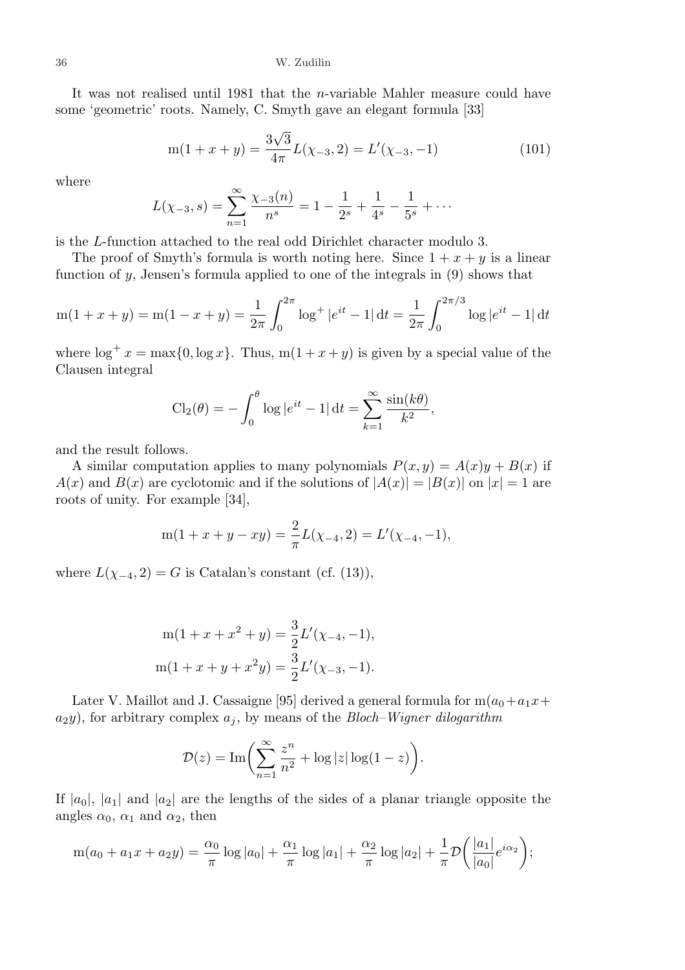It was not realised until 1981 that the n-variable Mahler measure could have some 'geometric' roots. Namely, C. Smyth gave an elegant formula [33]

$$
m(1+x+y) = \frac{3\sqrt{3}}{4\pi}L(\chi_{-3}, 2) = L'(\chi_{-3}, -1)
$$
\n(101)

where

$$
L(\chi_{-3}, s) = \sum_{n=1}^{\infty} \frac{\chi_{-3}(n)}{n^s} = 1 - \frac{1}{2^s} + \frac{1}{4^s} - \frac{1}{5^s} + \cdots
$$

is the L-function attached to the real odd Dirichlet character modulo 3.

The proof of Smyth's formula is worth noting here. Since  $1 + x + y$  is a linear function of y, Jensen's formula applied to one of the integrals in (9) shows that

$$
m(1+x+y) = m(1-x+y) = \frac{1}{2\pi} \int_0^{2\pi} \log^+ |e^{it} - 1| dt = \frac{1}{2\pi} \int_0^{2\pi/3} \log |e^{it} - 1| dt
$$

where  $\log^+ x = \max\{0, \log x\}$ . Thus,  $m(1 + x + y)$  is given by a special value of the Clausen integral

$$
\text{Cl}_2(\theta) = -\int_0^{\theta} \log |e^{it} - 1| \, \mathrm{d}t = \sum_{k=1}^{\infty} \frac{\sin(k\theta)}{k^2},
$$

and the result follows.

A similar computation applies to many polynomials  $P(x, y) = A(x)y + B(x)$  if  $A(x)$  and  $B(x)$  are cyclotomic and if the solutions of  $|A(x)| = |B(x)|$  on  $|x| = 1$  are roots of unity. For example [34],

$$
m(1 + x + y - xy) = \frac{2}{\pi}L(\chi_{-4}, 2) = L'(\chi_{-4}, -1),
$$

where  $L(\chi_{-4}, 2) = G$  is Catalan's constant (cf. (13)),

$$
m(1 + x + x2 + y) = \frac{3}{2}L'(\chi_{-4}, -1),
$$
  

$$
m(1 + x + y + x2y) = \frac{3}{2}L'(\chi_{-3}, -1).
$$

Later V. Maillot and J. Cassaigne [95] derived a general formula for  $m(a_0+a_1x+$  $a_2y$ , for arbitrary complex  $a_j$ , by means of the *Bloch–Wigner dilogarithm* 

$$
\mathcal{D}(z) = \text{Im}\bigg(\sum_{n=1}^{\infty} \frac{z^n}{n^2} + \log|z| \log(1-z)\bigg).
$$

If  $|a_0|$ ,  $|a_1|$  and  $|a_2|$  are the lengths of the sides of a planar triangle opposite the angles  $\alpha_0$ ,  $\alpha_1$  and  $\alpha_2$ , then

$$
m(a_0 + a_1x + a_2y) = \frac{\alpha_0}{\pi} \log|a_0| + \frac{\alpha_1}{\pi} \log|a_1| + \frac{\alpha_2}{\pi} \log|a_2| + \frac{1}{\pi} \mathcal{D}\left(\frac{|a_1|}{|a_0|}e^{i\alpha_2}\right);
$$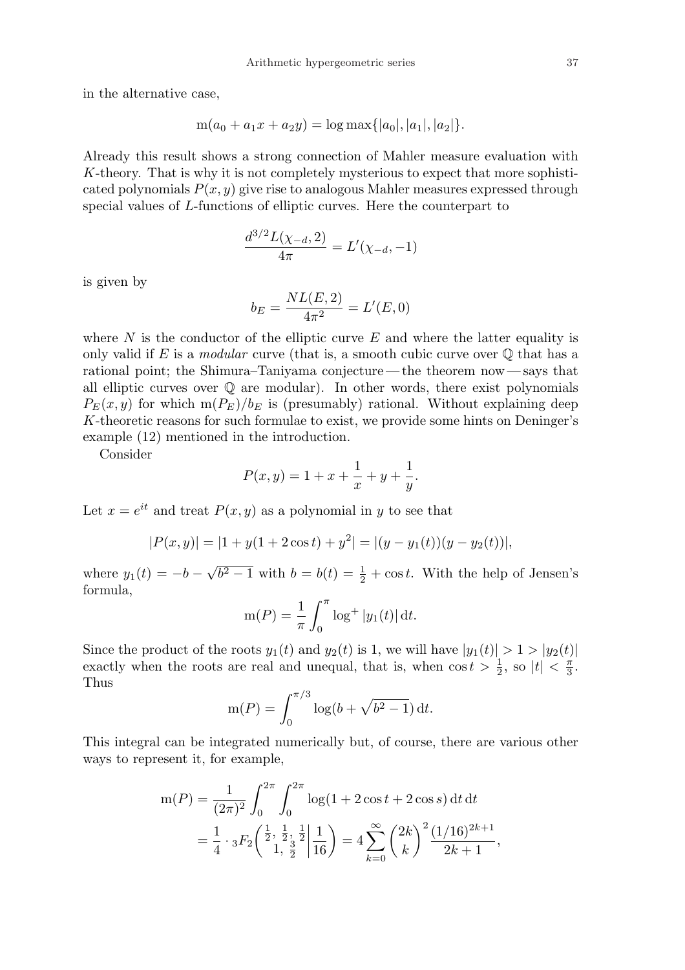in the alternative case,

$$
m(a_0 + a_1x + a_2y) = \log \max\{|a_0|, |a_1|, |a_2|\}.
$$

Already this result shows a strong connection of Mahler measure evaluation with K-theory. That is why it is not completely mysterious to expect that more sophisticated polynomials  $P(x, y)$  give rise to analogous Mahler measures expressed through special values of L-functions of elliptic curves. Here the counterpart to

$$
\frac{d^{3/2}L(\chi_{-d},2)}{4\pi}=L'(\chi_{-d},-1)
$$

is given by

$$
b_E = \frac{NL(E, 2)}{4\pi^2} = L'(E, 0)
$$

where  $N$  is the conductor of the elliptic curve  $E$  and where the latter equality is only valid if E is a modular curve (that is, a smooth cubic curve over  $\mathbb Q$  that has a rational point; the Shimura–Taniyama conjecture — the theorem now— says that all elliptic curves over  $\mathbb Q$  are modular). In other words, there exist polynomials  $P_E(x, y)$  for which  $m(P_E)/b_E$  is (presumably) rational. Without explaining deep K-theoretic reasons for such formulae to exist, we provide some hints on Deninger's example (12) mentioned in the introduction.

Consider

$$
P(x, y) = 1 + x + \frac{1}{x} + y + \frac{1}{y}.
$$

Let  $x = e^{it}$  and treat  $P(x, y)$  as a polynomial in y to see that

$$
|P(x,y)| = |1 + y(1 + 2\cos t) + y^2| = |(y - y_1(t))(y - y_2(t))|,
$$

where  $y_1(t) = -b$  – √  $\overline{b^2-1}$  with  $b=b(t)=\frac{1}{2}+\cos t$ . With the help of Jensen's formula,  $\int$ 

$$
m(P) = \frac{1}{\pi} \int_0^{\pi} \log^+ |y_1(t)| dt.
$$

Since the product of the roots  $y_1(t)$  and  $y_2(t)$  is 1, we will have  $|y_1(t)| > 1 > |y_2(t)|$ exactly when the roots are real and unequal, that is, when  $\cos t > \frac{1}{2}$ , so  $|t| < \frac{\pi}{3}$  $\frac{\pi}{3}$ . Thus

$$
m(P) = \int_0^{\pi/3} \log(b + \sqrt{b^2 - 1}) dt.
$$

This integral can be integrated numerically but, of course, there are various other ways to represent it, for example,

$$
m(P) = \frac{1}{(2\pi)^2} \int_0^{2\pi} \int_0^{2\pi} \log(1 + 2\cos t + 2\cos s) dt dt
$$
  
=  $\frac{1}{4} \cdot {}_3F_2 \left( \frac{\frac{1}{2}}{1}, \frac{\frac{1}{2}}{1}, \frac{\frac{1}{2}}{1} \right) = 4 \sum_{k=0}^{\infty} {2k \choose k}^2 \frac{(1/16)^{2k+1}}{2k+1},$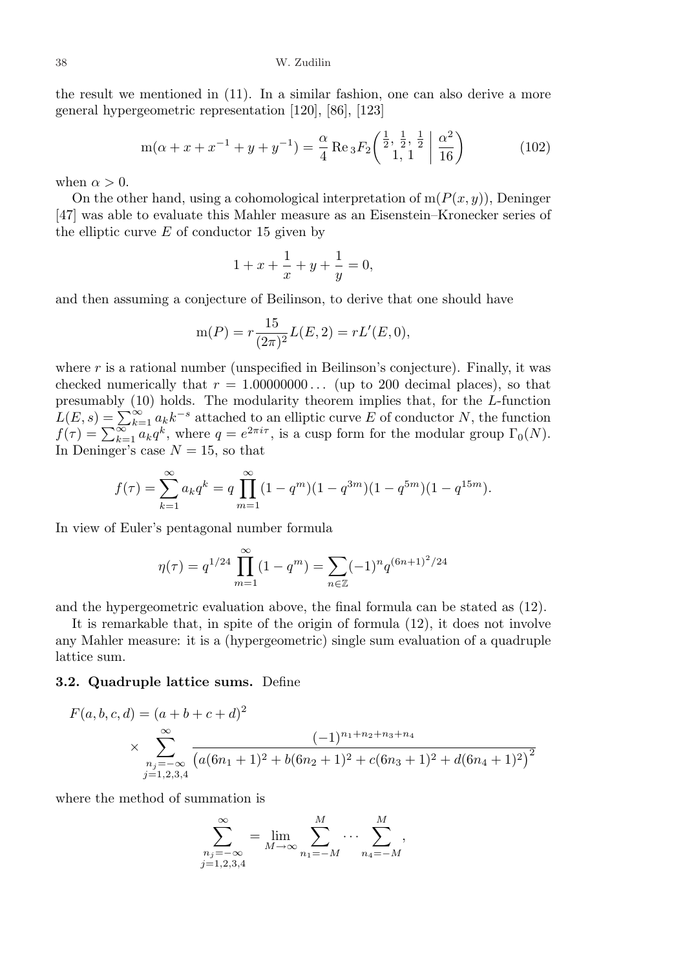the result we mentioned in (11). In a similar fashion, one can also derive a more general hypergeometric representation [120], [86], [123]

$$
m(\alpha + x + x^{-1} + y + y^{-1}) = \frac{\alpha}{4} \operatorname{Re} {}_3F_2\left(\begin{array}{c} \frac{1}{2}, \frac{1}{2}, \frac{1}{2} \\ 1, 1 \end{array} \middle| \begin{array}{c} \alpha^2 \\ \overline{16} \end{array}\right) \tag{102}
$$

when  $\alpha > 0$ .

On the other hand, using a cohomological interpretation of  $m(P(x, y))$ , Deninger [47] was able to evaluate this Mahler measure as an Eisenstein–Kronecker series of the elliptic curve  $E$  of conductor 15 given by

$$
1 + x + \frac{1}{x} + y + \frac{1}{y} = 0,
$$

and then assuming a conjecture of Beilinson, to derive that one should have

$$
m(P) = r \frac{15}{(2\pi)^2} L(E, 2) = rL'(E, 0),
$$

where  $r$  is a rational number (unspecified in Beilinson's conjecture). Finally, it was checked numerically that  $r = 1.00000000...$  (up to 200 decimal places), so that presumably (10) holds. The modularity theorem implies that, for the L-function presumably (10) holds. The modularity theorem implies that, for the *L*-function  $L(E, s) = \sum_{k=1}^{\infty} a_k k^{-s}$  attached to an elliptic curve *E* of conductor *N*, the function  $f(\tau) = \sum_{k=1}^{\infty} a_k q^k$ , where  $q = e^{2\pi i \tau}$ , i In Deninger's case  $N = 15$ , so that

$$
f(\tau) = \sum_{k=1}^{\infty} a_k q^k = q \prod_{m=1}^{\infty} (1 - q^m)(1 - q^{3m})(1 - q^{5m})(1 - q^{15m}).
$$

In view of Euler's pentagonal number formula

$$
\eta(\tau) = q^{1/24} \prod_{m=1}^{\infty} (1 - q^m) = \sum_{n \in \mathbb{Z}} (-1)^n q^{(6n+1)^2/24}
$$

and the hypergeometric evaluation above, the final formula can be stated as (12).

It is remarkable that, in spite of the origin of formula (12), it does not involve any Mahler measure: it is a (hypergeometric) single sum evaluation of a quadruple lattice sum.

### 3.2. Quadruple lattice sums. Define

$$
F(a, b, c, d) = (a + b + c + d)^2
$$
  
 
$$
\times \sum_{\substack{n_j = -\infty \ j = 1, 2, 3, 4}}^{\infty} \frac{(-1)^{n_1 + n_2 + n_3 + n_4}}{(a(6n_1 + 1)^2 + b(6n_2 + 1)^2 + c(6n_3 + 1)^2 + d(6n_4 + 1)^2)^2}
$$

where the method of summation is

$$
\sum_{\substack{n_j = -\infty \\ j=1,2,3,4}}^{\infty} = \lim_{M \to \infty} \sum_{n_1 = -M}^{M} \cdots \sum_{n_4 = -M}^{M},
$$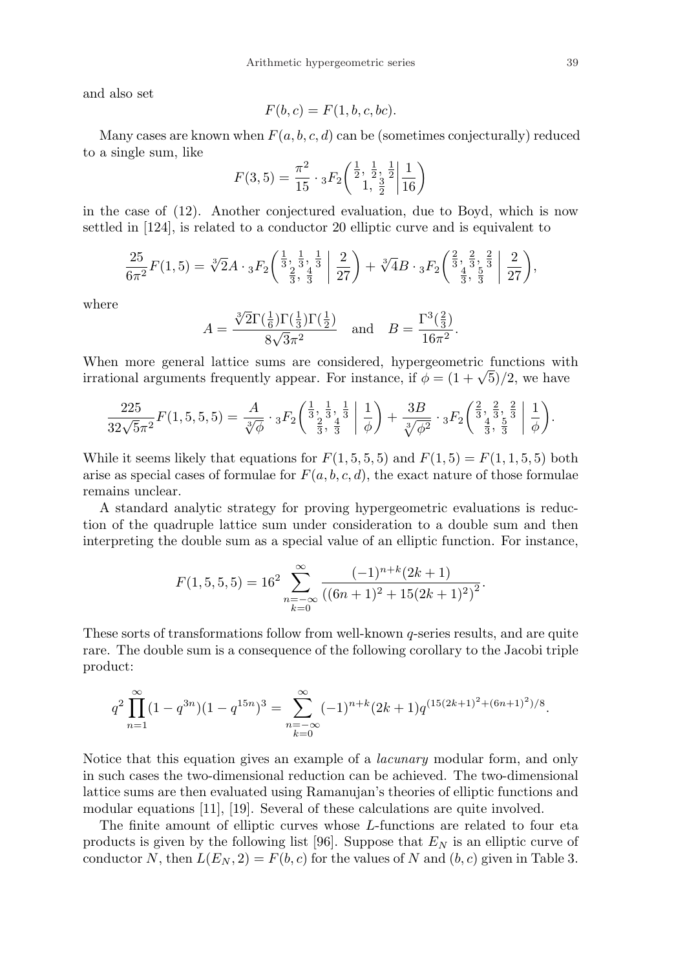and also set

$$
F(b,c) = F(1,b,c,bc).
$$

Many cases are known when  $F(a, b, c, d)$  can be (sometimes conjecturally) reduced to a single sum, like ¯

$$
F(3,5) = \frac{\pi^2}{15} \cdot {}_3F_2\left(\frac{\frac{1}{2}}{1}, \frac{\frac{1}{2}}{1}, \frac{\frac{1}{2}}{2} | \frac{1}{16}\right)
$$

in the case of (12). Another conjectured evaluation, due to Boyd, which is now settled in [124], is related to a conductor 20 elliptic curve and is equivalent to

$$
\frac{25}{6\pi^2}F(1,5) = \sqrt[3]{2}A \cdot {}_{3}F_2\left(\frac{\frac{1}{3}}{\frac{2}{3}},\frac{\frac{1}{3}}{\frac{3}{3}}\bigg|\frac{2}{27}\right) + \sqrt[3]{4}B \cdot {}_{3}F_2\left(\frac{\frac{2}{3}}{\frac{4}{3}},\frac{\frac{2}{3}}{\frac{5}{3}}\bigg|\frac{2}{27}\right),
$$

where

$$
A = \frac{\sqrt[3]{2}\Gamma(\frac{1}{6})\Gamma(\frac{1}{3})\Gamma(\frac{1}{2})}{8\sqrt{3}\pi^2} \text{ and } B = \frac{\Gamma^3(\frac{2}{3})}{16\pi^2}.
$$

When more general lattice sums are considered, hypergeometric functions with when more general lattice sums are considered, hypergeometric functions wit<br>irrational arguments frequently appear. For instance, if  $\phi = (1 + \sqrt{5})/2$ , we have

$$
\frac{225}{32\sqrt{5}\pi^2}F(1,5,5,5) = \frac{A}{\sqrt[3]{\phi}} \cdot {}_3F_2\left(\frac{\frac{1}{3}}{\frac{2}{3}},\frac{\frac{1}{3}}{\frac{4}{3}}\middle|\frac{1}{\phi}\right) + \frac{3B}{\sqrt[3]{\phi^2}} \cdot {}_3F_2\left(\frac{\frac{2}{3}}{\frac{4}{3}},\frac{\frac{2}{3}}{\frac{5}{3}}\middle|\frac{1}{\phi}\right).
$$

While it seems likely that equations for  $F(1, 5, 5, 5)$  and  $F(1, 5) = F(1, 1, 5, 5)$  both arise as special cases of formulae for  $F(a, b, c, d)$ , the exact nature of those formulae remains unclear.

A standard analytic strategy for proving hypergeometric evaluations is reduction of the quadruple lattice sum under consideration to a double sum and then interpreting the double sum as a special value of an elliptic function. For instance,

$$
F(1,5,5,5) = 162 \sum_{\substack{n=-\infty\\k=0}}^{\infty} \frac{(-1)^{n+k}(2k+1)}{((6n+1)^2 + 15(2k+1)^2)^2}.
$$

These sorts of transformations follow from well-known q-series results, and are quite rare. The double sum is a consequence of the following corollary to the Jacobi triple product:

$$
q^{2} \prod_{n=1}^{\infty} (1 - q^{3n})(1 - q^{15n})^{3} = \sum_{\substack{n=-\infty \\ k=0}}^{\infty} (-1)^{n+k} (2k+1) q^{(15(2k+1)^{2} + (6n+1)^{2})/8}.
$$

Notice that this equation gives an example of a lacunary modular form, and only in such cases the two-dimensional reduction can be achieved. The two-dimensional lattice sums are then evaluated using Ramanujan's theories of elliptic functions and modular equations [11], [19]. Several of these calculations are quite involved.

The finite amount of elliptic curves whose L-functions are related to four eta products is given by the following list [96]. Suppose that  $E<sub>N</sub>$  is an elliptic curve of conductor N, then  $L(E_N, 2) = F(b, c)$  for the values of N and  $(b, c)$  given in Table 3.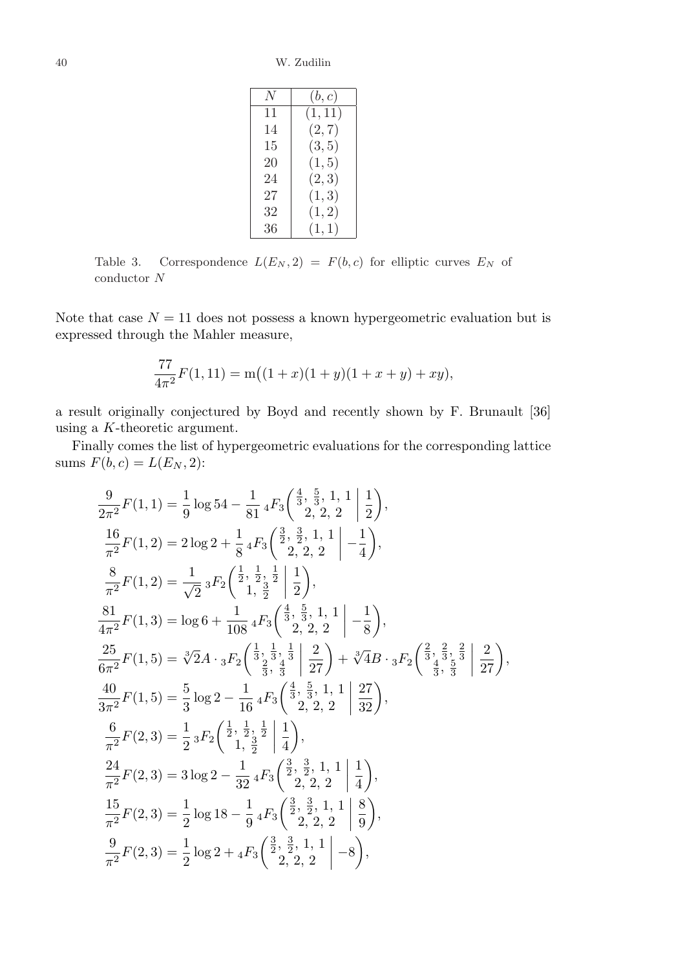40 W. Zudilin

| N  | (b,c)   |
|----|---------|
| 11 | (1, 11) |
| 14 | (2, 7)  |
| 15 | (3, 5)  |
| 20 | (1, 5)  |
| 24 | (2, 3)  |
| 27 | (1, 3)  |
| 32 | (1, 2)  |
| 36 | (1,1)   |

Table 3. Correspondence  $L(E_N, 2) = F(b, c)$  for elliptic curves  $E_N$  of conductor N

Note that case  $N = 11$  does not possess a known hypergeometric evaluation but is expressed through the Mahler measure,

$$
\frac{77}{4\pi^2}F(1,11) = m((1+x)(1+y)(1+x+y) + xy),
$$

a result originally conjectured by Boyd and recently shown by F. Brunault [36] using a K-theoretic argument.

Finally comes the list of hypergeometric evaluations for the corresponding lattice sums  $F(b, c) = L(E_N, 2)$ :

$$
\frac{9}{2\pi^2}F(1,1) = \frac{1}{9}\log 54 - \frac{1}{81} {}_{4}F_{3}\left(\frac{\frac{4}{3}}{2}, \frac{5}{3}, 1, 1\left|\frac{1}{2}\right.\right),
$$
\n
$$
\frac{16}{\pi^2}F(1,2) = 2\log 2 + \frac{1}{8} {}_{4}F_{3}\left(\frac{\frac{3}{2}}, \frac{\frac{3}{2}}{2}, 1, 1\left|\frac{1}{2}\right.\right),
$$
\n
$$
\frac{8}{\pi^2}F(1,2) = \frac{1}{\sqrt{2}} {}_{3}F_{2}\left(\frac{\frac{1}{2}}, \frac{\frac{1}{2}}{2}, \frac{\frac{1}{2}}{2}\left|\frac{1}{2}\right.\right),
$$
\n
$$
\frac{81}{4\pi^2}F(1,3) = \log 6 + \frac{1}{108} {}_{4}F_{3}\left(\frac{\frac{4}{3}}, \frac{5}{3}, 1, 1\left|\frac{1}{2}\right.\right),
$$
\n
$$
\frac{25}{6\pi^2}F(1,5) = \sqrt[3]{2}A \cdot {}_{3}F_{2}\left(\frac{\frac{1}{3}}, \frac{\frac{1}{3}}{2}, \frac{1}{3}\left|\frac{2}{27}\right.\right) + \sqrt[3]{4}B \cdot {}_{3}F_{2}\left(\frac{\frac{2}{3}}, \frac{\frac{2}{3}}{3}, \frac{\frac{2}{3}}{3}\left|\frac{2}{27}\right.\right),
$$
\n
$$
\frac{40}{6\pi^2}F(1,5) = \frac{5}{3}\log 2 - \frac{1}{16} {}_{4}F_{3}\left(\frac{\frac{4}{3}}, \frac{5}{3}, 1, 1\left|\frac{27}{3}\right.\right),
$$
\n
$$
\frac{6}{3\pi^2}F(2,3) = \frac{1}{2} {}_{3}F_{2}\left(\frac{\frac{1}{2}}, \frac{\frac{1}{2}}{2}, \frac{\frac{1}{2}}{4}\left|\frac{1}{2}\right.\right),
$$
\n
$$
\frac{24}{\pi^2}F(2,3) = 3\log 2 - \frac{1}{32} {}_{4}F_{3}\left(\frac{\frac{3}{2}}, \frac{3}{2}, 1, 1\left|\frac{1}{
$$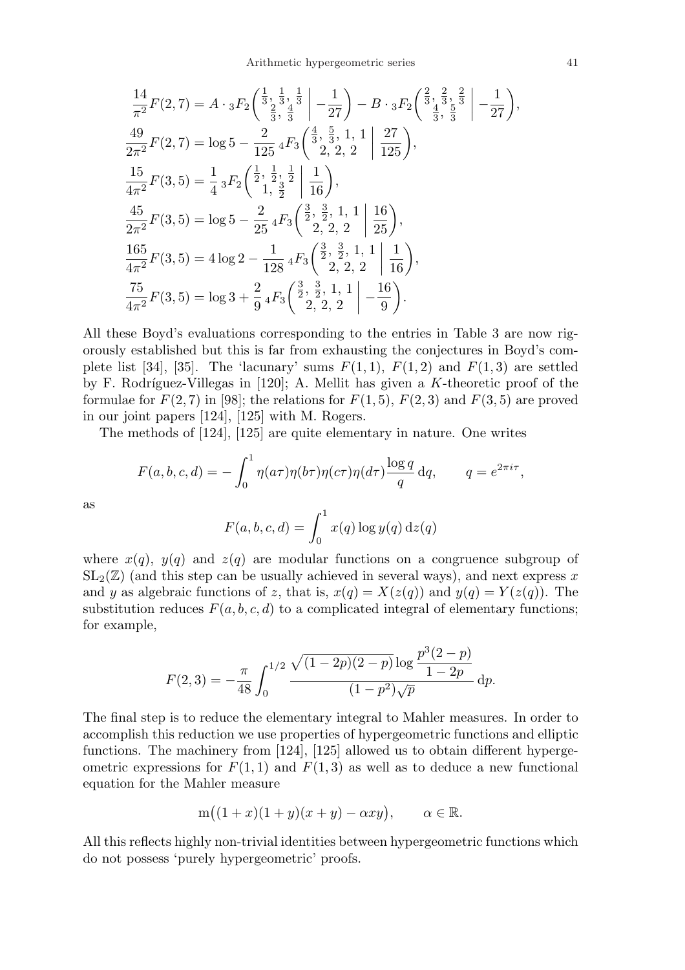$$
\frac{14}{\pi^2}F(2,7) = A \cdot {}_3F_2 \left( \frac{\frac{1}{3}}{\frac{2}{3}}, \frac{\frac{1}{3}}{\frac{3}{3}} \right) - \frac{1}{27} \right) - B \cdot {}_3F_2 \left( \frac{\frac{2}{3}}{\frac{4}{3}}, \frac{\frac{2}{3}}{\frac{5}{3}} \right) - \frac{1}{27} \right),
$$
  
\n
$$
\frac{49}{2\pi^2}F(2,7) = \log 5 - \frac{2}{125} {}_4F_3 \left( \frac{\frac{4}{3}}, \frac{5}{3}, 1, 1 \right) \left( \frac{27}{125} \right),
$$
  
\n
$$
\frac{15}{4\pi^2}F(3,5) = \frac{1}{4} {}_3F_2 \left( \frac{\frac{1}{2}}, \frac{\frac{1}{2}}{\frac{1}{2}}, \frac{\frac{1}{2}}{\frac{1}{2}} \right) \left( \frac{1}{16} \right),
$$
  
\n
$$
\frac{45}{2\pi^2}F(3,5) = \log 5 - \frac{2}{25} {}_4F_3 \left( \frac{\frac{3}{2}}, \frac{\frac{3}{2}}{2}, 1, 1 \right) \left( \frac{16}{25} \right),
$$
  
\n
$$
\frac{165}{4\pi^2}F(3,5) = 4 \log 2 - \frac{1}{128} {}_4F_3 \left( \frac{\frac{3}{2}}, \frac{\frac{3}{2}}{2}, 1, 1 \right) \left( \frac{1}{16} \right),
$$
  
\n
$$
\frac{75}{4\pi^2}F(3,5) = \log 3 + \frac{2}{9} {}_4F_3 \left( \frac{\frac{3}{2}}, \frac{\frac{3}{2}}{2}, 1, 1 \right) - \frac{16}{9}.
$$

All these Boyd's evaluations corresponding to the entries in Table 3 are now rigorously established but this is far from exhausting the conjectures in Boyd's complete list [34], [35]. The 'lacunary' sums  $F(1,1)$ ,  $F(1,2)$  and  $F(1,3)$  are settled by F. Rodríguez-Villegas in  $[120]$ ; A. Mellit has given a K-theoretic proof of the formulae for  $F(2, 7)$  in [98]; the relations for  $F(1, 5)$ ,  $F(2, 3)$  and  $F(3, 5)$  are proved in our joint papers [124], [125] with M. Rogers.

The methods of [124], [125] are quite elementary in nature. One writes

$$
F(a, b, c, d) = -\int_0^1 \eta(a\tau)\eta(b\tau)\eta(c\tau)\eta(d\tau)\frac{\log q}{q} dq, \qquad q = e^{2\pi i\tau},
$$

as

$$
F(a, b, c, d) = \int_0^1 x(q) \log y(q) \,\mathrm{d}z(q)
$$

where  $x(q)$ ,  $y(q)$  and  $z(q)$  are modular functions on a congruence subgroup of  $SL_2(\mathbb{Z})$  (and this step can be usually achieved in several ways), and next express x and y as algebraic functions of z, that is,  $x(q) = X(z(q))$  and  $y(q) = Y(z(q))$ . The substitution reduces  $F(a, b, c, d)$  to a complicated integral of elementary functions; for example,

$$
F(2,3) = -\frac{\pi}{48} \int_0^{1/2} \frac{\sqrt{(1-2p)(2-p)}\log\frac{p^3(2-p)}{1-2p}}{(1-p^2)\sqrt{p}} dp.
$$

The final step is to reduce the elementary integral to Mahler measures. In order to accomplish this reduction we use properties of hypergeometric functions and elliptic functions. The machinery from [124], [125] allowed us to obtain different hypergeometric expressions for  $F(1, 1)$  and  $F(1, 3)$  as well as to deduce a new functional equation for the Mahler measure

$$
m((1+x)(1+y)(x+y) - \alpha xy), \qquad \alpha \in \mathbb{R}.
$$

All this reflects highly non-trivial identities between hypergeometric functions which do not possess 'purely hypergeometric' proofs.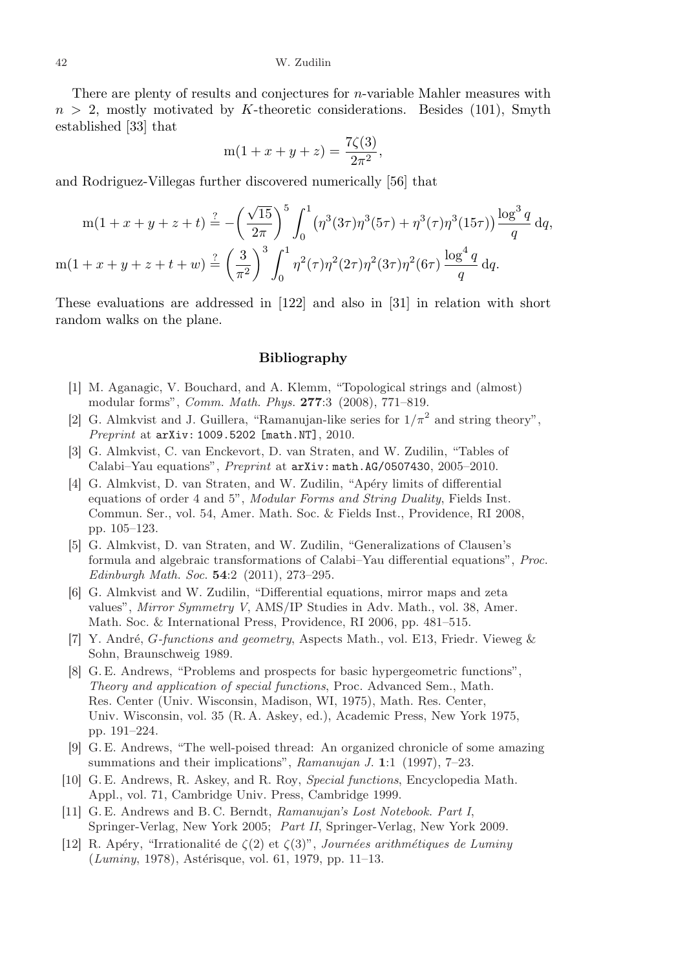There are plenty of results and conjectures for n-variable Mahler measures with  $n > 2$ , mostly motivated by K-theoretic considerations. Besides (101), Smyth established [33] that

$$
m(1 + x + y + z) = \frac{7\zeta(3)}{2\pi^2},
$$

and Rodriguez-Villegas further discovered numerically [56] that

$$
m(1+x+y+z+t) \stackrel{?}{=} -\left(\frac{\sqrt{15}}{2\pi}\right)^5 \int_0^1 (\eta^3(3\tau)\eta^3(5\tau) + \eta^3(\tau)\eta^3(15\tau)) \frac{\log^3 q}{q} dq,
$$
  

$$
m(1+x+y+z+t+w) \stackrel{?}{=} \left(\frac{3}{\pi^2}\right)^3 \int_0^1 \eta^2(\tau)\eta^2(2\tau)\eta^2(3\tau)\eta^2(6\tau) \frac{\log^4 q}{q} dq.
$$

These evaluations are addressed in [122] and also in [31] in relation with short random walks on the plane.

## Bibliography

- [1] M. Aganagic, V. Bouchard, and A. Klemm, "Topological strings and (almost) modular forms", Comm. Math. Phys. 277:3 (2008), 771–819.
- [2] G. Almkvist and J. Guillera, "Ramanujan-like series for  $1/\pi^2$  and string theory", Preprint at arXiv: 1009.5202 [math.NT], 2010.
- [3] G. Almkvist, C. van Enckevort, D. van Straten, and W. Zudilin, "Tables of Calabi–Yau equations", Preprint at arXiv: math.AG/0507430, 2005–2010.
- [4] G. Almkvist, D. van Straten, and W. Zudilin, "Apéry limits of differential equations of order 4 and 5", Modular Forms and String Duality, Fields Inst. Commun. Ser., vol. 54, Amer. Math. Soc. & Fields Inst., Providence, RI 2008, pp. 105–123.
- [5] G. Almkvist, D. van Straten, and W. Zudilin, "Generalizations of Clausen's formula and algebraic transformations of Calabi–Yau differential equations", Proc. Edinburgh Math. Soc. 54:2 (2011), 273–295.
- [6] G. Almkvist and W. Zudilin, "Differential equations, mirror maps and zeta values", Mirror Symmetry V, AMS/IP Studies in Adv. Math., vol. 38, Amer. Math. Soc. & International Press, Providence, RI 2006, pp. 481–515.
- [7] Y. André, G-functions and geometry, Aspects Math., vol. E13, Friedr. Vieweg  $\&$ Sohn, Braunschweig 1989.
- [8] G. E. Andrews, "Problems and prospects for basic hypergeometric functions", Theory and application of special functions, Proc. Advanced Sem., Math. Res. Center (Univ. Wisconsin, Madison, WI, 1975), Math. Res. Center, Univ. Wisconsin, vol. 35 (R. A. Askey, ed.), Academic Press, New York 1975, pp. 191–224.
- [9] G. E. Andrews, "The well-poised thread: An organized chronicle of some amazing summations and their implications", Ramanujan J. 1:1 (1997), 7-23.
- [10] G. E. Andrews, R. Askey, and R. Roy, Special functions, Encyclopedia Math. Appl., vol. 71, Cambridge Univ. Press, Cambridge 1999.
- [11] G. E. Andrews and B. C. Berndt, Ramanujan's Lost Notebook. Part I, Springer-Verlag, New York 2005; Part II, Springer-Verlag, New York 2009.
- [12] R. Apéry, "Irrationalité de  $\zeta(2)$  et  $\zeta(3)$ ", Journées arithmétiques de Luminy  $(Luminy, 1978)$ , Astérisque, vol. 61, 1979, pp. 11–13.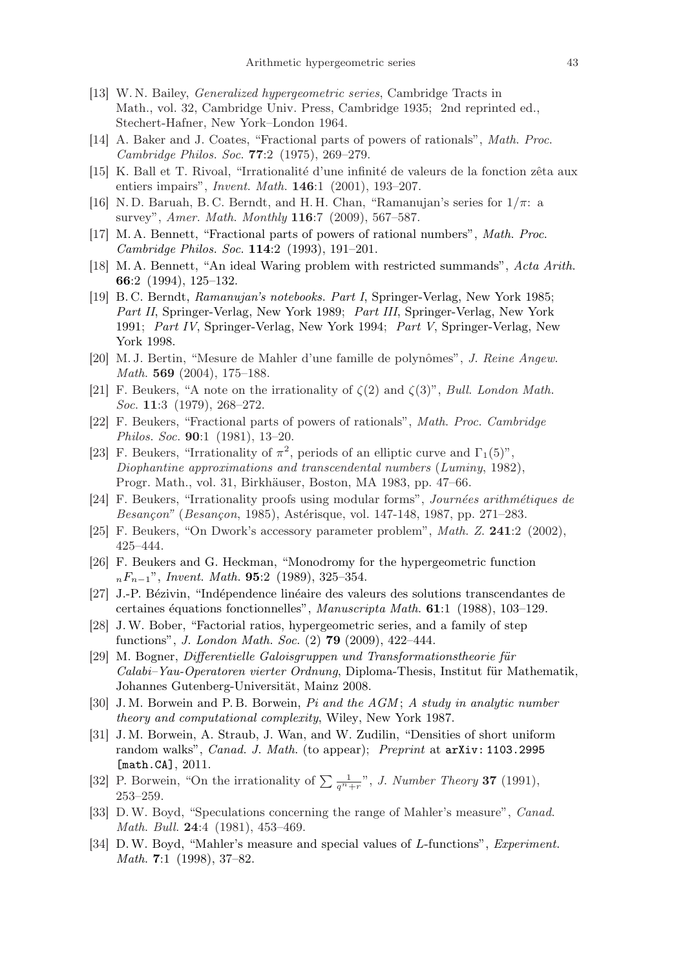- [13] W. N. Bailey, *Generalized hypergeometric series*, Cambridge Tracts in Math., vol. 32, Cambridge Univ. Press, Cambridge 1935; 2nd reprinted ed., Stechert-Hafner, New York–London 1964.
- [14] A. Baker and J. Coates, "Fractional parts of powers of rationals", Math. Proc. Cambridge Philos. Soc. 77:2 (1975), 269–279.
- [15] K. Ball et T. Rivoal, "Irrationalité d'une infinité de valeurs de la fonction zêta aux entiers impairs", *Invent. Math.* **146**:1 (2001), 193-207.
- [16] N.D. Baruah, B.C. Berndt, and H.H. Chan, "Ramanujan's series for  $1/\pi$ : a survey", Amer. Math. Monthly **116**:7 (2009), 567–587.
- [17] M. A. Bennett, "Fractional parts of powers of rational numbers", Math. Proc. Cambridge Philos. Soc. 114:2 (1993), 191–201.
- [18] M. A. Bennett, "An ideal Waring problem with restricted summands", Acta Arith. 66:2 (1994), 125–132.
- [19] B. C. Berndt, Ramanujan's notebooks. Part I, Springer-Verlag, New York 1985; Part II, Springer-Verlag, New York 1989; Part III, Springer-Verlag, New York 1991; Part IV, Springer-Verlag, New York 1994; Part V, Springer-Verlag, New York 1998.
- [20] M. J. Bertin, "Mesure de Mahler d'une famille de polynômes", J. Reine Angew. Math. **569** (2004), 175–188.
- [21] F. Beukers, "A note on the irrationality of  $\zeta(2)$  and  $\zeta(3)$ ", *Bull. London Math.* Soc. 11:3 (1979), 268-272.
- [22] F. Beukers, "Fractional parts of powers of rationals", Math. Proc. Cambridge Philos. Soc. 90:1 (1981), 13–20.
- [23] F. Beukers, "Irrationality of  $\pi^2$ , periods of an elliptic curve and  $\Gamma_1(5)$ ", Diophantine approximations and transcendental numbers (Luminy, 1982), Progr. Math., vol. 31, Birkhäuser, Boston, MA 1983, pp. 47–66.
- [24] F. Beukers, "Irrationality proofs using modular forms", Journées arithmétiques de Besançon" (Besançon, 1985), Astérisque, vol. 147-148, 1987, pp. 271–283.
- [25] F. Beukers, "On Dwork's accessory parameter problem", Math. Z. 241:2 (2002), 425–444.
- [26] F. Beukers and G. Heckman, "Monodromy for the hypergeometric function  $nF_{n-1}$ ", Invent. Math. 95:2 (1989), 325–354.
- [27] J.-P. Bézivin, "Indépendence linéaire des valeurs des solutions transcendantes de certaines équations fonctionnelles", Manuscripta Math. 61:1 (1988), 103-129.
- [28] J.W. Bober, "Factorial ratios, hypergeometric series, and a family of step functions", J. London Math. Soc. (2) 79 (2009), 422–444.
- [29] M. Bogner, Differentielle Galoisgruppen und Transformationstheorie für  $Calabi-Yau-Operator$  vierter Ordnung, Diploma-Thesis, Institut für Mathematik, Johannes Gutenberg-Universität, Mainz 2008.
- [30] J.M. Borwein and P.B. Borwein, Pi and the AGM; A study in analytic number theory and computational complexity, Wiley, New York 1987.
- [31] J. M. Borwein, A. Straub, J. Wan, and W. Zudilin, "Densities of short uniform random walks", Canad. J. Math. (to appear); Preprint at arXiv: 1103.2995 [math.CA], 2011.
- [math.ck], 2011.<br>[32] P. Borwein, "On the irrationality of  $\sum_{q^n+r} \frac{1}{q^n+r}$ ", *J. Number Theory* **37** (1991), 253–259.
- [33] D.W. Boyd, "Speculations concerning the range of Mahler's measure", Canad. Math. Bull. **24**:4 (1981), 453-469.
- [34] D.W. Boyd, "Mahler's measure and special values of L-functions", Experiment. *Math.* 7:1  $(1998)$ , 37-82.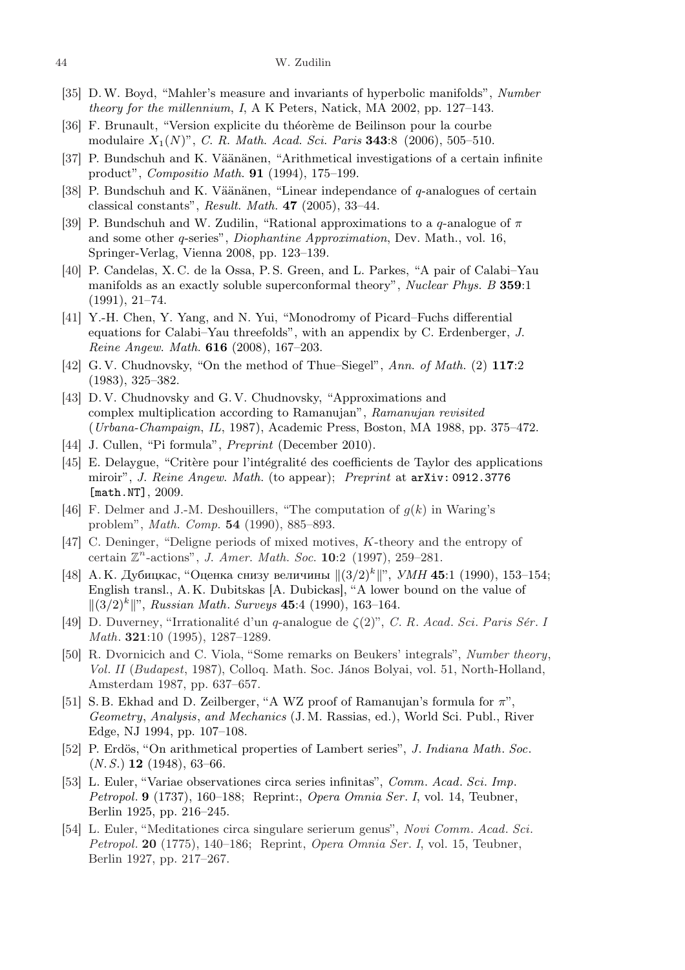- [35] D.W. Boyd, "Mahler's measure and invariants of hyperbolic manifolds", Number theory for the millennium, I, A K Peters, Natick, MA 2002, pp. 127–143.
- [36] F. Brunault, "Version explicite du théorème de Beilinson pour la courbe modulaire  $X_1(N)$ ", C. R. Math. Acad. Sci. Paris 343:8 (2006), 505-510.
- [37] P. Bundschuh and K. Väänänen, "Arithmetical investigations of a certain infinite product", Compositio Math. 91 (1994), 175–199.
- [38] P. Bundschuh and K. Väänänen, "Linear independance of  $q$ -analogues of certain classical constants", Result. Math.  $47$  (2005), 33-44.
- [39] P. Bundschuh and W. Zudilin, "Rational approximations to a q-analogue of  $\pi$ and some other q-series", Diophantine Approximation, Dev. Math., vol. 16, Springer-Verlag, Vienna 2008, pp. 123–139.
- [40] P. Candelas, X. C. de la Ossa, P. S. Green, and L. Parkes, "A pair of Calabi–Yau manifolds as an exactly soluble superconformal theory", Nuclear Phys. B 359:1 (1991), 21–74.
- [41] Y.-H. Chen, Y. Yang, and N. Yui, "Monodromy of Picard–Fuchs differential equations for Calabi–Yau threefolds", with an appendix by C. Erdenberger, J. Reine Angew. Math. 616 (2008), 167–203.
- [42] G. V. Chudnovsky, "On the method of Thue–Siegel", Ann. of Math. (2) 117:2 (1983), 325–382.
- [43] D. V. Chudnovsky and G. V. Chudnovsky, "Approximations and complex multiplication according to Ramanujan", Ramanujan revisited (Urbana-Champaign, IL, 1987), Academic Press, Boston, MA 1988, pp. 375–472.
- [44] J. Cullen, "Pi formula", Preprint (December 2010).
- [45] E. Delaygue, "Critère pour l'intégralité des coefficients de Taylor des applications miroir", J. Reine Angew. Math. (to appear); Preprint at arXiv: 0912.3776 [math.NT], 2009.
- [46] F. Delmer and J.-M. Deshouillers, "The computation of  $g(k)$  in Waring's problem", Math. Comp. 54 (1990), 885–893.
- [47] C. Deninger, "Deligne periods of mixed motives, K-theory and the entropy of certain  $\mathbb{Z}^n$ -actions", J. Amer. Math. Soc. 10:2 (1997), 259–281.
- [48] А.К. Дубицкас, "Оценка снизу величины  $\|(3/2)^k\|$ ", *УМН* 45:1 (1990), 153-154; English transl., A. K. Dubitskas [A. Dubickas], "A lower bound on the value of  $||(3/2)^k||$ ", Russian Math. Surveys 45:4 (1990), 163-164.
- [49] D. Duverney, "Irrationalité d'un q-analogue de  $\zeta(2)$ ", C. R. Acad. Sci. Paris Sér. I Math. 321:10 (1995), 1287–1289.
- [50] R. Dvornicich and C. Viola, "Some remarks on Beukers' integrals", Number theory, Vol. II (Budapest, 1987), Colloq. Math. Soc. János Bolyai, vol. 51, North-Holland, Amsterdam 1987, pp. 637–657.
- [51] S. B. Ekhad and D. Zeilberger, "A WZ proof of Ramanujan's formula for  $\pi$ ", Geometry, Analysis, and Mechanics (J. M. Rassias, ed.), World Sci. Publ., River Edge, NJ 1994, pp. 107–108.
- [52] P. Erdös, "On arithmetical properties of Lambert series", J. Indiana Math. Soc.  $(N, S.)$  **12** (1948), 63–66.
- [53] L. Euler, "Variae observationes circa series infinitas", Comm. Acad. Sci. Imp. Petropol. 9 (1737), 160–188; Reprint:, Opera Omnia Ser. I, vol. 14, Teubner, Berlin 1925, pp. 216–245.
- [54] L. Euler, "Meditationes circa singulare serierum genus", Novi Comm. Acad. Sci. Petropol. 20 (1775), 140–186; Reprint, Opera Omnia Ser. I, vol. 15, Teubner, Berlin 1927, pp. 217–267.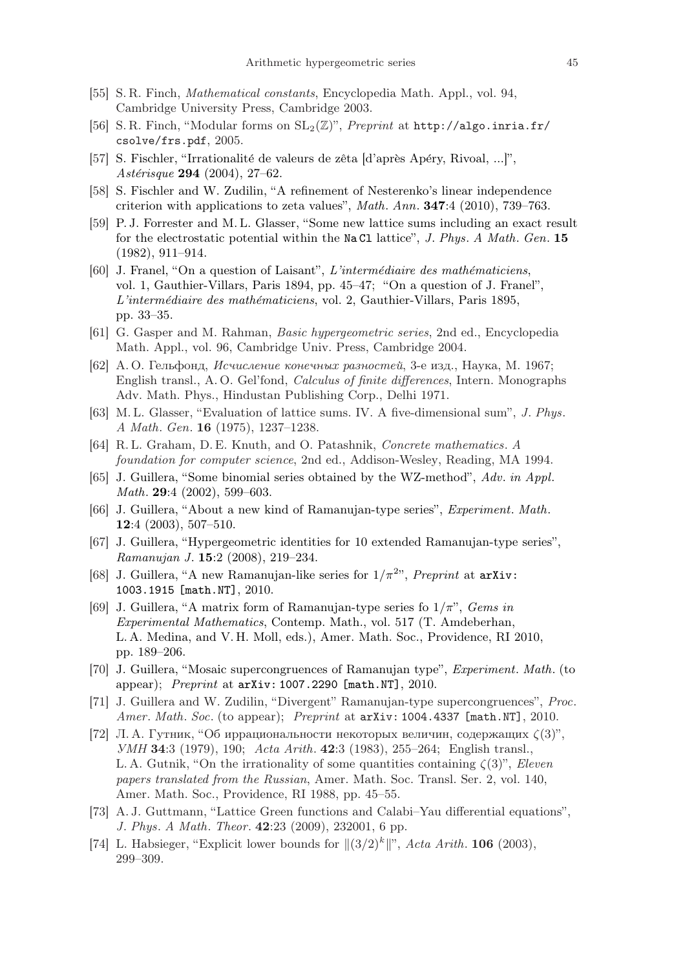- [55] S. R. Finch, Mathematical constants, Encyclopedia Math. Appl., vol. 94, Cambridge University Press, Cambridge 2003.
- [56] S. R. Finch, "Modular forms on  $SL_2(\mathbb{Z})$ ", *Preprint* at http://algo.inria.fr/ csolve/frs.pdf, 2005.
- [57] S. Fischler, "Irrationalité de valeurs de zêta [d'après Apéry, Rivoal, ...]", Astérisque 294 (2004), 27–62.
- [58] S. Fischler and W. Zudilin, "A refinement of Nesterenko's linear independence criterion with applications to zeta values", Math. Ann.  $347:4$  (2010), 739–763.
- [59] P. J. Forrester and M. L. Glasser, "Some new lattice sums including an exact result for the electrostatic potential within the Na Cl lattice", J. Phys. A Math. Gen. 15 (1982), 911–914.
- [60] J. Franel, "On a question of Laisant",  $L'intermediaire$  des mathématiciens, vol. 1, Gauthier-Villars, Paris 1894, pp. 45–47; "On a question of J. Franel", L'intermédiaire des mathématiciens, vol. 2, Gauthier-Villars, Paris 1895, pp. 33–35.
- [61] G. Gasper and M. Rahman, Basic hypergeometric series, 2nd ed., Encyclopedia Math. Appl., vol. 96, Cambridge Univ. Press, Cambridge 2004.
- [62] А. О. Гельфонд, Исчисление конечных разностей, 3-е изд., Наука, М. 1967; English transl., A. O. Gel'fond, Calculus of finite differences, Intern. Monographs Adv. Math. Phys., Hindustan Publishing Corp., Delhi 1971.
- [63] M. L. Glasser, "Evaluation of lattice sums. IV. A five-dimensional sum", J. Phys. A Math. Gen. 16 (1975), 1237–1238.
- [64] R. L. Graham, D. E. Knuth, and O. Patashnik, Concrete mathematics. A foundation for computer science, 2nd ed., Addison-Wesley, Reading, MA 1994.
- [65] J. Guillera, "Some binomial series obtained by the WZ-method", Adv. in Appl. Math. **29**:4 (2002), 599–603.
- [66] J. Guillera, "About a new kind of Ramanujan-type series", Experiment. Math. 12:4 (2003), 507–510.
- [67] J. Guillera, "Hypergeometric identities for 10 extended Ramanujan-type series", Ramanujan J. 15:2 (2008), 219–234.
- [68] J. Guillera, "A new Ramanujan-like series for  $1/\pi^{2}$ ", Preprint at arXiv: 1003.1915 [math.NT], 2010.
- [69] J. Guillera, "A matrix form of Ramanujan-type series fo  $1/\pi$ ", Gems in Experimental Mathematics, Contemp. Math., vol. 517 (T. Amdeberhan, L. A. Medina, and V. H. Moll, eds.), Amer. Math. Soc., Providence, RI 2010, pp. 189–206.
- [70] J. Guillera, "Mosaic supercongruences of Ramanujan type", Experiment. Math. (to appear); Preprint at  $\ar{x}$ iv: 1007.2290 [math.NT], 2010.
- [71] J. Guillera and W. Zudilin, "Divergent" Ramanujan-type supercongruences", Proc. Amer. Math. Soc. (to appear); Preprint at arXiv: 1004.4337 [math.NT], 2010.
- [72] Л. А. Гутник, "Об иррациональности некоторых величин, содержащих  $\zeta(3)$ ", УМН 34:3 (1979), 190; Acta Arith. 42:3 (1983), 255–264; English transl., L. A. Gutnik, "On the irrationality of some quantities containing  $\zeta(3)$ ", Eleven papers translated from the Russian, Amer. Math. Soc. Transl. Ser. 2, vol. 140, Amer. Math. Soc., Providence, RI 1988, pp. 45–55.
- [73] A. J. Guttmann, "Lattice Green functions and Calabi–Yau differential equations", J. Phys. A Math. Theor. 42:23 (2009), 232001, 6 pp.
- [74] L. Habsieger, "Explicit lower bounds for  $||(3/2)^k||$ ", Acta Arith. 106 (2003), 299–309.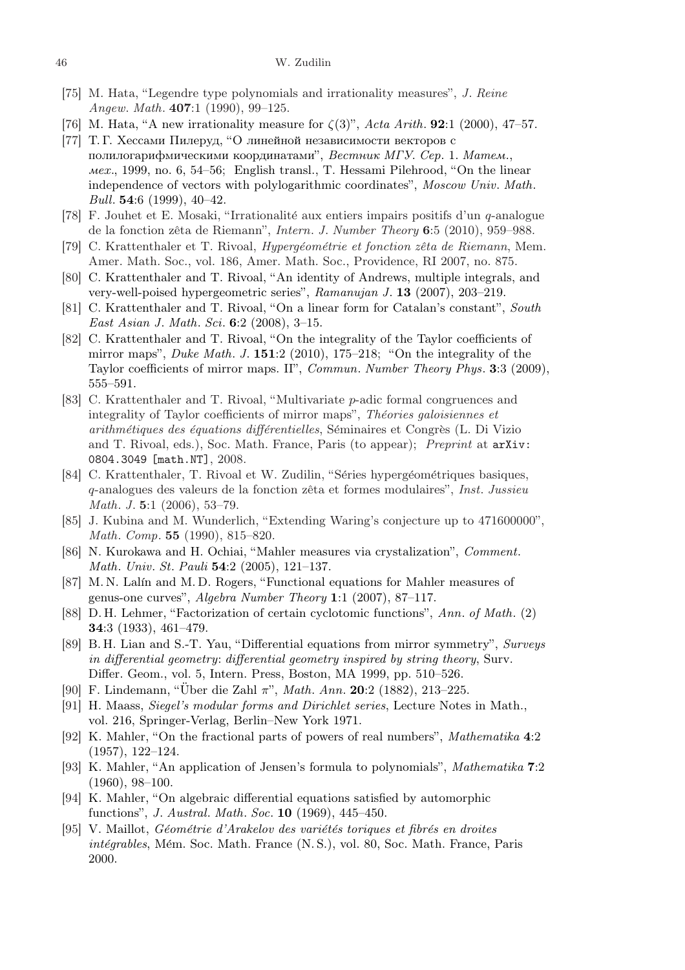- [75] M. Hata, "Legendre type polynomials and irrationality measures", J. Reine Angew. Math. 407:1 (1990), 99–125.
- [76] M. Hata, "A new irrationality measure for  $\zeta(3)$ ", Acta Arith. **92**:1 (2000), 47–57.
- [77] Т. Г. Хессами Пилеруд, "О линейной независимости векторов с полилогарифмическими координатами", Вестник МГУ. Сер. 1. Матем., мех., 1999, no. 6, 54–56; English transl., T. Hessami Pilehrood, "On the linear independence of vectors with polylogarithmic coordinates", Moscow Univ. Math. Bull. 54:6 (1999), 40–42.
- [78] F. Jouhet et E. Mosaki, "Irrationalité aux entiers impairs positifs d'un  $q$ -analogue de la fonction zêta de Riemann", *Intern. J. Number Theory* 6:5 (2010), 959–988.
- [79] C. Krattenthaler et T. Rivoal, *Hypergéométrie et fonction zêta de Riemann*, Mem. Amer. Math. Soc., vol. 186, Amer. Math. Soc., Providence, RI 2007, no. 875.
- [80] C. Krattenthaler and T. Rivoal, "An identity of Andrews, multiple integrals, and very-well-poised hypergeometric series", Ramanujan J. 13 (2007), 203–219.
- [81] C. Krattenthaler and T. Rivoal, "On a linear form for Catalan's constant", South East Asian J. Math. Sci. 6:2 (2008), 3–15.
- [82] C. Krattenthaler and T. Rivoal, "On the integrality of the Taylor coefficients of mirror maps", *Duke Math. J.* **151**:2 (2010), 175–218; "On the integrality of the Taylor coefficients of mirror maps. II", Commun. Number Theory Phys. 3:3 (2009), 555–591.
- [83] C. Krattenthaler and T. Rivoal, "Multivariate p-adic formal congruences and integrality of Taylor coefficients of mirror maps", Théories galoisiennes et arithmétiques des équations différentielles, Séminaires et Congrès (L. Di Vizio and T. Rivoal, eds.), Soc. Math. France, Paris (to appear); Preprint at arXiv: 0804.3049 [math.NT], 2008.
- [84] C. Krattenthaler, T. Rivoal et W. Zudilin, "Séries hypergéométriques basiques, q-analogues des valeurs de la fonction zêta et formes modulaires", *Inst. Jussieu* Math. J. 5:1 (2006), 53–79.
- [85] J. Kubina and M. Wunderlich, "Extending Waring's conjecture up to 471600000", Math. Comp. 55 (1990), 815–820.
- [86] N. Kurokawa and H. Ochiai, "Mahler measures via crystalization", Comment. Math. Univ. St. Pauli 54:2 (2005), 121–137.
- [87] M. N. Lalín and M. D. Rogers, "Functional equations for Mahler measures of genus-one curves", Algebra Number Theory 1:1 (2007), 87–117.
- [88] D. H. Lehmer, "Factorization of certain cyclotomic functions", Ann. of Math. (2) 34:3 (1933), 461–479.
- [89] B. H. Lian and S.-T. Yau, "Differential equations from mirror symmetry", Surveys in differential geometry: differential geometry inspired by string theory, Surv. Differ. Geom., vol. 5, Intern. Press, Boston, MA 1999, pp. 510–526.
- [90] F. Lindemann, "Über die Zahl  $\pi$ ", *Math. Ann.* **20**:2 (1882), 213–225.
- [91] H. Maass, Siegel's modular forms and Dirichlet series, Lecture Notes in Math., vol. 216, Springer-Verlag, Berlin–New York 1971.
- [92] K. Mahler, "On the fractional parts of powers of real numbers", Mathematika 4:2 (1957), 122–124.
- [93] K. Mahler, "An application of Jensen's formula to polynomials", Mathematika 7:2 (1960), 98–100.
- [94] K. Mahler, "On algebraic differential equations satisfied by automorphic functions", J. Austral. Math. Soc. 10 (1969), 445–450.
- $[95]$  V. Maillot, *Géométrie d'Arakelov des variétés toriques et fibrés en droites*  $intégrables, Mém. Soc. Math. France (N. S.), vol. 80, Soc. Math. France, Paris$ 2000.

<sup>46</sup> W. Zudilin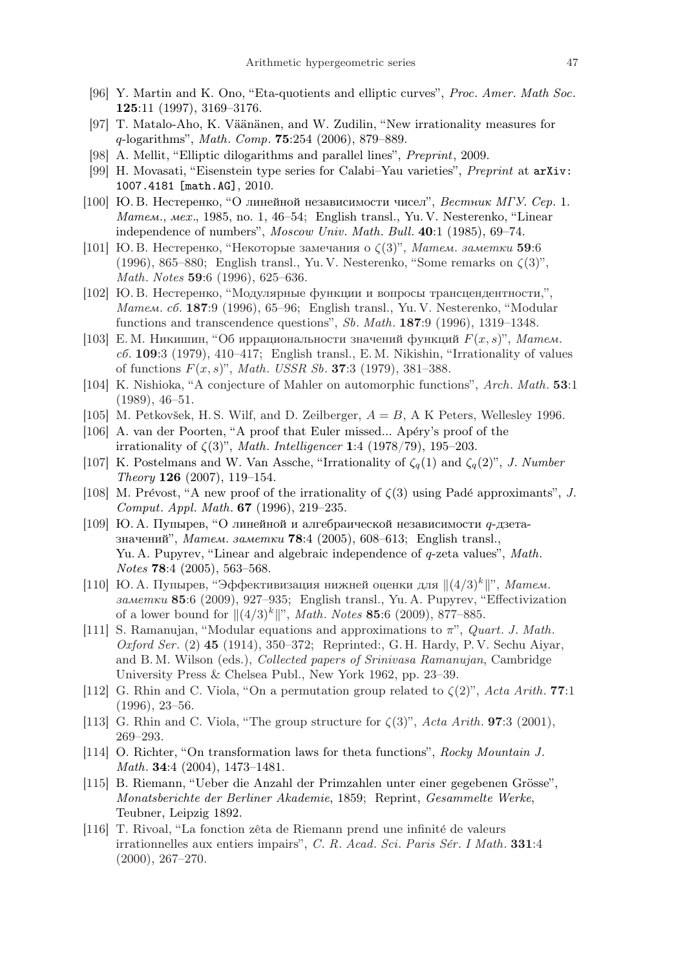- [96] Y. Martin and K. Ono, "Eta-quotients and elliptic curves", Proc. Amer. Math Soc. 125:11 (1997), 3169–3176.
- [97] T. Matalo-Aho, K. Väänänen, and W. Zudilin, "New irrationality measures for  $q$ -logarithms", *Math. Comp.* **75**:254 (2006), 879–889.
- [98] A. Mellit, "Elliptic dilogarithms and parallel lines", Preprint, 2009.
- [99] H. Movasati, "Eisenstein type series for Calabi–Yau varieties", Preprint at arXiv: 1007.4181 [math.AG], 2010.
- [100] Ю. В. Нестеренко, "О линейной независимости чисел", Вестник МГУ. Сер. 1. Матем., мех., 1985, no. 1, 46–54; English transl., Yu. V. Nesterenko, "Linear independence of numbers", Moscow Univ. Math. Bull. 40:1 (1985), 69–74.
- [101] Ю. В. Нестеренко, "Некоторые замечания о  $\zeta(3)$ ", Матем. заметки 59:6 (1996), 865–880; English transl., Yu. V. Nesterenko, "Some remarks on  $\zeta(3)$ ", Math. Notes 59:6 (1996), 625–636.
- [102] Ю. В. Нестеренко, "Модулярные функции и вопросы трансцендентности,", Матем. сб. 187:9 (1996), 65–96; English transl., Yu. V. Nesterenko, "Modular functions and transcendence questions", Sb. Math. 187:9 (1996), 1319–1348.
- [103] Е.М. Никишин, "Об иррациональности значений функций  $F(x, s)$ ", Матем.  $c6.$  109:3 (1979), 410–417; English transl., E.M. Nikishin, "Irrationality of values of functions  $F(x, s)$ ", *Math. USSR Sb.* **37**:3 (1979), 381–388.
- [104] K. Nishioka, "A conjecture of Mahler on automorphic functions", Arch. Math. 53:1 (1989), 46–51.
- [105] M. Petkovšek, H.S. Wilf, and D. Zeilberger,  $A = B$ , A K Peters, Wellesley 1996.
- [106] A. van der Poorten, "A proof that Euler missed... Apéry's proof of the irrationality of  $\zeta(3)$ ", Math. Intelligencer 1:4 (1978/79), 195-203.
- [107] K. Postelmans and W. Van Assche, "Irrationality of  $\zeta_q(1)$  and  $\zeta_q(2)$ ", J. Number Theory 126 (2007), 119–154.
- [108] M. Prévost, "A new proof of the irrationality of  $\zeta(3)$  using Padé approximants", J. Comput. Appl. Math. 67 (1996), 219–235.
- [109] Ю. А. Пупырев, "О линейной и алгебраической независимости q-дзетазначений", Матем. заметки 78:4 (2005), 608–613; English transl., Yu. A. Pupyrev, "Linear and algebraic independence of q-zeta values", Math. Notes 78:4 (2005), 563–568.
- [110] Ю. А. Пупырев, "Эффективизация нижней оценки для  $\|(4/3)^k\|$ ", Матем. заметки 85:6 (2009), 927–935; English transl., Yu. A. Pupyrev, "Effectivization of a lower bound for  $||(4/3)^k||^n$ , *Math. Notes* 85:6 (2009), 877–885.
- [111] S. Ramanujan, "Modular equations and approximations to π", Quart. J. Math. Oxford Ser. (2) 45 (1914), 350–372; Reprinted:, G. H. Hardy, P. V. Sechu Aiyar, and B. M. Wilson (eds.), Collected papers of Srinivasa Ramanujan, Cambridge University Press & Chelsea Publ., New York 1962, pp. 23–39.
- [112] G. Rhin and C. Viola, "On a permutation group related to  $\zeta(2)$ ", Acta Arith. 77:1 (1996), 23–56.
- [113] G. Rhin and C. Viola, "The group structure for  $\zeta(3)$ ", Acta Arith. **97**:3 (2001), 269–293.
- [114] O. Richter, "On transformation laws for theta functions", Rocky Mountain J. Math. 34:4 (2004), 1473–1481.
- [115] B. Riemann, "Ueber die Anzahl der Primzahlen unter einer gegebenen Grösse", Monatsberichte der Berliner Akademie, 1859; Reprint, Gesammelte Werke, Teubner, Leipzig 1892.
- [116] T. Rivoal, "La fonction zêta de Riemann prend une infinité de valeurs irrationnelles aux entiers impairs", C. R. Acad. Sci. Paris Sér. I Math. 331:4 (2000), 267–270.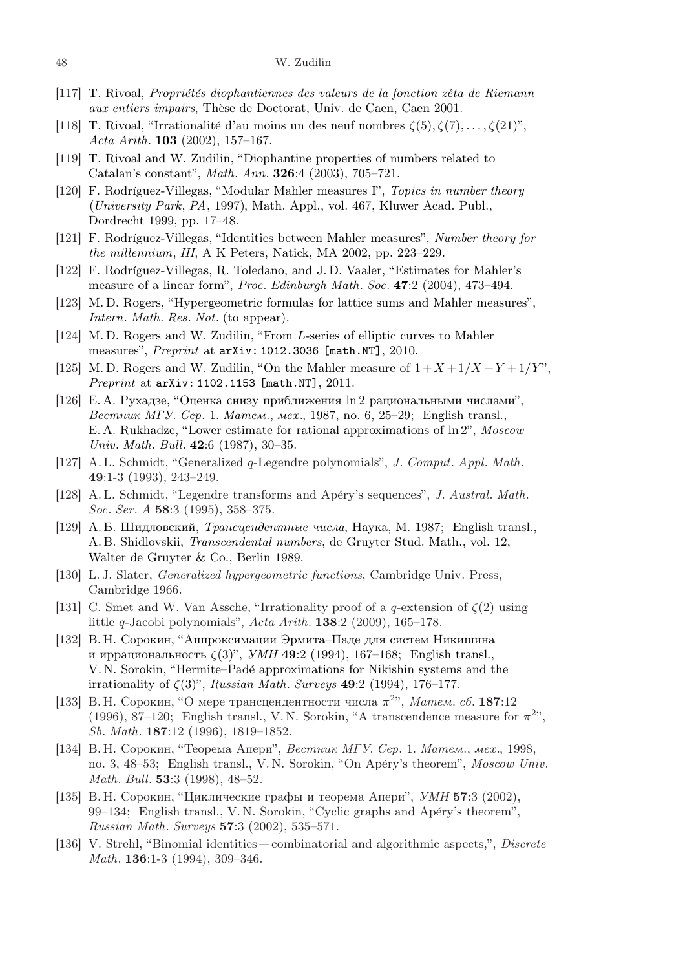- [117] T. Rivoal, *Propriétés diophantiennes des valeurs de la fonction zêta de Riemann* aux entiers impairs, Thèse de Doctorat, Univ. de Caen, Caen 2001.
- [118] T. Rivoal, "Irrationalité d'au moins un des neuf nombres  $\zeta(5), \zeta(7), \ldots, \zeta(21)$ ", Acta Arith. **103** (2002), 157–167.
- [119] T. Rivoal and W. Zudilin, "Diophantine properties of numbers related to Catalan's constant", Math. Ann. 326:4 (2003), 705–721.
- [120] F. Rodríguez-Villegas, "Modular Mahler measures I", Topics in number theory (University Park, PA, 1997), Math. Appl., vol. 467, Kluwer Acad. Publ., Dordrecht 1999, pp. 17–48.
- [121] F. Rodríguez-Villegas, "Identities between Mahler measures", Number theory for the millennium, III, A K Peters, Natick, MA 2002, pp. 223–229.
- [122] F. Rodríguez-Villegas, R. Toledano, and J.D. Vaaler, "Estimates for Mahler's measure of a linear form", Proc. Edinburgh Math. Soc. 47:2 (2004), 473–494.
- [123] M. D. Rogers, "Hypergeometric formulas for lattice sums and Mahler measures", Intern. Math. Res. Not. (to appear).
- [124] M. D. Rogers and W. Zudilin, "From L-series of elliptic curves to Mahler measures", Preprint at arXiv: 1012.3036 [math.NT], 2010.
- [125] M.D. Rogers and W. Zudilin, "On the Mahler measure of  $1 + X + 1/X + Y + 1/Y$ ", Preprint at arXiv: 1102.1153 [math.NT], 2011.
- [126] Е. А. Рухадзе, "Оценка снизу приближения ln 2 рациональными числами", Вестник МГУ. Сер. 1. Матем., мех., 1987, no. 6, 25–29; English transl., E. A. Rukhadze, "Lower estimate for rational approximations of ln 2", Moscow Univ. Math. Bull. 42:6 (1987), 30–35.
- [127] A. L. Schmidt, "Generalized q-Legendre polynomials", J. Comput. Appl. Math. 49:1-3 (1993), 243–249.
- [128] A. L. Schmidt, "Legendre transforms and Apéry's sequences", J. Austral. Math. Soc. Ser. A 58:3 (1995), 358–375.
- [129] А. Б. Шидловский, Трансцендентные числа, Наука, М. 1987; English transl., A. B. Shidlovskii, Transcendental numbers, de Gruyter Stud. Math., vol. 12, Walter de Gruyter & Co., Berlin 1989.
- [130] L. J. Slater, Generalized hypergeometric functions, Cambridge Univ. Press, Cambridge 1966.
- [131] C. Smet and W. Van Assche, "Irrationality proof of a q-extension of  $\zeta(2)$  using little q-Jacobi polynomials", Acta Arith. 138:2 (2009), 165–178.
- [132] В. Н. Сорокин, "Аппроксимации Эрмита–Паде для систем Никишина и иррациональность  $\zeta(3)$ ", УМН 49:2 (1994), 167-168; English transl., V. N. Sorokin, "Hermite–Pad´e approximations for Nikishin systems and the irrationality of  $\zeta(3)$ ", Russian Math. Surveys 49:2 (1994), 176-177.
- [133] В. Н. Сорокин, "О мере трансцендентности числа  $\pi^{2}$ ", Матем. сб. 187:12 (1996), 87–120; English transl., V.N. Sorokin, "A transcendence measure for  $\pi^{2}$ ", Sb. Math. 187:12 (1996), 1819–1852.
- [134] В. Н. Сорокин, "Теорема Апери", Вестник МГУ. Сер. 1. Матем., мех., 1998, no. 3, 48–53; English transl., V. N. Sorokin, "On Apéry's theorem", Moscow Univ. Math. Bull. 53:3 (1998), 48–52.
- [135] В. Н. Сорокин, "Циклические графы и теорема Апери", УМН 57:3 (2002), 99–134; English transl., V. N. Sorokin, "Cyclic graphs and Apéry's theorem", Russian Math. Surveys 57:3 (2002), 535–571.
- [136] V. Strehl, "Binomial identities combinatorial and algorithmic aspects,", Discrete Math. 136:1-3 (1994), 309–346.

<sup>48</sup> W. Zudilin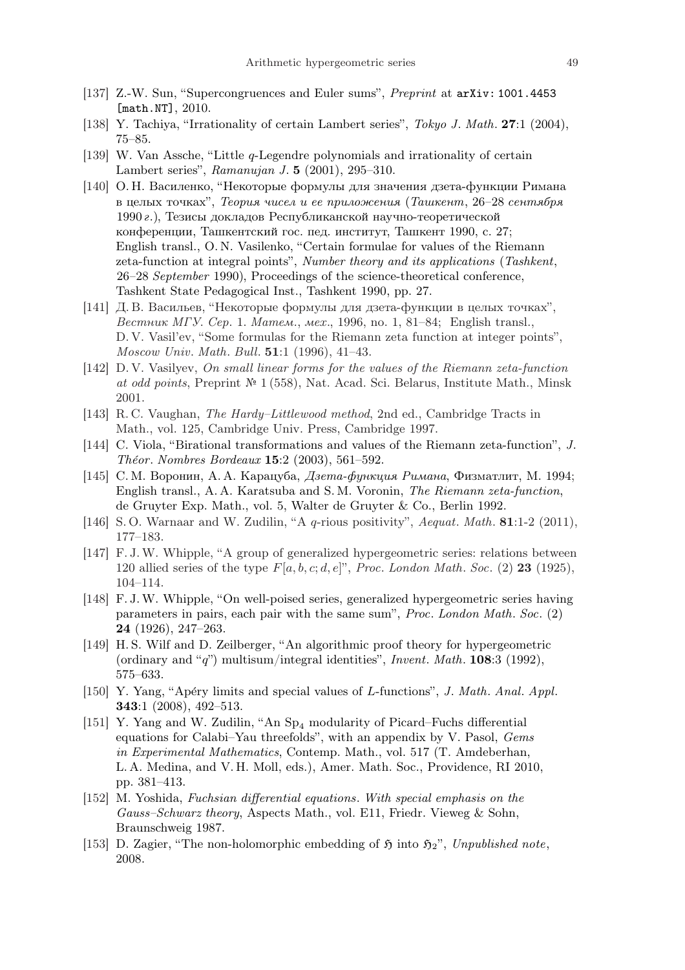- [137] Z.-W. Sun, "Supercongruences and Euler sums", Preprint at arXiv: 1001.4453 [math.NT], 2010.
- [138] Y. Tachiya, "Irrationality of certain Lambert series", Tokyo J. Math. 27:1 (2004), 75–85.
- [139] W. Van Assche, "Little q-Legendre polynomials and irrationality of certain Lambert series", Ramanujan J. 5 (2001), 295–310.
- [140] О. Н. Василенко, "Некоторые формулы для значения дзета-функции Римана в целых точках", Теория чисел и ее приложения (Ташкент, 26–28 сентября 1990 г.), Тезисы докладов Республиканской научно-теоретической конференции, Ташкентский гос. пед. институт, Ташкент 1990, с. 27; English transl., O. N. Vasilenko, "Certain formulae for values of the Riemann zeta-function at integral points", Number theory and its applications (Tashkent, 26–28 September 1990), Proceedings of the science-theoretical conference, Tashkent State Pedagogical Inst., Tashkent 1990, pp. 27.
- [141] Д. В. Васильев, "Некоторые формулы для дзета-функции в целых точках", Вестник МГУ. Сер. 1. Матем., мех., 1996, no. 1, 81–84; English transl., D. V. Vasil'ev, "Some formulas for the Riemann zeta function at integer points", Moscow Univ. Math. Bull. 51:1 (1996), 41–43.
- [142] D. V. Vasilyev, On small linear forms for the values of the Riemann zeta-function at odd points, Preprint № 1 (558), Nat. Acad. Sci. Belarus, Institute Math., Minsk 2001.
- [143] R. C. Vaughan, The Hardy–Littlewood method, 2nd ed., Cambridge Tracts in Math., vol. 125, Cambridge Univ. Press, Cambridge 1997.
- [144] C. Viola, "Birational transformations and values of the Riemann zeta-function", J. Théor. Nombres Bordeaux 15:2 (2003), 561-592.
- [145] С. М. Воронин, А. А. Карацуба, Дзета-функция Римана, Физматлит, М. 1994; English transl., A. A. Karatsuba and S. M. Voronin, The Riemann zeta-function, de Gruyter Exp. Math., vol. 5, Walter de Gruyter & Co., Berlin 1992.
- [146] S.O. Warnaar and W. Zudilin, "A q-rious positivity", Aequat. Math. 81:1-2 (2011), 177–183.
- [147] F. J.W. Whipple, "A group of generalized hypergeometric series: relations between 120 allied series of the type  $F[a, b, c; d, e]^{\nu}$ , Proc. London Math. Soc. (2) 23 (1925), 104–114.
- [148] F. J.W. Whipple, "On well-poised series, generalized hypergeometric series having parameters in pairs, each pair with the same sum", Proc. London Math. Soc. (2) 24 (1926), 247–263.
- [149] H. S. Wilf and D. Zeilberger, "An algorithmic proof theory for hypergeometric (ordinary and "q") multisum/integral identities", Invent. Math.  $108:3$  (1992), 575–633.
- [150] Y. Yang, "Apéry limits and special values of L-functions", J. Math. Anal. Appl. 343:1 (2008), 492–513.
- [151] Y. Yang and W. Zudilin, "An Sp<sub>4</sub> modularity of Picard–Fuchs differential equations for Calabi–Yau threefolds", with an appendix by V. Pasol, Gems in Experimental Mathematics, Contemp. Math., vol. 517 (T. Amdeberhan, L. A. Medina, and V. H. Moll, eds.), Amer. Math. Soc., Providence, RI 2010, pp. 381–413.
- [152] M. Yoshida, Fuchsian differential equations. With special emphasis on the Gauss–Schwarz theory, Aspects Math., vol. E11, Friedr. Vieweg & Sohn, Braunschweig 1987.
- [153] D. Zagier, "The non-holomorphic embedding of  $\mathfrak{H}$  into  $\mathfrak{H}_2$ ", Unpublished note, 2008.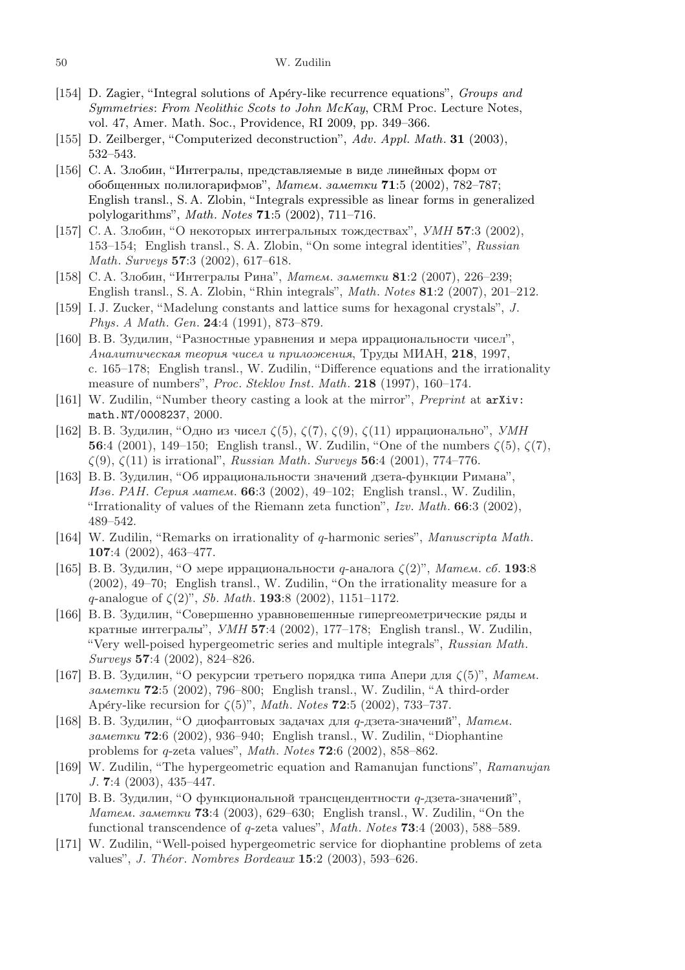- [154] D. Zagier, "Integral solutions of Apéry-like recurrence equations", Groups and Symmetries: From Neolithic Scots to John McKay, CRM Proc. Lecture Notes, vol. 47, Amer. Math. Soc., Providence, RI 2009, pp. 349–366.
- [155] D. Zeilberger, "Computerized deconstruction", Adv. Appl. Math. **31** (2003), 532–543.
- [156] С. А. Злобин, "Интегралы, представляемые в виде линейных форм от обобщенных полилогарифмов", Матем. заметки 71:5 (2002), 782–787; English transl., S. A. Zlobin, "Integrals expressible as linear forms in generalized polylogarithms", Math. Notes 71:5 (2002), 711–716.
- [157] С. А. Злобин, "О некоторых интегральных тождествах", УМН 57:3 (2002), 153–154; English transl., S. A. Zlobin, "On some integral identities", Russian Math. Surveys 57:3 (2002), 617–618.
- [158] С. А. Злобин, "Интегралы Рина", Матем. заметки 81:2 (2007), 226–239; English transl., S. A. Zlobin, "Rhin integrals", Math. Notes 81:2 (2007), 201–212.
- [159] I. J. Zucker, "Madelung constants and lattice sums for hexagonal crystals", J. Phys. A Math. Gen. 24:4 (1991), 873–879.
- [160] В. В. Зудилин, "Разностные уравнения и мера иррациональности чисел", Аналитическая теория чисел и приложения, Труды МИАН, 218, 1997, с. 165–178; English transl., W. Zudilin, "Difference equations and the irrationality measure of numbers", Proc. Steklov Inst. Math. 218 (1997), 160–174.
- [161] W. Zudilin, "Number theory casting a look at the mirror", Preprint at arXiv: math.NT/0008237, 2000.
- [162] В. В. Зудилин, "Одно из чисел  $\zeta(5)$ ,  $\zeta(7)$ ,  $\zeta(9)$ ,  $\zeta(11)$  иррационально", УМН 56:4 (2001), 149–150; English transl., W. Zudilin, "One of the numbers  $\zeta(5)$ ,  $\zeta(7)$ ,  $\zeta(9)$ ,  $\zeta(11)$  is irrational", *Russian Math. Surveys* **56**:4 (2001), 774–776.
- [163] В. В. Зудилин, "Об иррациональности значений дзета-функции Римана", Изв. РАН. Серия матем. 66:3 (2002), 49–102; English transl., W. Zudilin, "Irrationality of values of the Riemann zeta function",  $Izv$ . Math. 66:3 (2002), 489–542.
- [164] W. Zudilin, "Remarks on irrationality of q-harmonic series", Manuscripta Math. 107:4 (2002), 463–477.
- [165] В. В. Зудилин, "О мере иррациональности *q*-аналога  $\zeta(2)$ ", Матем. сб. 193:8 (2002), 49–70; English transl., W. Zudilin, "On the irrationality measure for a q-analogue of  $\zeta(2)$ ", Sb. Math. **193**:8 (2002), 1151–1172.
- [166] В. В. Зудилин, "Совершенно уравновешенные гипергеометрические ряды и кратные интегралы",  $VMH$  57:4 (2002), 177–178; English transl., W. Zudilin, "Very well-poised hypergeometric series and multiple integrals", Russian Math. Surveys 57:4 (2002), 824–826.
- [167] В. В. Зудилин, "О рекурсии третьего порядка типа Апери для  $\zeta(5)$ ", Матем. заметки 72:5 (2002), 796–800; English transl., W. Zudilin, "A third-order Apéry-like recursion for  $\zeta(5)$ ", Math. Notes 72:5 (2002), 733-737.
- [168] В. В. Зудилин, "О диофантовых задачах для q-дзета-значений", Матем. заметки 72:6 (2002), 936–940; English transl., W. Zudilin, "Diophantine problems for q-zeta values", Math. Notes 72:6 (2002), 858–862.
- [169] W. Zudilin, "The hypergeometric equation and Ramanujan functions", Ramanujan J. 7:4 (2003), 435–447.
- [170] В. В. Зудилин, "О функциональной трансцендентности q-дзета-значений", Матем. заметки 73:4 (2003), 629–630; English transl., W. Zudilin, "On the functional transcendence of q-zeta values", Math. Notes 73:4 (2003), 588–589.
- [171] W. Zudilin, "Well-poised hypergeometric service for diophantine problems of zeta values", J. Théor. Nombres Bordeaux  $15:2$  (2003), 593–626.